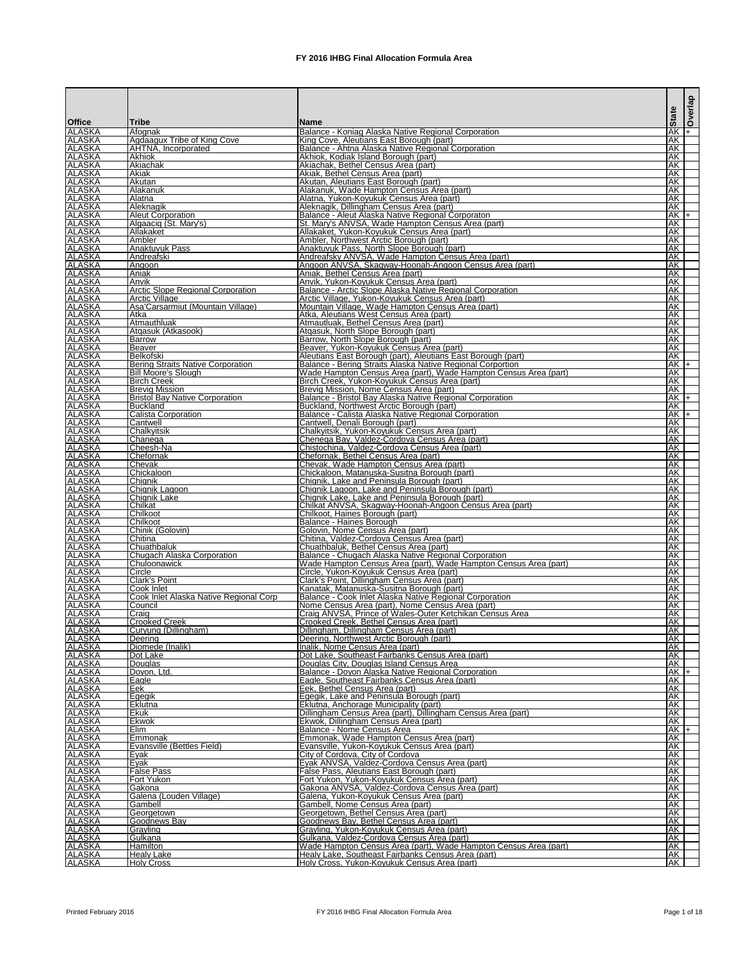|                                |                                                   |                                                                                                                        | <b>State</b>    | Overlap |
|--------------------------------|---------------------------------------------------|------------------------------------------------------------------------------------------------------------------------|-----------------|---------|
| <b>Office</b>                  | <b>Tribe</b>                                      | <b>IName</b>                                                                                                           |                 |         |
| <b>ALASKA</b><br><b>ALASKA</b> | Afognak<br>Agdaagux Tribe of King Cove            | Balance - Koniag Alaska Native Regional Corporation<br>King Cove, Aleutians East Borough (part)                        | $AK +$<br>AK    |         |
| <b>ALASKA</b>                  | AHTNA, Incorporated                               | Balance - Ahtna Alaska Native Regional Corporation                                                                     | <b>AK</b>       |         |
| <b>ALASKA</b><br><b>ALASKA</b> | <b>Akhiok</b><br>Akiachak                         | Akhiok, Kodiak Island Borough (part)<br>Akiachak, Bethel Census Area (part)                                            | <b>AK</b><br>AK |         |
| <b>ALASKA</b>                  | Akiak                                             | Akiak, Bethel Census Area (part)                                                                                       | <b>AK</b>       |         |
| <b>ALASKA</b>                  | <b>Akutan</b>                                     | Akutan, Aleutians East Borough (part)                                                                                  | AK              |         |
| <b>ALASKA</b><br><b>ALASKA</b> | Alakanuk<br>Alatna                                | Alakanuk, Wade Hampton Census Area (part)<br>Alatna, Yukon-Koyukuk Census Area (part)                                  | AK<br>AK        |         |
| <b>ALASKA</b>                  | Aleknagik                                         | Aleknagik, Dillingham Census Area (part)                                                                               | AK              |         |
| <b>ALASKA</b><br><b>ALASKA</b> | <b>Aleut Corporation</b><br>Algaacig (St. Mary's) | Balance - Aleut Alaska Native Regional Corporaton<br>St. Mary's ANVSA, Wade Hampton Census Area (part)                 | $AK +$<br>AK    |         |
| <b>ALASKA</b>                  | Allakaket                                         | Allakaket, Yukon-Koyukuk Census Area (part)                                                                            | AK              |         |
| <b>ALASKA</b>                  | Ambler                                            | Ambler, Northwest Arctic Borough (part)                                                                                | AK              |         |
| <b>ALASKA</b><br><b>ALASKA</b> | <b>Anaktuvuk Pass</b><br>Andreafski               | Anaktuvuk Pass, North Slope Borough (part)<br>Andreafsky ANVSA, Wade Hampton Census Area (part)                        | AK<br>AK        |         |
| <b>ALASKA</b>                  | Angoon                                            | Angoon ANVSA, Skagway-Hoonah-Angoon Census Area (part)                                                                 | AK              |         |
| <b>ALASKA</b>                  | Aniak                                             | Aniak, Bethel Census Area (part)                                                                                       | <b>AK</b>       |         |
| <b>ALASKA</b><br><b>ALASKA</b> | Anvik<br><b>Arctic Slope Regional Corporation</b> | Anvik, Yukon-Koyukuk Census Area (part)<br>Balance - Arctic Slope Alaska Native Regional Corporation                   | AK<br>AK        |         |
| <b>ALASKA</b>                  | Arctic Village                                    | Arctic Village, Yukon-Koyukuk Census Area (part)                                                                       | AK              |         |
| <b>ALASKA</b>                  | Asa'Carsarmiut (Mountain Village)                 | Mountain Village, Wade Hampton Census Area (part)<br>Atka, Aleutians West Census Area (part)                           | AK              |         |
| <b>ALASKA</b><br><b>ALASKA</b> | Atka<br>Atmauthluak                               | Atmautluak, Bethel Census Area (part)                                                                                  | AK<br>AK        |         |
| <b>ALASKA</b>                  | Atgasuk (Atkasook)                                | Atgasuk, North Slope Borough (part)                                                                                    | AK              |         |
| <b>ALASKA</b><br><b>ALASKA</b> | <b>Barrow</b><br><b>Beaver</b>                    | Barrow, North Slope Borough (part)<br>Beaver, Yukon-Koyukuk Census Area (part)                                         | AK<br>AK        |         |
| <b>ALASKA</b>                  | IBelkofski                                        | Aleutians East Borough (part), Aleutians East Borough (part)                                                           | AK              |         |
| <b>ALASKA</b>                  | <b>Bering Straits Native Corporation</b>          | Balance - Bering Straits Alaska Native Regional Corportion                                                             | $AK +$          |         |
| <b>ALASKA</b><br><b>ALASKA</b> | Bill Moore's Slough<br><b>Birch Creek</b>         | Wade Hampton Census Area (part), Wade Hampton Census Area (part)<br>Birch Creek, Yukon-Koyukuk Census Area (part)      | AK<br>AK        |         |
| <b>ALASKA</b>                  | <b>Brevig Mission</b>                             | Brevig Mission, Nome Census Area (part)                                                                                | AK              |         |
| <b>ALASKA</b>                  | <b>Bristol Bay Native Corporation</b>             | Balance - Bristol Bay Alaska Native Regional Corporation                                                               | $AK +$          |         |
| <b>ALASKA</b><br><b>ALASKA</b> | Buckland<br><b>Calista Corporation</b>            | Buckland, Northwest Arctic Borough (part)<br>Balance - Calista Alaska Native Regional Corporation                      | AK<br>$AK +$    |         |
| <b>ALASKA</b>                  | Cantwell                                          | Cantwell, Denali Borough (part)                                                                                        | AK              |         |
| <b>ALASKA</b>                  | Chalkvitsik                                       | Chalkyitsik, Yukon-Koyukuk Census Area (part)                                                                          | AK              |         |
| <b>ALASKA</b><br><b>ALASKA</b> | Chanega<br>Cheesh-Na                              | Chenega Bay, Valdez-Cordova Census Area (part)<br>Chistochina, Valdez-Cordova Census Area (part)                       | AK<br>AK        |         |
| <b>ALASKA</b>                  | lChefornak                                        | Chefornak, Bethel Census Area (part)                                                                                   | AK              |         |
| <b>ALASKA</b>                  | Chevak                                            | Chevak, Wade Hampton Census Area (part)                                                                                | AK I            |         |
| <b>ALASKA</b><br><b>ALASKA</b> | Chickaloon<br>lChianik                            | Chickaloon, Matanuska-Susitna Borough (part)<br>Chignik, Lake and Peninsula Borough (part)                             | AK<br>AK        |         |
| <b>ALASKA</b>                  | Chignik Lagoon                                    | Chignik Lagoon, Lake and Peninsula Borough (part)                                                                      | AK              |         |
| <b>ALASKA</b>                  | <b>Chignik Lake</b><br>Chilkat                    | Chignik Lake, Lake and Peninsula Borough (part)                                                                        | <b>AK</b>       |         |
| <b>ALASKA</b><br><b>ALASKA</b> | Chilkoot                                          | Chilkat ANVSA, Skagway-Hoonah-Angoon Census Area (part)<br>Chilkoot, Haines Borough (part)                             | <b>AK</b><br>AK |         |
| <b>ALASKA</b>                  | <b>Chilkoot</b>                                   | Balance - Haines Borough                                                                                               | AK              |         |
| <b>ALASKA</b><br><b>ALASKA</b> | Chinik (Golovin)<br>Chitina                       | Golovin, Nome Census Area (part)<br>Chitina, Valdez-Cordova Census Area (part)                                         | <b>AK</b><br>AK |         |
| <b>ALASKA</b>                  | Chuathbaluk                                       | Chuathbaluk, Bethel Census Area (part)                                                                                 | AK              |         |
| <b>ALASKA</b>                  | <b>Chugach Alaska Corporation</b>                 | Balance - Chugach Alaska Native Regional Corporation                                                                   | AK              |         |
| <b>ALASKA</b><br><b>ALASKA</b> | Chuloonawick<br>Circle                            | Wade Hampton Census Area (part), Wade Hampton Census Area (part)<br>Circle, Yukon-Koyukuk Census Area (part)           | <b>AK</b><br>AK |         |
| <b>ALASKA</b>                  | <b>Clark's Point</b>                              | Clark's Point, Dillingham Census Area (part)                                                                           | AK              |         |
| <b>ALASKA</b>                  | Cook Inlet                                        | Kanatak, Matanuska-Susitna Borough (part)                                                                              | AK              |         |
| <b>ALASKA</b><br><b>ALASKA</b> | Cook Inlet Alaska Native Regional Corp<br>Council | Balance - Cook Inlet Alaska Native Regional Corporation<br>Nome Census Area (part), Nome Census Area (part)            | <b>AK</b><br>AK |         |
| <b>ALASKA</b>                  | Craig                                             | Craig ANVSA, Prince of Wales-Outer Ketchikan Census Area                                                               | AK              |         |
| <b>ALASKA</b>                  | <b>Crooked Creek</b>                              | Crooked Creek, Bethel Census Area (part)                                                                               | AK              |         |
| <b>ALASKA</b><br><b>ALASKA</b> | Curyung (Dillingham)<br>Deerina                   | Dillingham, Dillingham Census Area (part)<br>Deering, Northwest Arctic Borough (part)                                  | <b>AK</b><br>AK |         |
| <b>ALASKA</b>                  | Diomede (Inalik)                                  | Inalik, Nome Census Area (part)                                                                                        | AK              |         |
| <b>ALASKA</b><br><b>ALASKA</b> | Dot Lake<br>Douglas                               | Dot Lake, Southeast Fairbanks Census Area (part)                                                                       | <b>AK</b><br>AK |         |
| <b>ALASKA</b>                  | Doyon, Ltd.                                       | Douglas City, Douglas Island Census Area<br>Balance - Doyon Alaska Native Regional Corporation                         | $AK +$          |         |
| <b>ALASKA</b>                  | Eagle                                             | Eagle, Southeast Fairbanks Census Area (part)                                                                          | AK              |         |
| <b>ALASKA</b><br><b>ALASKA</b> | <b>Eek</b><br>Egegik                              | Eek, Bethel Census Area (part)<br>Egegik, Lake and Peninsula Borough (part)                                            | AK<br>AK        |         |
| <b>ALASKA</b>                  | <b>IEklutna</b>                                   | Eklutna, Anchorage Municipality (part)                                                                                 | AK              |         |
| <b>ALASKA</b>                  | lEkuk                                             | Dillingham Census Area (part), Dillingham Census Area (part)                                                           | AK              |         |
| <b>ALASKA</b><br><b>ALASKA</b> | <b>Ekwok</b><br><b>IElim</b>                      | Ekwok, Dillingham Census Area (part)<br>Balance - Nome Census Area                                                     | AK<br>$AK +$    |         |
| <b>ALASKA</b>                  | Emmonak                                           | Emmonak, Wade Hampton Census Area (part)                                                                               | AK              |         |
| <b>ALASKA</b>                  | Evansville (Bettles Field)                        | Evansville, Yukon-Koyukuk Census Area (part)                                                                           | AK              |         |
| <b>ALASKA</b><br><b>ALASKA</b> | Evak<br>Eyak                                      | City of Cordova, City of Cordova<br>Eyak ANVSA, Valdez-Cordova Census Area (part)                                      | АK<br>AK        |         |
| <b>ALASKA</b>                  | <b>False Pass</b>                                 | False Pass, Aleutians East Borough (part)                                                                              | AK              |         |
| <b>ALASKA</b>                  | Fort Yukon                                        | Fort Yukon, Yukon-Koyukuk Census Area (part)                                                                           | AK              |         |
| <b>ALASKA</b><br><b>ALASKA</b> | Gakona<br>Galena (Louden Village)                 | Gakona ANVSA, Valdez-Cordova Census Area (part)<br>Galena, Yukon-Koyukuk Census Area (part)                            | <b>AK</b><br>AK |         |
| <b>ALASKA</b>                  | <b>Gambell</b>                                    | Gambell, Nome Census Area (part)                                                                                       | AK              |         |
| <b>ALASKA</b>                  | Georgetown                                        | Georgetown, Bethel Census Area (part)                                                                                  | AK              |         |
| <b>ALASKA</b><br><b>ALASKA</b> | Goodnews Bay<br>Grayling                          | Goodnews Bay, Bethel Census Area (part)<br>Grayling, Yukon-Koyukuk Census Area (part)                                  | <b>AK</b><br>AK |         |
| <b>ALASKA</b>                  | Gulkana                                           | Gulkana, Valdez-Cordova Census Area (part)                                                                             | AK              |         |
| <b>ALASKA</b><br><b>ALASKA</b> | <b>Hamilton</b><br><b>Healy Lake</b>              | Wade Hampton Census Area (part), Wade Hampton Census Area (part)<br>Healy Lake, Southeast Fairbanks Census Area (part) | AK I<br>AK      |         |
| <b>ALASKA</b>                  | <b>Holy Cross</b>                                 | Holy Cross, Yukon-Koyukuk Census Area (part)                                                                           | AK              |         |

Printed February 2016 **FX** 2016 IHBG Final Allocation Formula Area **Page 1** of 18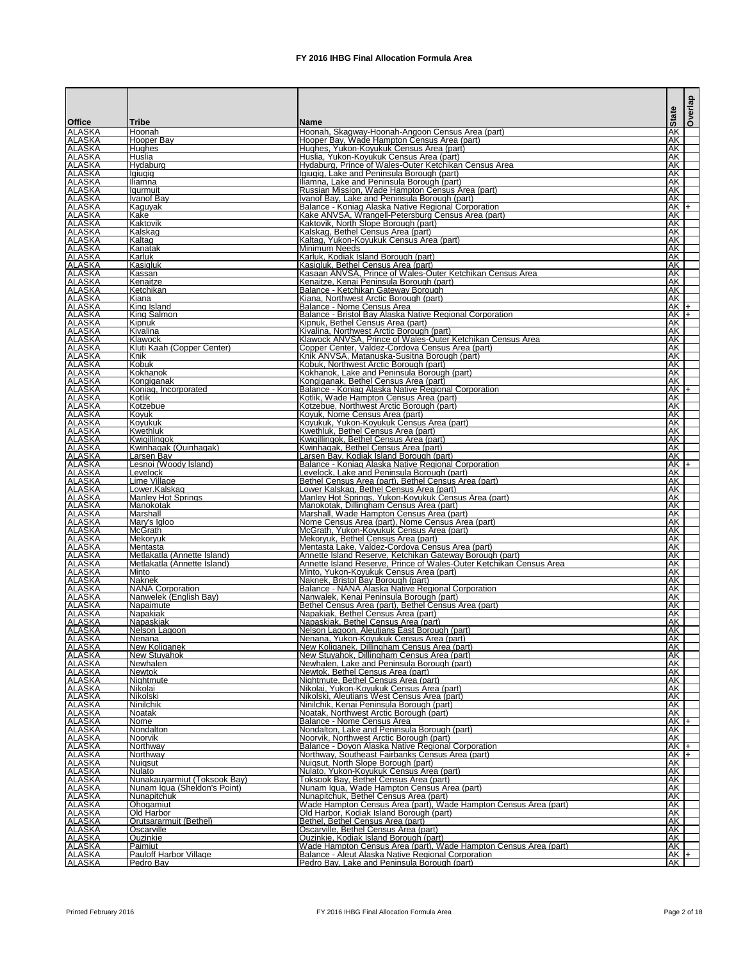|                                |                                             |                                                                                                                | <b>State</b>           |          | <b>Overlap</b> |
|--------------------------------|---------------------------------------------|----------------------------------------------------------------------------------------------------------------|------------------------|----------|----------------|
| <b>Office</b><br><b>ALASKA</b> | <b>Tribe</b><br>Hoonah                      | <b>IName</b><br>Hoonah, Skagway-Hoonah-Angoon Census Area (part)                                               | AK                     |          |                |
| <b>ALASKA</b>                  | Hooper Bay                                  | Hooper Bay, Wade Hampton Census Area (part)                                                                    | AΚ                     |          |                |
| <b>ALASKA</b>                  | Huahes                                      | Hughes, Yukon-Koyukuk Census Area (part)                                                                       | AK.                    |          |                |
| <b>ALASKA</b>                  | Huslia                                      | Huslia, Yukon-Koyukuk Census Area (part)                                                                       | AK                     |          |                |
| <b>ALASKA</b>                  | Hydaburg                                    | Hydaburg, Prince of Wales-Outer Ketchikan Census Area                                                          | AK                     |          |                |
| <b>ALASKA</b><br><b>ALASKA</b> | lgiugig<br><b>Iliamna</b>                   | Ilgiugig, Lake and Peninsula Borough (part)<br>Iliamna, Lake and Peninsula Borough (part)                      | AK<br>AK               |          |                |
| <b>ALASKA</b>                  | laurmuit                                    | Russian Mission, Wade Hampton Census Area (part)                                                               | AK                     |          |                |
| <b>ALASKA</b>                  | <b>Ivanof Bay</b>                           | Ivanof Bay, Lake and Peninsula Borough (part)                                                                  | AK                     |          |                |
| <b>ALASKA</b>                  | Kaguyak                                     | Balance - Koniag Alaska Native Regional Corporation                                                            |                        | $AK +$   |                |
| <b>ALASKA</b><br><b>ALASKA</b> | Kake<br>Kaktovik                            | Kake ANVSA, Wrangell-Petersburg Census Area (part)<br>Kaktovik, North Slope Borough (part)                     | AK<br>AK               |          |                |
| <b>ALASKA</b>                  | Kalskag                                     | Kalskag, Bethel Census Area (part)                                                                             | AK                     |          |                |
| <b>ALASKA</b>                  | Kaltag                                      | Kaltag, Yukon-Koyukuk Census Area (part)                                                                       | AK                     |          |                |
| <b>ALASKA</b>                  | Kanatak                                     | Minimum Needs                                                                                                  | <b>AK</b>              |          |                |
| <b>ALASKA</b>                  | Karluk                                      | Karluk, Kodiak Island Borough (part)                                                                           | AK                     |          |                |
| <b>ALASKA</b><br><b>ALASKA</b> | Kasigluk<br>Kassan                          | Kasigluk, Bethel Census Area (part)<br>Kasaan ANVSA, Prince of Wales-Outer Ketchikan Census Area               | АK<br>AK               |          |                |
| <b>ALASKA</b>                  | Kenaitze                                    | Kenaitze, Kenai Peninsula Borough (part)                                                                       | AK                     |          |                |
| <b>ALASKA</b>                  | <b>Ketchikan</b>                            | Balance - Ketchikan Gateway Borough                                                                            | AK                     |          |                |
| <b>ALASKA</b>                  | Kiana                                       | Kiana, Northwest Arctic Borough (part)                                                                         | AK                     |          |                |
| <b>ALASKA</b>                  | King Island                                 | Balance - Nome Census Area                                                                                     |                        | $AK +$   |                |
| <b>ALASKA</b><br><b>ALASKA</b> | <b>King Salmon</b><br>Kipnuk                | Balance - Bristol Bay Alaska Native Regional Corporation<br>Kipnuk, Bethel Census Area (part)                  | AK                     | $AK +$   |                |
| <b>ALASKA</b>                  | Kivalina                                    | Kivalina, Northwest Arctic Borough (part)                                                                      | AK                     |          |                |
| <b>ALASKA</b>                  | Klawock                                     | Klawock ANVSA, Prince of Wales-Outer Ketchikan Census Area                                                     | AK                     |          |                |
| <b>ALASKA</b>                  | Kluti Kaah (Copper Center)                  | Copper Center, Valdez-Cordova Census Area (part)                                                               | AK                     |          |                |
| <b>ALASKA</b>                  | Knik                                        | Knik ANVSA, Matanuska-Susitna Borough (part)                                                                   | AK                     |          |                |
| <b>ALASKA</b><br><b>ALASKA</b> | Kobuk<br>Kokhanok                           | Kobuk, Northwest Arctic Borough (part)<br>Kokhanok, Lake and Peninsula Borough (part)                          | AK<br>AK               |          |                |
| <b>ALASKA</b>                  | Kongiganak                                  | Kongiganak, Bethel Census Area (part)                                                                          | AK                     |          |                |
| <b>ALASKA</b>                  | Koniag, Incorporated                        | Balance - Koniag Alaska Native Regional Corporation                                                            |                        | $AK +$   |                |
| <b>ALASKA</b>                  | Kotlik                                      | Kotlik, Wade Hampton Census Area (part)                                                                        | AK                     |          |                |
| <b>ALASKA</b>                  | Kotzebue                                    | Kotzebue, Northwest Arctic Borough (part)                                                                      | <b>AK</b>              |          |                |
| <b>ALASKA</b><br><b>ALASKA</b> | Kovuk<br> Koyukuk                           | Koyuk, Nome Census Area (part)<br>Koyukuk, Yukon-Koyukuk Census Area (part)                                    | AK<br>AK               |          |                |
| <b>ALASKA</b>                  | Kwethluk                                    | Kwethluk, Bethel Census Area (part)                                                                            | AK                     |          |                |
| <b>ALASKA</b>                  | Kwiaillingok                                | Kwigillingok, Bethel Census Area (part)                                                                        | AK                     |          |                |
| <b>ALASKA</b>                  | Kwinhagak (Quinhagak)                       | Kwinhagak, Bethel Census Area (part)                                                                           | AK                     |          |                |
| <b>ALASKA</b>                  | Larsen Bay                                  | Larsen Bay, Kodiak Island Borough (part)                                                                       | AK                     |          |                |
| <b>ALASKA</b><br><b>ALASKA</b> | Lesnoi (Woody Island)<br>Levelock           | Balance - Koniag Alaska Native Regional Corporation<br>Levelock, Lake and Peninsula Borough (part)             | AK                     | $AK$ $+$ |                |
| <b>ALASKA</b>                  | Lime Village                                | Bethel Census Area (part), Bethel Census Area (part)                                                           | AK                     |          |                |
| <b>ALASKA</b>                  | Lower.Kalskag                               | Lower Kalskag, Bethel Census Area (part)                                                                       | AK                     |          |                |
| <b>ALASKA</b>                  | <b>Manley Hot Springs</b>                   | Manley Hot Springs, Yukon-Koyukuk Census Area (part)                                                           | AK                     |          |                |
| <b>ALASKA</b><br><b>ALASKA</b> | Manokotak<br>Marshall                       | Manokotak, Dillingham Census Area (part)<br>Marshall, Wade Hampton Census Area (part)                          | <b>AK</b><br><b>AK</b> |          |                |
| <b>ALASKA</b>                  | Mary's Igloo                                | Nome Census Area (part), Nome Census Area (part)                                                               | AK                     |          |                |
| <b>ALASKA</b>                  | <b>IMcGrath</b>                             | McGrath, Yukon-Koyukuk Census Area (part)                                                                      | AK                     |          |                |
| <b>ALASKA</b>                  | <b>Mekoryuk</b>                             | Mekoryuk, Bethel Census Area (part)                                                                            | AK                     |          |                |
| <b>ALASKA</b>                  | Mentasta                                    | Mentasta Lake, Valdez-Cordova Census Area (part)                                                               | AK                     |          |                |
| <b>ALASKA</b><br><b>ALASKA</b> | Metlakatla (Annette Island)                 | Annette Island Reserve, Ketchikan Gateway Borough (part)                                                       | AK                     |          |                |
| <b>ALASKA</b>                  | Metlakatla (Annette Island)<br>Minto        | Annette Island Reserve, Prince of Wales-Outer Ketchikan Census Area<br>Minto, Yukon-Koyukuk Census Area (part) | AK<br>AK               |          |                |
| <b>ALASKA</b>                  | <b>Naknek</b>                               | Naknek, Bristol Bay Borough (part)                                                                             | AK                     |          |                |
| <b>ALASKA</b>                  | <b>NANA Corporation</b>                     | Balance - NANA Alaska Native Regional Corporation                                                              | AK                     |          |                |
| <b>ALASKA</b>                  | Nanwelek (English Bay)                      | Nanwalek, Kenai Peninsula Borough (part)                                                                       | AK                     |          |                |
| <b>ALASKA</b><br><b>ALASKA</b> | Napaimute<br>Napakiak                       | Bethel Census Area (part), Bethel Census Area (part)<br>Napakiak, Bethel Census Area (part)                    | AK<br>AK               |          |                |
| <b>ALASKA</b>                  | Napaskiak                                   | Napaskiak, Bethel Census Area (part)                                                                           | AK                     |          |                |
| <b>ALASKA</b>                  | Nelson Lagoon                               | Nelson Lagoon, Aleutians East Borough (part)                                                                   | AK                     |          |                |
| <b>ALASKA</b>                  | Nenana                                      | Nenana, Yukon-Koyukuk Census Area (part)                                                                       | AK                     |          |                |
| <b>ALASKA</b>                  | New Koliganek                               | New Koliganek, Dillingham Census Area (part)                                                                   | AK                     |          |                |
| <b>ALASKA</b>                  | <b>New Stuyahok</b>                         | New Stuyahok, Dillingham Census Area (part)                                                                    | AK                     |          |                |
| <b>ALASKA</b><br><b>ALASKA</b> | Newhalen<br><b>Newtok</b>                   | Newhalen, Lake and Peninsula Borough (part)<br>Newtok, Bethel Census Area (part)                               | <b>AK</b><br>AK        |          |                |
| <b>ALASKA</b>                  | Nightmute                                   | Nightmute, Bethel Census Area (part)                                                                           | AK                     |          |                |
| <b>ALASKA</b>                  | Nikolai                                     | Nikolai, Yukon-Koyukuk Census Area (part)                                                                      | AK                     |          |                |
| <b>ALASKA</b>                  | Nikolski                                    | Nikolski, Aleutians West Census Area (part)                                                                    | <b>AK</b>              |          |                |
| <b>ALASKA</b>                  | Ninilchik                                   | Ninilchik, Kenai Peninsula Borough (part)                                                                      | AK                     |          |                |
| <b>ALASKA</b><br><b>ALASKA</b> | Noatak<br>Nome                              | Noatak, Northwest Arctic Borough (part)<br>Balance - Nome Census Area                                          | AK                     | $AK +$   |                |
| <b>ALASKA</b>                  | Nondalton                                   | Nondalton, Lake and Peninsula Borough (part)                                                                   | AK                     |          |                |
| <b>ALASKA</b>                  | <b>Noorvik</b>                              | Noorvik, Northwest Arctic Borough (part)                                                                       | AK                     |          |                |
| <b>ALASKA</b>                  | Northway                                    | Balance - Doyon Alaska Native Regional Corporation                                                             |                        | $AK +$   |                |
| <b>ALASKA</b>                  | Northway                                    | Northway, Southeast Fairbanks Census Area (part)                                                               |                        | $AK +$   |                |
| <b>ALASKA</b><br><b>ALASKA</b> | Nuigsut<br>Nulato                           | Nuigsut, North Slope Borough (part)<br>Nulato, Yukon-Koyukuk Census Area (part)                                | AK<br>AK               |          |                |
| <b>ALASKA</b>                  | Nunakauyarmiut (Toksook Bay)                | Toksook Bay, Bethel Census Area (part)                                                                         | AK                     |          |                |
| <b>ALASKA</b>                  | Nunam Iqua (Sheldon's Point)                | Nunam Iqua, Wade Hampton Census Area (part)                                                                    | AK                     |          |                |
| <b>ALASKA</b>                  | Nunapitchuk                                 | Nunapitchuk, Bethel Census Area (part)                                                                         | AK                     |          |                |
| <b>ALASKA</b>                  | <b>Ohogamiut</b>                            | Wade Hampton Census Area (part), Wade Hampton Census Area (part)                                               | AK                     |          |                |
| <b>ALASKA</b><br><b>ALASKA</b> | <b>Old Harbor</b><br>Orutsararmuit (Bethel) | Old Harbor, Kodiak Island Borough (part)<br>Bethel, Bethel Census Area (part)                                  | AK<br>AK               |          |                |
| <b>ALASKA</b>                  | Oscarville                                  | Oscarville, Bethel Census Area (part)                                                                          | AK                     |          |                |
| <b>ALASKA</b>                  | Ouzinkie                                    | Ouzinkie, Kodiak Island Borough (part)                                                                         | AK                     |          |                |
| <b>ALASKA</b>                  | Paimiut                                     | Wade Hampton Census Area (part), Wade Hampton Census Area (part)                                               | AK I                   |          |                |
| <b>ALASKA</b>                  | <b>Pauloff Harbor Village</b>               | Balance - Aleut Alaska Native Regional Corporation                                                             | AK +<br>AK             |          |                |
| <b>ALASKA</b>                  | Pedro Bay                                   | Pedro Bay, Lake and Peninsula Borough (part)                                                                   |                        |          |                |

Printed February 2016 **FX** 2016 IHBG Final Allocation Formula Area Page 2 of 18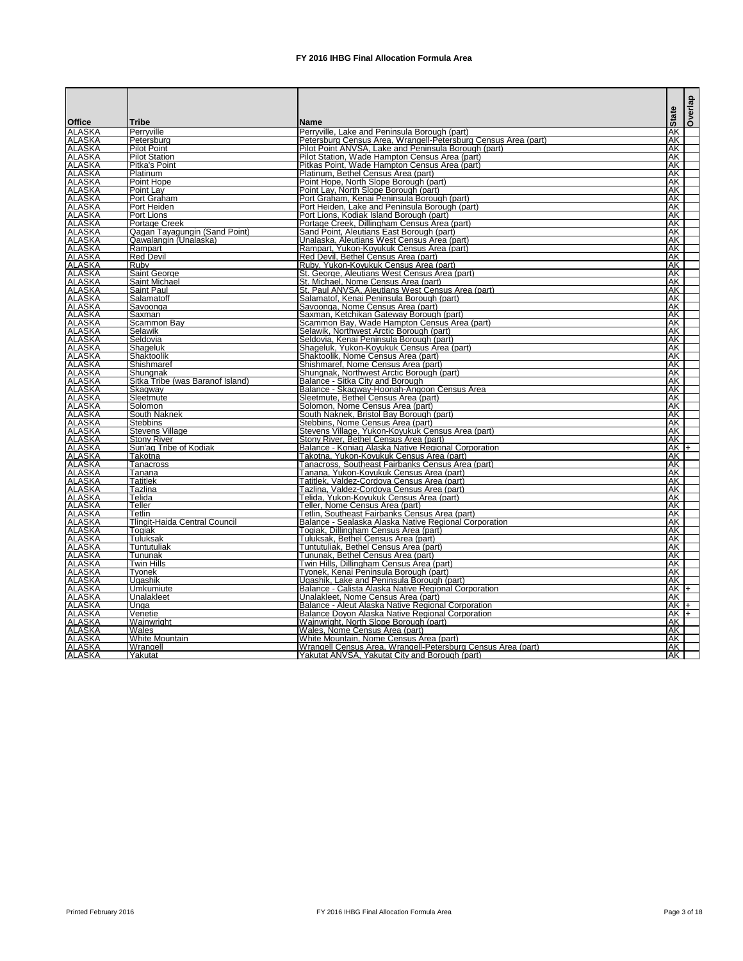|                                |                                                        |                                                                                                        | Overlap          |  |
|--------------------------------|--------------------------------------------------------|--------------------------------------------------------------------------------------------------------|------------------|--|
| <b>Office</b>                  | <b>Tribe</b>                                           | <b>Name</b>                                                                                            | <b>State</b>     |  |
| <b>ALASKA</b>                  | Perryville                                             | Perryville, Lake and Peninsula Borough (part)                                                          | ΑK               |  |
| <b>ALASKA</b>                  | Petersburg                                             | Petersburg Census Area, Wrangell-Petersburg Census Area (part)                                         | lak              |  |
| <b>ALASKA</b>                  | <b>Pilot Point</b>                                     | Pilot Point ANVSA, Lake and Peninsula Borough (part)                                                   | <b>AK</b>        |  |
| <b>ALASKA</b>                  | <b>Pilot Station</b>                                   | Pilot Station, Wade Hampton Census Area (part)                                                         | <b>AK</b>        |  |
| <b>ALASKA</b><br><b>ALASKA</b> | <b>Pitka's Point</b><br>Platinum                       | Pitkas Point, Wade Hampton Census Area (part)<br>Platinum, Bethel Census Area (part)                   | lАK<br>AK        |  |
| <b>ALASKA</b>                  | Point Hope                                             | Point Hope, North Slope Borough (part)                                                                 | AK               |  |
| <b>ALASKA</b>                  | Point Lav                                              | Point Lay, North Slope Borough (part)                                                                  | AΚ               |  |
| <b>ALASKA</b>                  | Port Graham                                            | Port Graham, Kenai Peninsula Borough (part)                                                            | AΚ               |  |
| <b>ALASKA</b>                  | <b>Port Heiden</b>                                     | Port Heiden, Lake and Peninsula Borough (part)                                                         | AΚ               |  |
| <b>ALASKA</b>                  | Port Lions                                             | Port Lions, Kodiak Island Borough (part)                                                               | <b>AK</b>        |  |
| <b>ALASKA</b><br><b>ALASKA</b> | <b>Portage Creek</b>                                   | Portage Creek, Dillingham Census Area (part)                                                           | AΚ               |  |
| <b>ALASKA</b>                  | Qagan Tayagungin (Sand Point)<br>Qawalangin (Unalaska) | Sand Point, Aleutians East Borough (part)<br>Unalaska, Aleutians West Census Area (part)               | <b>JAK</b><br>AK |  |
| <b>ALASKA</b>                  | Rampart                                                | Rampart, Yukon-Koyukuk Census Area (part)                                                              | ΑK               |  |
| <b>ALASKA</b>                  | <b>Red Devil</b>                                       | Red Devil, Bethel Census Area (part)                                                                   | <b>AK</b>        |  |
| <b>ALASKA</b>                  | <b>Ruby</b>                                            | Ruby, Yukon-Koyukuk Census Area (part)                                                                 | AK               |  |
| <b>ALASKA</b>                  | Saint George                                           | St. George, Aleutians West Census Area (part)                                                          | <b>AK</b>        |  |
| <b>ALASKA</b>                  | Saint Michael                                          | St. Michael, Nome Census Area (part)                                                                   | <b>AK</b>        |  |
| <b>ALASKA</b>                  | <b>Saint Paul</b>                                      | St. Paul ANVSA, Aleutians West Census Area (part)                                                      | AK               |  |
| <b>ALASKA</b>                  | Salamatoff                                             | Salamatof, Kenai Peninsula Borough (part)                                                              | <b>JAK</b><br>AK |  |
| <b>ALASKA</b><br><b>ALASKA</b> | Savoonga<br>Saxman                                     | Savoonga, Nome Census Area (part)<br>Saxman, Ketchikan Gateway Borough (part)                          | AK               |  |
| <b>ALASKA</b>                  | <b>Scammon Bay</b>                                     | Scammon Bay, Wade Hampton Census Area (part)                                                           | <b>AK</b>        |  |
| <b>ALASKA</b>                  | Selawik                                                | Selawik, Northwest Arctic Borough (part)                                                               | AΚ               |  |
| <b>ALASKA</b>                  | Seldovia                                               | Seldovia, Kenai Peninsula Borough (part)                                                               | AK               |  |
| <b>ALASKA</b>                  | Shageluk                                               | Shageluk, Yukon-Koyukuk Census Area (part)                                                             | AK               |  |
| <b>ALASKA</b>                  | Shaktoolik                                             | Shaktoolik, Nome Census Area (part)                                                                    | AΚ               |  |
| <b>ALASKA</b>                  | Shishmaref                                             | Shishmaref, Nome Census Area (part)                                                                    | <b>JAK</b>       |  |
| <b>ALASKA</b><br><b>ALASKA</b> | Shungnak<br>Sitka Tribe (was Baranof Island)           | Shungnak, Northwest Arctic Borough (part)                                                              | AΚ<br>AΚ         |  |
| <b>ALASKA</b>                  | Skagway                                                | Balance - Sitka City and Borough<br>Balance - Skagway-Hoonah-Angoon Census Area                        | <b>AK</b>        |  |
| <b>ALASKA</b>                  | Sleetmute                                              | Sleetmute, Bethel Census Area (part)                                                                   | <b>AK</b>        |  |
| <b>ALASKA</b>                  | Solomon                                                | Solomon, Nome Census Area (part)                                                                       | AK               |  |
| <b>ALASKA</b>                  | South Naknek                                           | South Naknek, Bristol Bay Borough (part)                                                               | AK               |  |
| <b>ALASKA</b>                  | <b>Stebbins</b>                                        | Stebbins, Nome Census Area (part)                                                                      | AK               |  |
| <b>ALASKA</b>                  | <b>Stevens Village</b>                                 | Stevens Village, Yukon-Koyukuk Census Area (part)                                                      | <b>AK</b>        |  |
| <b>ALASKA</b>                  | <b>Stony River</b>                                     | Stony River, Bethel Census Area (part)                                                                 | AK               |  |
| <b>ALASKA</b><br><b>ALASKA</b> | Sun'ag Tribe of Kodiak<br>Takotna                      | Balance - Koniag Alaska Native Regional Corporation                                                    | $AK +$<br>IAK    |  |
| <b>ALASKA</b>                  | Tanacross                                              | Takotna, Yukon-Koyukuk Census Area (part)<br>Tanacross, Southeast Fairbanks Census Area (part)         | <b>AK</b>        |  |
| <b>ALASKA</b>                  | Tanana                                                 | Tanana, Yukon-Koyukuk Census Area (part)                                                               | <b>JAK</b>       |  |
| <b>ALASKA</b>                  | Tatitlek                                               | Tatitlek, Valdez-Cordova Census Area (part)                                                            | AK               |  |
| <b>ALASKA</b>                  | Tazlina                                                | Tazlina, Valdez-Cordova Census Area (part)                                                             | AK               |  |
| <b>ALASKA</b>                  | Telida                                                 | Telida, Yukon-Koyukuk Census Area (part)                                                               | <b>IAK</b>       |  |
| <b>ALASKA</b>                  | Teller                                                 | Teller, Nome Census Area (part)                                                                        | AK               |  |
| <b>ALASKA</b>                  | Tetlin                                                 | Tetlin, Southeast Fairbanks Census Area (part)                                                         | AK               |  |
| <b>ALASKA</b>                  | Tlingit-Haida Central Council                          | Balance - Sealaska Alaska Native Regional Corporation                                                  | AK<br>AK         |  |
| <b>ALASKA</b><br><b>ALASKA</b> | Togiak<br>Tuluksak                                     | Togiak, Dillingham Census Area (part)<br>Tuluksak, Bethel Census Area (part)                           | AK               |  |
| <b>ALASKA</b>                  | Tuntutuliak                                            | Tuntutuliak, Bethel Census Area (part)                                                                 | AK               |  |
| <b>ALASKA</b>                  | Tununak                                                | Tununak, Bethel Census Area (part)                                                                     | AK               |  |
| <b>ALASKA</b>                  | <b>Twin Hills</b>                                      | Twin Hills, Dillingham Census Area (part)                                                              | AK               |  |
| <b>ALASKA</b>                  | Tyonek                                                 | Tyonek, Kenai Peninsula Borough (part)                                                                 | AK               |  |
| <b>ALASKA</b>                  | <b>Ugashik</b>                                         | Ugashik, Lake and Peninsula Borough (part)                                                             | AK               |  |
| <b>ALASKA</b>                  | Umkumiute                                              | Balance - Calista Alaska Native Regional Corporation                                                   | $AK +$           |  |
| <b>ALASKA</b>                  | Unalakleet                                             | Unalakleet, Nome Census Area (part)                                                                    | AK               |  |
| <b>ALASKA</b><br><b>ALASKA</b> | Unga                                                   | Balance - Aleut Alaska Native Regional Corporation<br>Balance Doyon Alaska Native Regional Corporation | $AK +$<br>$AK +$ |  |
| <b>ALASKA</b>                  | Venetie<br>Wainwright                                  | Wainwright, North Slope Borough (part)                                                                 | AK               |  |
| <b>ALASKA</b>                  | Wales                                                  | Wales, Nome Census Area (part)                                                                         | AK               |  |
| <b>ALASKA</b>                  | <b>White Mountain</b>                                  | White Mountain, Nome Census Area (part)                                                                | <b>AK</b>        |  |
| <b>ALASKA</b>                  | Wrangell                                               | Wrangell Census Area, Wrangell-Petersburg Census Area (part)                                           | AK               |  |
| <b>ALASKA</b>                  | Yakutat                                                | Yakutat ANVSA, Yakutat City and Borough (part)                                                         | <b>IAK</b>       |  |

Printed February 2016 **FX** 2016 IHBG Final Allocation Formula Area **Page 3** of 18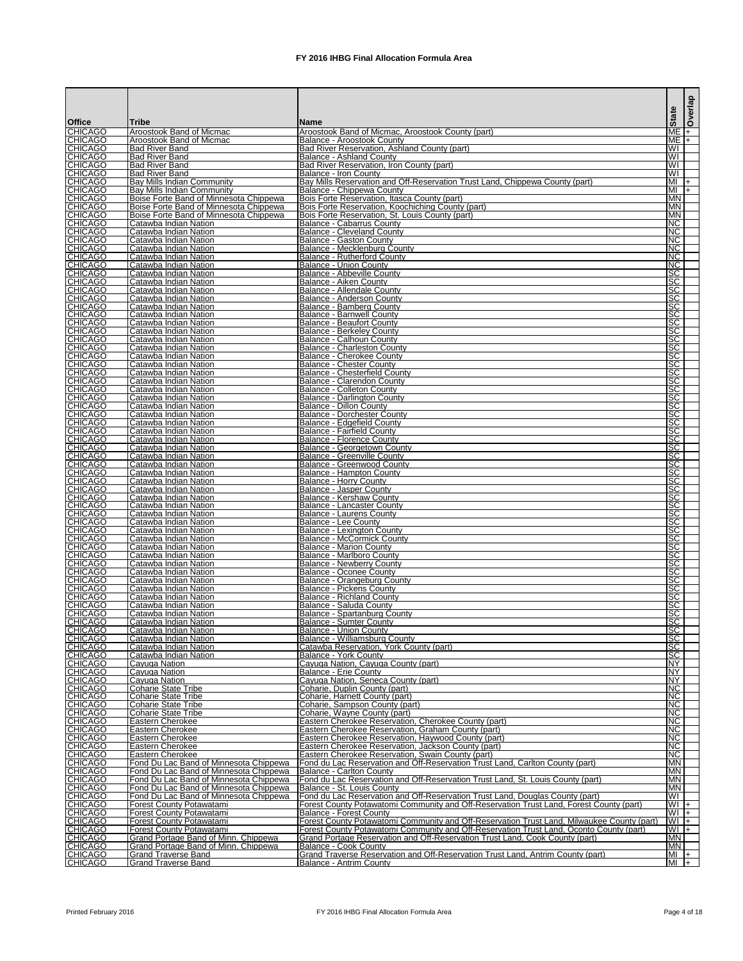|                                  |                                                                                    |                                                                                                                                                                          | <b>State</b>             | Overlap |
|----------------------------------|------------------------------------------------------------------------------------|--------------------------------------------------------------------------------------------------------------------------------------------------------------------------|--------------------------|---------|
| <b>Office</b>                    | Tribe                                                                              | <b>IName</b>                                                                                                                                                             |                          |         |
| <b>CHICAGO</b><br><b>CHICAGO</b> | Aroostook Band of Micmac<br>IAroostook Band of Micmac                              | Aroostook Band of Micmac, Aroostook County (part)<br>Balance - Aroostook County                                                                                          | $ME +$<br>$ME$ $+$       |         |
| <b>CHICAGO</b>                   | <b>Bad River Band</b>                                                              | Bad River Reservation, Ashland County (part)                                                                                                                             | WI                       |         |
| <b>CHICAGO</b><br><b>CHICAGO</b> | <b>Bad River Band</b><br><b>Bad River Band</b>                                     | <b>Balance - Ashland County</b><br>Bad River Reservation, Iron County (part)                                                                                             | WI<br>WI                 |         |
| <b>CHICAGO</b>                   | <b>IBad River Band</b>                                                             | IBalance - Iron Countv                                                                                                                                                   | WI                       |         |
| <b>CHICAGO</b>                   | Bay Mills Indian Community                                                         | Bay Mills Reservation and Off-Reservation Trust Land, Chippewa County (part)                                                                                             | MI                       | $+$     |
| <b>CHICAGO</b><br><b>CHICAGO</b> | <b>Bay Mills Indian Community</b><br><b>Boise Forte Band of Minnesota Chippewa</b> | Balance - Chippewa County<br>Bois Forte Reservation, Itasca County (part)                                                                                                | $ML +$<br><b>IMN</b>     |         |
| <b>CHICAGO</b>                   | Boise Forte Band of Minnesota Chippewa                                             | Bois Forte Reservation, Koochiching County (part)                                                                                                                        | <b>IMN</b>               |         |
| <b>CHICAGO</b>                   | Boise Forte Band of Minnesota Chippewa                                             | Bois Forte Reservation, St. Louis County (part)                                                                                                                          | <b>IMN</b>               |         |
| <b>CHICAGO</b><br><b>CHICAGO</b> | Catawba Indian Nation<br>Catawba Indian Nation                                     | Balance - Cabarrus County<br>Balance - Cleveland County                                                                                                                  | NC<br>INC.               |         |
| <b>CHICAGO</b>                   | Catawba Indian Nation                                                              | Balance - Gaston County                                                                                                                                                  | NC                       |         |
| <b>CHICAGO</b><br><b>CHICAGO</b> | <b>I</b> Catawba Indian Nation<br>Catawba Indian Nation                            | Balance - Mecklenburg County<br>Balance - Rutherford County                                                                                                              | NC<br>NC                 |         |
| <b>CHICAGO</b>                   | <b>I</b> Catawba Indian Nation                                                     | Balance - Union County                                                                                                                                                   | NC                       |         |
| <b>CHICAGO</b>                   | Catawba Indian Nation                                                              | Balance - Abbeville County                                                                                                                                               | SC                       |         |
| <b>CHICAGO</b><br><b>CHICAGO</b> | Catawba Indian Nation<br>Catawba Indian Nation                                     | Balance - Aiken County<br>Balance - Allendale County                                                                                                                     | <b>ISC</b><br><b>SC</b>  |         |
| <b>CHICAGO</b>                   | <b>I</b> Catawba Indian Nation                                                     | Balance - Anderson County                                                                                                                                                | <b>SC</b>                |         |
| <b>CHICAGO</b>                   | <b>I</b> Catawba Indian Nation                                                     | Balance - Bamberg County                                                                                                                                                 | <b>SC</b>                |         |
| <b>CHICAGO</b><br><b>CHICAGO</b> | Catawba Indian Nation<br>Catawba Indian Nation                                     | Balance - Barnwell County<br>Balance - Beaufort County                                                                                                                   | <b>ISC</b><br><b>ISC</b> |         |
| <b>CHICAGO</b>                   | Catawba Indian Nation                                                              | Balance - Berkeley County                                                                                                                                                | <b>ISC</b>               |         |
| <b>CHICAGO</b><br><b>CHICAGO</b> | <b>I</b> Catawba Indian Nation<br>Catawba Indian Nation                            | Balance - Calhoun County<br>IBalance - Charleston Countv                                                                                                                 | SC<br><b>ISC</b>         |         |
| <b>CHICAGO</b>                   | Catawba Indian Nation                                                              | Balance - Cherokee County                                                                                                                                                | <b>ISC</b>               |         |
| <b>CHICAGO</b>                   | <b>I</b> Catawba Indian Nation                                                     | Balance - Chester County                                                                                                                                                 | <b>SC</b>                |         |
| <b>CHICAGO</b><br><b>CHICAGO</b> | <b>I</b> Catawba Indian Nation<br>Catawba Indian Nation                            | Balance - Chesterfield County<br>Balance - Clarendon County                                                                                                              | SC<br><b>SC</b>          |         |
| <b>CHICAGO</b>                   | Catawba Indian Nation                                                              | <b>IBalance - Colleton County</b>                                                                                                                                        | <b>SC</b>                |         |
| <b>CHICAGO</b>                   | <b>I</b> Catawba Indian Nation                                                     | Balance - Darlington County                                                                                                                                              | <b>SC</b><br><b>SC</b>   |         |
| <b>CHICAGO</b><br><b>CHICAGO</b> | Catawba Indian Nation<br>Catawba Indian Nation                                     | <b>Balance - Dillon County</b><br>Balance - Dorchester County                                                                                                            | <b>SC</b>                |         |
| <b>CHICAGO</b>                   | Catawba Indian Nation                                                              | Balance - Edgefield County                                                                                                                                               | <b>SC</b>                |         |
| <b>CHICAGO</b><br><b>CHICAGO</b> | Catawba Indian Nation<br>Catawba Indian Nation                                     | Balance - Fairfield County<br>Balance - Florence County                                                                                                                  | <b>SC</b><br><b>SC</b>   |         |
| <b>CHICAGO</b>                   | Catawba Indian Nation                                                              | Balance - Georgetown County                                                                                                                                              | <b>ISC</b>               |         |
| <b>CHICAGO</b>                   | Catawba Indian Nation                                                              | Balance - Greenville County                                                                                                                                              | SC                       |         |
| <b>CHICAGO</b><br><b>CHICAGO</b> | Catawba Indian Nation<br>Catawba Indian Nation                                     | Balance - Greenwood County<br>Balance - Hampton County                                                                                                                   | SC <br><b>ISC</b>        |         |
| <b>CHICAGO</b>                   | <b>I</b> Catawba Indian Nation                                                     | <b>IBalance - Horry County</b>                                                                                                                                           | <b>ISC</b>               |         |
| <b>CHICAGO</b><br><b>CHICAGO</b> | <b>I</b> Catawba Indian Nation<br>Catawba Indian Nation                            | Balance - Jasper County<br>Balance - Kershaw County                                                                                                                      | <b>SC</b><br><b>SC</b>   |         |
| <b>CHICAGO</b>                   | Catawba Indian Nation                                                              | Balance - Lancaster County                                                                                                                                               | SC                       |         |
| <b>CHICAGO</b>                   | Catawba Indian Nation                                                              | <b>Balance - Laurens County</b>                                                                                                                                          | <b>SC</b>                |         |
| <b>CHICAGO</b><br><b>CHICAGO</b> | Catawba Indian Nation<br>Catawba Indian Nation                                     | Balance - Lee County<br>Balance - Lexington County                                                                                                                       | <b>SC</b><br><b>SC</b>   |         |
| <b>CHICAGO</b>                   | Catawba Indian Nation                                                              | <b>Balance - McCormick County</b>                                                                                                                                        | <b>ISC</b>               |         |
| <b>CHICAGO</b>                   | Catawba Indian Nation                                                              | <b>Balance - Marion County</b>                                                                                                                                           | <b>ISC</b>               |         |
| <b>CHICAGO</b><br><b>CHICAGO</b> | Catawba Indian Nation<br>Catawba Indian Nation                                     | <b>Balance - Marlboro County</b><br>Balance - Newberry County                                                                                                            | <b>SC</b><br><b>SC</b>   |         |
| <b>CHICAGO</b>                   | ICatawba Indian Nation                                                             | IBalance - Oconee Countv                                                                                                                                                 | <b>ISC</b>               |         |
| <b>CHICAGO</b><br><b>CHICAGO</b> | Catawba Indian Nation<br>ICatawba Indian Nation                                    | Balance - Orangeburg County<br>Balance - Pickens County                                                                                                                  | <b>ISC</b><br><b>ISC</b> |         |
| <b>CHICAGO</b>                   | Catawba Indian Nation                                                              | Balance - Richland County                                                                                                                                                | <b>SC</b>                |         |
| <b>CHICAGO</b>                   | Catawba Indian Nation                                                              | Balance - Saluda County                                                                                                                                                  | <b>ISC</b>               |         |
| <b>CHICAGO</b><br><b>CHICAGO</b> | Catawba Indian Nation<br>Catawba Indian Nation                                     | Balance - Spartanburg County<br><b>Balance - Sumter County</b>                                                                                                           | <b>ISC</b><br><b>SC</b>  |         |
| <b>CHICAGO</b>                   | Catawba Indian Nation                                                              | Balance - Union County                                                                                                                                                   | SC                       |         |
| <b>CHICAGO</b>                   | <b>I</b> Catawba Indian Nation                                                     | Balance - Williamsburg County                                                                                                                                            | <b>SC</b><br><b>SC</b>   |         |
| <b>CHICAGO</b><br><b>CHICAGO</b> | Catawba Indian Nation<br>Catawba Indian Nation                                     | Catawba Reservation, York County (part)<br><b>Balance - York County</b>                                                                                                  | <b>SC</b>                |         |
| <b>CHICAGO</b>                   | Cayuga Nation                                                                      | Cayuga Nation, Cayuga County (part)                                                                                                                                      | INY.                     |         |
| <b>CHICAGO</b><br><b>CHICAGO</b> | Cayuga Nation<br>Cayuga Nation                                                     | Balance - Erie County<br>Cayuga Nation, Seneca County (part)                                                                                                             | <b>NY</b><br><b>NY</b>   |         |
| <b>CHICAGO</b>                   | Coharie State Tribe                                                                | Coharie. Duplin County (part)                                                                                                                                            | NC                       |         |
| <b>CHICAGO</b>                   | Coharie State Tribe                                                                | Coharie, Harnett County (part)                                                                                                                                           | NC                       |         |
| <b>CHICAGO</b><br><b>CHICAGO</b> | Coharie State Tribe<br><b>ICoharie State Tribe</b>                                 | Coharie, Sampson County (part)<br>Coharie, Wayne County (part)                                                                                                           | NC<br>NC                 |         |
| <b>CHICAGO</b>                   | Eastern Cherokee                                                                   | Eastern Cherokee Reservation, Cherokee County (part)                                                                                                                     | NC                       |         |
| <b>CHICAGO</b>                   | Eastern Cherokee                                                                   | Eastern Cherokee Reservation, Graham County (part)                                                                                                                       | INC.<br>NC               |         |
| <b>CHICAGO</b><br><b>CHICAGO</b> | Eastern Cherokee<br>Eastern Cherokee                                               | Eastern Cherokee Reservation, Haywood County (part)<br>Eastern Cherokee Reservation, Jackson County (part)                                                               | NC                       |         |
| <b>CHICAGO</b>                   | Eastern Cherokee                                                                   | Eastern Cherokee Reservation, Swain County (part)                                                                                                                        | NC                       |         |
| <b>CHICAGO</b><br><b>CHICAGO</b> | Fond Du Lac Band of Minnesota Chippewa<br>Fond Du Lac Band of Minnesota Chippewa   | Fond du Lac Reservation and Off-Reservation Trust Land, Carlton County (part)<br><b>Balance - Carlton County</b>                                                         | <b>MN</b><br><b>MN</b>   |         |
| <b>CHICAGO</b>                   | Fond Du Lac Band of Minnesota Chippewa                                             | Fond du Lac Reservation and Off-Reservation Trust Land, St. Louis County (part)                                                                                          | <b>MN</b>                |         |
| <b>CHICAGO</b>                   | Fond Du Lac Band of Minnesota Chippewa                                             | IBalance - St. Louis Countv                                                                                                                                              | <b>MN</b>                |         |
| <b>CHICAGO</b><br><b>CHICAGO</b> | Fond Du Lac Band of Minnesota Chippewa<br><b>Forest County Potawatami</b>          | Fond du Lac Reservation and Off-Reservation Trust Land, Douglas County (part)<br>Forest County Potawatomi Community and Off-Reservation Trust Land, Forest County (part) | WI<br>$WI +$             |         |
| <b>CHICAGO</b>                   | <b>Forest County Potawatami</b>                                                    | Balance - Forest County                                                                                                                                                  | $WI +$                   |         |
| <b>CHICAGO</b><br><b>CHICAGO</b> | <b>Forest County Potawatami</b><br><b>Forest County Potawatami</b>                 | Forest County Potawatomi Community and Off-Reservation Trust Land, Milwaukee County (part)                                                                               | $WI +$<br>$WI +$         |         |
| <b>CHICAGO</b>                   | Grand Portage Band of Minn. Chippewa                                               | Forest County Potawatomi Community and Off-Reservation Trust Land, Oconto County (part)<br>Grand Portage Reservation and Off-Reservation Trust Land, Cook County (part)  | IMN.                     |         |
| <b>CHICAGO</b>                   | Grand Portage Band of Minn. Chippewa                                               | Balance - Cook County                                                                                                                                                    | <b>MN</b>                |         |
| <b>CHICAGO</b><br><b>CHICAGO</b> | <b>Grand Traverse Band</b><br><b>Grand Traverse Band</b>                           | Grand Traverse Reservation and Off-Reservation Trust Land, Antrim County (part)<br><b>Balance - Antrim County</b>                                                        | $\frac{ M }{ M }$ +      |         |

Printed February 2016 **FX** 2016 IHBG Final Allocation Formula Area Page 4 of 18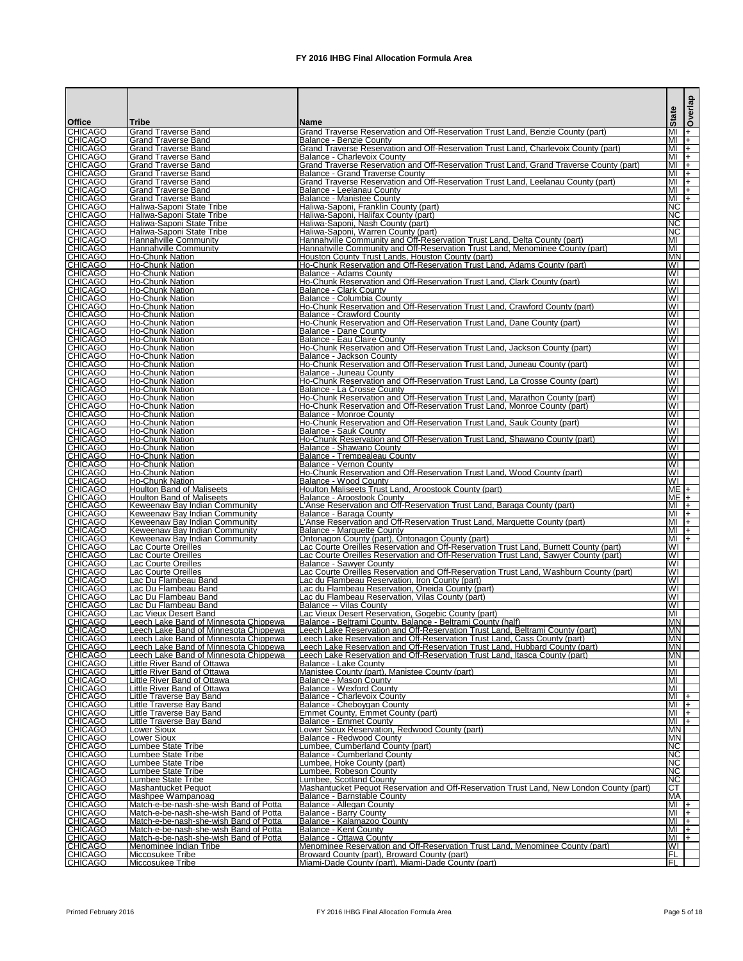|               |                                  |                                                                                  |                                                                                                                                                             |                                                    | <b>Overlap</b> |
|---------------|----------------------------------|----------------------------------------------------------------------------------|-------------------------------------------------------------------------------------------------------------------------------------------------------------|----------------------------------------------------|----------------|
|               |                                  |                                                                                  |                                                                                                                                                             | <b>State</b>                                       |                |
| <b>Office</b> |                                  | Tribe                                                                            | Name                                                                                                                                                        |                                                    |                |
|               | <b>CHICAGO</b>                   | <b>Grand Traverse Band</b>                                                       | Grand Traverse Reservation and Off-Reservation Trust Land, Benzie County (part)                                                                             | МI                                                 | $ + $          |
|               | <b>CHICAGO</b><br><b>CHICAGO</b> | <b>Grand Traverse Band</b><br><b>Grand Traverse Band</b>                         | <b>Balance - Benzie County</b><br>Grand Traverse Reservation and Off-Reservation Trust Land, Charlevoix County (part)                                       | MI<br>МI                                           | $ + $<br>$ + $ |
|               | <b>CHICAGO</b>                   | <b>Grand Traverse Band</b>                                                       | <b>Balance - Charlevoix County</b>                                                                                                                          | MI                                                 | $ +$           |
|               | <b>CHICAGO</b>                   | <b>Grand Traverse Band</b>                                                       | Grand Traverse Reservation and Off-Reservation Trust Land, Grand Traverse County (part)                                                                     | MI                                                 | $ +$           |
|               | <b>CHICAGO</b>                   | <b>Grand Traverse Band</b>                                                       | <b>Balance - Grand Traverse County</b>                                                                                                                      | МI                                                 | $ + $          |
|               | <b>CHICAGO</b><br><b>CHICAGO</b> | <b>Grand Traverse Band</b><br><b>Grand Traverse Band</b>                         | Grand Traverse Reservation and Off-Reservation Trust Land, Leelanau County (part)<br>Balance - Leelanau County                                              | MI<br>MI                                           | $ + $<br>$ + $ |
|               |                                  | <b>Grand Traverse Band</b>                                                       | <b>Balance - Manistee County</b>                                                                                                                            | МI                                                 | $\mathsf{I}$   |
|               | <b>CHICAGO</b><br>CHICAGO        | Haliwa-Saponi State Tribe                                                        | Haliwa-Saponi, Franklin County (part)                                                                                                                       | <b>NC</b>                                          |                |
|               | <b>CHICAGO</b>                   | Haliwa-Saponi State Tribe                                                        | Haliwa-Saponi, Halifax County (part)                                                                                                                        | NC.                                                |                |
|               | <b>CHICAGO</b><br><b>CHICAGO</b> | Haliwa-Saponi State Tribe                                                        | Haliwa-Saponi, Nash County (part)                                                                                                                           | NC.                                                |                |
|               | <b>CHICAGO</b>                   | Haliwa-Saponi State Tribe<br>Hannahville Community                               | Haliwa-Saponi, Warren County (part)<br>Hannahville Community and Off-Reservation Trust Land, Delta County (part)                                            | <b>NC</b><br>MI                                    |                |
|               | <b>CHICAGO</b>                   | <b>Hannahville Community</b>                                                     | Hannahville Community and Off-Reservation Trust Land, Menominee County (part)                                                                               | MI                                                 |                |
|               | <b>CHICAGO</b>                   | <b>Ho-Chunk Nation</b>                                                           | Houston County Trust Lands, Houston County (part)                                                                                                           | <b>IMN</b>                                         |                |
|               | <b>CHICAGO</b><br>CHICAGO        | <b>Ho-Chunk Nation</b>                                                           | Ho-Chunk Reservation and Off-Reservation Trust Land, Adams County (part)                                                                                    | WI                                                 |                |
|               | <b>CHICAGO</b>                   | <b>Ho-Chunk Nation</b>                                                           | Balance - Adams County<br>Ho-Chunk Reservation and Off-Reservation Trust Land, Clark County (part)                                                          | WI<br>WI                                           |                |
|               | <b>CHICAGO</b>                   | <b>Ho-Chunk Nation</b><br><b>Ho-Chunk Nation</b>                                 | <b>Balance - Clark County</b>                                                                                                                               | WI                                                 |                |
|               | <b>CHICAGO</b>                   | <b>Ho-Chunk Nation</b>                                                           | Balance - Columbia County                                                                                                                                   | $\overline{\mathsf{W}}$                            |                |
|               | <b>CHICAGO</b>                   | <b>Ho-Chunk Nation</b>                                                           | Ho-Chunk Reservation and Off-Reservation Trust Land, Crawford County (part)                                                                                 | $\overline{\mathsf{W}}$                            |                |
|               | <b>CHICAGO</b>                   | Ho-Chunk Nation                                                                  | Balance - Crawford County                                                                                                                                   | WI                                                 |                |
|               | <b>CHICAGO</b><br><b>CHICAGO</b> | <b>Ho-Chunk Nation</b><br>Ho-Chunk Nation                                        | Ho-Chunk Reservation and Off-Reservation Trust Land, Dane County (part)<br>Balance - Dane County                                                            | $\overline{\mathsf{W}}$<br>WI                      |                |
|               | <b>CHICAGO</b>                   | <b>Ho-Chunk Nation</b>                                                           | Balance - Eau Claire County                                                                                                                                 | WI                                                 |                |
|               | <b>CHICAGO</b>                   | <b>Ho-Chunk Nation</b>                                                           | Ho-Chunk Reservation and Off-Reservation Trust Land, Jackson County (part)                                                                                  | $\overline{\mathsf{W}}$                            |                |
|               | <b>CHICAGO</b>                   | <b>Ho-Chunk Nation</b>                                                           | Balance - Jackson County                                                                                                                                    | $\overline{\mathsf{W}}$                            |                |
|               | <b>CHICAGO</b><br><b>CHICAGO</b> | <b>Ho-Chunk Nation</b>                                                           | Ho-Chunk Reservation and Off-Reservation Trust Land, Juneau County (part)<br>Balance - Juneau County                                                        | $\overline{\mathsf{W}}$<br>$\overline{\mathsf{W}}$ |                |
|               | <b>CHICAGO</b>                   | Ho-Chunk Nation<br>Ho-Chunk Nation                                               | Ho-Chunk Reservation and Off-Reservation Trust Land, La Crosse County (part)                                                                                | WI                                                 |                |
|               | <b>CHICAGO</b>                   | <b>Ho-Chunk Nation</b>                                                           | Balance - La Crosse County                                                                                                                                  | WI                                                 |                |
|               | <b>CHICAGO</b>                   | Ho-Chunk Nation                                                                  | Ho-Chunk Reservation and Off-Reservation Trust Land, Marathon County (part)                                                                                 | $\overline{\mathsf{W}}$                            |                |
|               | <b>CHICAGO</b>                   | Ho-Chunk Nation                                                                  | Ho-Chunk Reservation and Off-Reservation Trust Land, Monroe County (part)                                                                                   | WI                                                 |                |
|               | <b>CHICAGO</b>                   | <b>Ho-Chunk Nation</b><br><b>Ho-Chunk Nation</b>                                 | Balance - Monroe County<br>Ho-Chunk Reservation and Off-Reservation Trust Land, Sauk County (part)                                                          | $\overline{\mathsf{W}}$<br>WI                      |                |
|               | <b>CHICAGO</b><br>CHICAGO        | <b>Ho-Chunk Nation</b>                                                           | Balance - Sauk County                                                                                                                                       | WI                                                 |                |
|               | <b>CHICAGO</b>                   | Ho-Chunk Nation                                                                  | Ho-Chunk Reservation and Off-Reservation Trust Land, Shawano County (part)                                                                                  | WI                                                 |                |
|               | <b>CHICAGO</b>                   | <b>Ho-Chunk Nation</b>                                                           | Balance - Shawano County                                                                                                                                    | WI                                                 |                |
|               | <b>CHICAGO</b>                   | <b>Ho-Chunk Nation</b>                                                           | Balance - Trempealeau County                                                                                                                                | $\overline{\mathsf{W}}$                            |                |
|               | <b>CHICAGO</b><br><b>CHICAGO</b> | <b>Ho-Chunk Nation</b><br><b>Ho-Chunk Nation</b>                                 | <b>Balance - Vernon County</b><br>Ho-Chunk Reservation and Off-Reservation Trust Land, Wood County (part)                                                   | WI<br>WI                                           |                |
|               | <b>CHICAGO</b>                   | <b>Ho-Chunk Nation</b>                                                           | Balance - Wood County                                                                                                                                       | $\overline{\mathsf{W}}$                            |                |
|               | <b>CHICAGO</b><br>CHICAGO        | <b>Houlton Band of Maliseets</b>                                                 | Houlton Maliseets Trust Land, Aroostook County (part)                                                                                                       | $ME +$                                             |                |
|               |                                  | <b>Houlton Band of Maliseets</b>                                                 | Balance - Aroostook County                                                                                                                                  | ME <sub>+</sub>                                    |                |
|               | <b>CHICAGO</b>                   | <b>Keweenaw Bay Indian Community</b>                                             | L'Anse Reservation and Off-Reservation Trust Land, Baraga County (part)                                                                                     | MI                                                 | $ +$           |
|               | <b>CHICAGO</b><br><b>CHICAGO</b> | Keweenaw Bay Indian Community<br>Keweenaw Bay Indian Community                   | Balance - Baraga County<br>L'Anse Reservation and Off-Reservation Trust Land, Marquette County (part)                                                       | MI<br>MI                                           | $+$<br>$ +$    |
|               | <b>CHICAGO</b>                   | Keweenaw Bay Indian Community                                                    | <b>Balance - Marquette County</b>                                                                                                                           | MI                                                 | $ +$           |
|               | <b>CHICAGO</b>                   | Keweenaw Bay Indian Community                                                    | Ontonagon County (part), Ontonagon County (part)                                                                                                            | MI                                                 | $+$            |
|               | <b>CHICAGO</b>                   | Lac Courte Oreilles                                                              | Lac Courte Oreilles Reservation and Off-Reservation Trust Land, Burnett County (part)                                                                       | WI                                                 |                |
|               | <b>CHICAGO</b><br><b>CHICAGO</b> | Lac Courte Oreilles<br>Lac Courte Oreilles                                       | Lac Courte Oreilles Reservation and Off-Reservation Trust Land, Sawyer County (part)<br><b>Balance - Sawyer County</b>                                      | WI<br>WI                                           |                |
|               | <b>CHICAGO</b>                   | Lac Courte Oreilles                                                              | Lac Courte Oreilles Reservation and Off-Reservation Trust Land, Washburn County (part)                                                                      | WI                                                 |                |
|               | <b>CHICAGO</b>                   | Lac Du Flambeau Band                                                             | Lac du Flambeau Reservation, Iron County (part)                                                                                                             | WI                                                 |                |
|               | <b>CHICAGO</b>                   | Lac Du Flambeau Band                                                             | Lac du Flambeau Reservation, Oneida County (part)                                                                                                           | WI                                                 |                |
|               | <b>CHICAGO</b><br><b>CHICAGO</b> | Lac Du Flambeau Band                                                             | Lac du Flambeau Reservation, Vilas County (part)                                                                                                            | WI<br>WI                                           |                |
|               | <b>CHICAGO</b>                   | Lac Du Flambeau Band<br>Lac Vieux Desert Band                                    | Balance -- Vilas County<br>Lac Vieux Desert Reservation, Gogebic County (part)                                                                              | MI                                                 |                |
|               | <b>CHICAGO</b>                   | Leech Lake Band of Minnesota Chippewa                                            | Balance - Beltrami County, Balance - Beltrami County (half)                                                                                                 | <b>MN</b>                                          |                |
|               | <b>CHICAGO</b>                   | Leech Lake Band of Minnesota Chippewa                                            | Leech Lake Reservation and Off-Reservation Trust Land, Beltrami County (part)                                                                               | ΜN                                                 |                |
|               | <b>CHICAGO</b>                   | Leech Lake Band of Minnesota Chippewa                                            | Leech Lake Reservation and Off-Reservation Trust Land, Cass County (part)                                                                                   | <b>MN</b>                                          |                |
|               | <b>CHICAGO</b><br>CHICAGO        | Leech Lake Band of Minnesota Chippewa<br>Leech Lake Band of Minnesota Chippewa   | Leech Lake Reservation and Off-Reservation Trust Land, Hubbard County (part)<br>Leech Lake Reservation and Off-Reservation Trust Land, Itasca County (part) | <b>MN</b><br><b>MN</b>                             |                |
|               | <b>CHICAGO</b>                   | Little River Band of Ottawa                                                      | <b>Balance - Lake County</b>                                                                                                                                | MI                                                 |                |
|               | <b>CHICAGO</b>                   | <b>Little River Band of Ottawa</b>                                               | Manistee County (part), Manistee County (part)                                                                                                              | MI                                                 |                |
|               | <b>CHICAGO</b>                   | Little River Band of Ottawa                                                      | Balance - Mason County                                                                                                                                      | MI                                                 |                |
|               | <b>CHICAGO</b><br><b>CHICAGO</b> | Little River Band of Ottawa<br>Little Traverse Bay Band                          | <b>Balance - Wexford County</b><br><b>Balance - Charlevoix County</b>                                                                                       | MI<br>MI                                           | $ + $          |
|               | <b>CHICAGO</b>                   | Little Traverse Bay Band                                                         | Balance - Cheboygan County                                                                                                                                  | MI                                                 | $ +$           |
|               |                                  | Little Traverse Bay Band                                                         | Emmet County, Emmet County (part)                                                                                                                           | МI                                                 | $ + $          |
|               | <b>CHICAGO</b><br>CHICAGO        | Little Traverse Bay Band                                                         | <b>Balance - Emmet County</b>                                                                                                                               | MI                                                 | I+             |
|               | <b>CHICAGO</b>                   | Lower Sioux                                                                      | Lower Sioux Reservation, Redwood County (part)                                                                                                              | IMN                                                |                |
|               | <b>CHICAGO</b><br><b>CHICAGO</b> | Lower Sioux<br><b>Lumbee State Tribe</b>                                         | <b>Balance - Redwood County</b><br>Lumbee, Cumberland County (part)                                                                                         | MN<br><b>NC</b>                                    |                |
|               | <b>CHICAGO</b>                   | <b>Lumbee State Tribe</b>                                                        | <b>Balance - Cumberland County</b>                                                                                                                          | $\overline{\text{NC}}$                             |                |
|               | <b>CHICAGO</b>                   | Lumbee State Tribe                                                               | Lumbee, Hoke County (part)                                                                                                                                  | NC                                                 |                |
|               | <b>CHICAGO</b>                   | Lumbee State Tribe                                                               | Lumbee, Robeson County                                                                                                                                      | <b>NC</b>                                          |                |
|               | <b>CHICAGO</b>                   | Lumbee State Tribe                                                               | Lumbee, Scotland County                                                                                                                                     | <b>NC</b><br>СT                                    |                |
|               | <b>CHICAGO</b><br><b>CHICAGO</b> | Mashantucket Pequot<br>Mashpee Wampanoag                                         | Mashantucket Pequot Reservation and Off-Reservation Trust Land, New London County (part)<br>Balance - Barnstable County                                     | MA                                                 |                |
|               | <b>CHICAGO</b>                   | Match-e-be-nash-she-wish Band of Potta                                           | Balance - Allegan County                                                                                                                                    | $\overline{M}$  +                                  |                |
|               | <b>CHICAGO</b>                   | Match-e-be-nash-she-wish Band of Potta                                           | <b>Balance - Barry County</b>                                                                                                                               | MI                                                 | $ + $          |
|               | <b>CHICAGO</b>                   | Match-e-be-nash-she-wish Band of Potta                                           | Balance - Kalamazoo County                                                                                                                                  | MI                                                 | $ + $          |
|               | <b>CHICAGO</b><br><b>CHICAGO</b> | Match-e-be-nash-she-wish Band of Potta<br>Match-e-be-nash-she-wish Band of Potta | <b>Balance - Kent County</b><br>Balance - Ottawa County                                                                                                     | MI<br>МI                                           | $ + $<br>$ + $ |
|               | <b>CHICAGO</b>                   | Menominee Indian Tribe                                                           | Menominee Reservation and Off-Reservation Trust Land, Menominee County (part)                                                                               | IW                                                 |                |
|               | <b>CHICAGO</b>                   | Miccosukee Tribe                                                                 | Broward County (part), Broward County (part)                                                                                                                | FL                                                 |                |
|               | <b>CHICAGO</b>                   | Miccosukee Tribe                                                                 | Miami-Dade County (part), Miami-Dade County (part)                                                                                                          | ĪFL                                                |                |

Printed February 2016 **FX** 2016 IHBG Final Allocation Formula Area **Page 5** of 18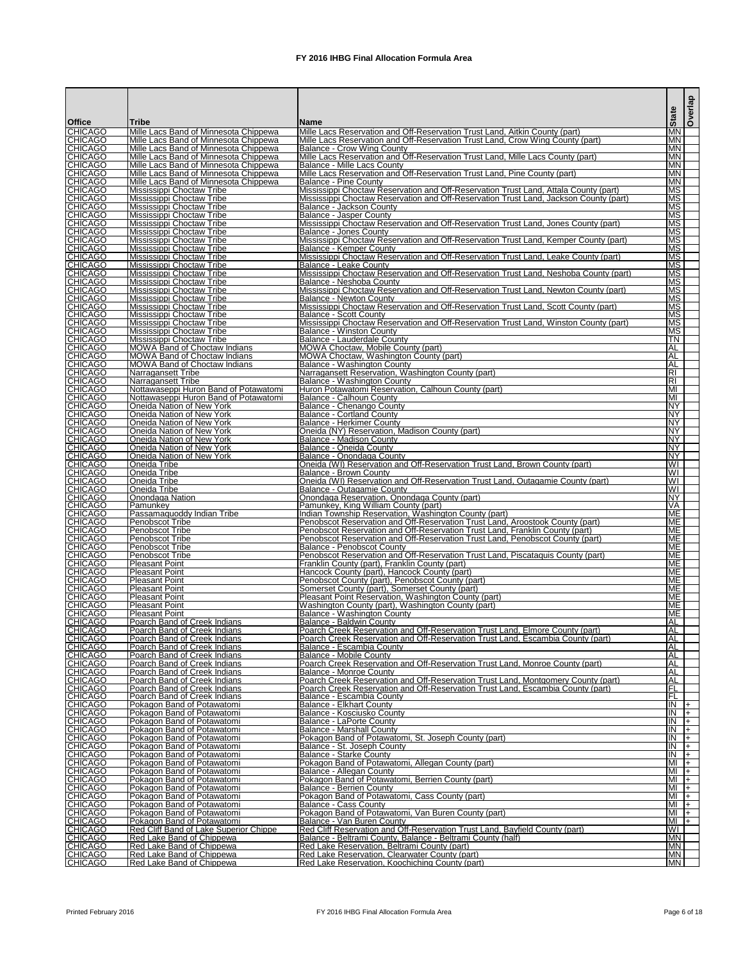| <b>Office</b>                    | <b>Tribe</b>                                                                   | lName                                                                                                                                                            | <b>State</b>             | <b>Overlap</b> |
|----------------------------------|--------------------------------------------------------------------------------|------------------------------------------------------------------------------------------------------------------------------------------------------------------|--------------------------|----------------|
| <b>CHICAGO</b><br><b>CHICAGO</b> | Mille Lacs Band of Minnesota Chippewa<br>Mille Lacs Band of Minnesota Chippewa | Mille Lacs Reservation and Off-Reservation Trust Land, Aitkin County (part)<br>Mille Lacs Reservation and Off-Reservation Trust Land, Crow Wing County (part)    | <b>MN</b><br>MN          |                |
| <b>CHICAGO</b>                   | Mille Lacs Band of Minnesota Chippewa                                          | Balance - Crow Wing County                                                                                                                                       | <b>MN</b>                |                |
| <b>CHICAGO</b><br><b>CHICAGO</b> | Mille Lacs Band of Minnesota Chippewa<br>Mille Lacs Band of Minnesota Chippewa | Mille Lacs Reservation and Off-Reservation Trust Land, Mille Lacs County (part)<br><b>Balance - Mille Lacs County</b>                                            | <b>MN</b><br><b>IMN</b>  |                |
| <b>CHICAGO</b>                   | Mille Lacs Band of Minnesota Chippewa                                          | Mille Lacs Reservation and Off-Reservation Trust Land, Pine County (part)                                                                                        | <b>MN</b>                |                |
| <b>CHICAGO</b><br><b>CHICAGO</b> | Mille Lacs Band of Minnesota Chippewa<br>Mississippi Choctaw Tribe             | Balance - Pine County<br>Mississippi Choctaw Reservation and Off-Reservation Trust Land, Attala County (part)                                                    | <b>MN</b><br><b>MS</b>   |                |
| <b>CHICAGO</b><br><b>CHICAGO</b> | Mississippi Choctaw Tribe<br>Mississippi Choctaw Tribe                         | Mississippi Choctaw Reservation and Off-Reservation Trust Land, Jackson County (part)<br>IBalance - Jackson County                                               | MS.<br><b>MS</b>         |                |
| <b>CHICAGO</b>                   | Mississippi Choctaw Tribe                                                      | Balance - Jasper County                                                                                                                                          | <b>MS</b>                |                |
| <b>CHICAGO</b><br><b>CHICAGO</b> | Mississippi Choctaw Tribe<br>Mississippi Choctaw Tribe                         | Mississippi Choctaw Reservation and Off-Reservation Trust Land, Jones County (part)<br>Balance - Jones County                                                    | МS<br><b>MS</b>          |                |
| <b>CHICAGO</b>                   | Mississippi Choctaw Tribe                                                      | Mississippi Choctaw Reservation and Off-Reservation Trust Land, Kemper County (part)                                                                             | <b>MS</b>                |                |
| <b>CHICAGO</b><br><b>CHICAGO</b> | Mississippi Choctaw Tribe<br>Mississippi Choctaw Tribe                         | <b>Balance - Kemper County</b><br>Mississippi Choctaw Reservation and Off-Reservation Trust Land, Leake County (part)                                            | <b>MS</b><br><b>MS</b>   |                |
| <b>CHICAGO</b>                   | <b>Mississippi Choctaw Tribe</b>                                               | Balance - Leake Countv                                                                                                                                           | $\overline{\text{MS}}$   |                |
| <b>CHICAGO</b><br><b>CHICAGO</b> | <b>Mississippi Choctaw Tribe</b><br><b>Mississippi Choctaw Tribe</b>           | Mississippi Choctaw Reservation and Off-Reservation Trust Land, Neshoba County (part)<br>Balance - Neshoba County                                                | <b>MS</b><br>MS.         |                |
| <b>CHICAGO</b>                   | Mississippi Choctaw Tribe                                                      | Mississippi Choctaw Reservation and Off-Reservation Trust Land, Newton County (part)                                                                             | <b>MS</b>                |                |
| <b>CHICAGO</b><br><b>CHICAGO</b> | Mississippi Choctaw Tribe<br>Mississippi Choctaw Tribe                         | IBalance - Newton Countv<br>Mississippi Choctaw Reservation and Off-Reservation Trust Land, Scott County (part)                                                  | MS.<br>MS.               |                |
| <b>CHICAGO</b><br><b>CHICAGO</b> | Mississippi Choctaw Tribe<br>Mississippi Choctaw Tribe                         | Balance - Scott County<br>Mississippi Choctaw Reservation and Off-Reservation Trust Land, Winston County (part)                                                  | <b>MS</b><br>МS          |                |
| <b>CHICAGO</b>                   | Mississippi Choctaw Tribe                                                      | <b>Balance - Winston County</b>                                                                                                                                  | <b>MS</b>                |                |
| <b>CHICAGO</b><br><b>CHICAGO</b> | Mississippi Choctaw Tribe<br><b>MOWA Band of Choctaw Indians</b>               | IBalance - Lauderdale Countv<br>MOWA Choctaw, Mobile County (part)                                                                                               | TN<br>AL                 |                |
| <b>CHICAGO</b>                   | <b>MOWA Band of Choctaw Indians</b>                                            | MOWA Choctaw, Washington County (part)                                                                                                                           | AL                       |                |
| <b>CHICAGO</b><br><b>CHICAGO</b> | <b>MOWA Band of Choctaw Indians</b><br>Narragansett Tribe                      | Balance - Washington County<br>Narragansett Reservation, Washington County (part)                                                                                | AL<br>RI                 |                |
| <b>CHICAGO</b>                   | Narragansett Tribe                                                             | Balance - Washington County                                                                                                                                      | RI                       |                |
| <b>CHICAGO</b><br><b>CHICAGO</b> | Nottawaseppi Huron Band of Potawatomi<br>Nottawaseppi Huron Band of Potawatomi | Huron Potawatomi Reservation, Calhoun County (part)<br>Balance - Calhoun County                                                                                  | ΙMΙ<br>МI                |                |
| <b>CHICAGO</b>                   | Oneida Nation of New York                                                      | Balance - Chenango County                                                                                                                                        | <b>INY</b>               |                |
| <b>CHICAGO</b><br><b>CHICAGO</b> | Oneida Nation of New York<br>Oneida Nation of New York                         | <b>Balance - Cortland County</b><br><b>Balance - Herkimer County</b>                                                                                             | <b>INY</b><br><b>INY</b> |                |
| <b>CHICAGO</b>                   | Oneida Nation of New York                                                      | Oneida (NY) Reservation, Madison County (part)                                                                                                                   | <b>INY</b>               |                |
| <b>CHICAGO</b><br><b>CHICAGO</b> | Oneida Nation of New York<br>Oneida Nation of New York                         | Balance - Madison County<br>Balance - Oneida County                                                                                                              | <b>NY</b><br><b>NY</b>   |                |
| <b>CHICAGO</b>                   | Oneida Nation of New York                                                      | Balance - Onondaga County                                                                                                                                        | INY.                     |                |
| <b>CHICAGO</b><br><b>CHICAGO</b> | Oneida Tribe<br>Oneida Tribe                                                   | Oneida (WI) Reservation and Off-Reservation Trust Land, Brown County (part)<br>Balance - Brown County                                                            | WI<br>WL                 |                |
| <b>CHICAGO</b>                   | Oneida Tribe                                                                   | Oneida (WI) Reservation and Off-Reservation Trust Land, Outagamie County (part)                                                                                  | WI<br>WI                 |                |
| <b>CHICAGO</b><br><b>CHICAGO</b> | Oneida Tribe<br>Onondaga Nation                                                | Balance - Outagamie County<br>Onondaga Reservation, Onondaga County (part)                                                                                       | <b>INY</b>               |                |
| <b>CHICAGO</b><br><b>CHICAGO</b> | Pamunkey                                                                       | Pamunkey, King William County (part)<br>Indian Township Reservation, Washington County (part)                                                                    | VA.<br>ME                |                |
| <b>CHICAGO</b>                   | Passamaguoddy Indian Tribe<br>Penobscot Tribe                                  | Penobscot Reservation and Off-Reservation Trust Land, Aroostook County (part)                                                                                    | ME.                      |                |
| <b>CHICAGO</b><br><b>CHICAGO</b> | <b>Penobscot Tribe</b><br><b>Penobscot Tribe</b>                               | Penobscot Reservation and Off-Reservation Trust Land, Franklin County (part)<br>Penobscot Reservation and Off-Reservation Trust Land, Penobscot County (part)    | ME<br>ME                 |                |
| <b>CHICAGO</b>                   | Penobscot Tribe                                                                | Balance - Penobscot County                                                                                                                                       | ME.                      |                |
| <b>CHICAGO</b><br><b>CHICAGO</b> | Penobscot Tribe<br><b>Pleasant Point</b>                                       | Penobscot Reservation and Off-Reservation Trust Land, Piscataguis County (part)<br>Franklin County (part), Franklin County (part)                                | ME.<br>IME.              |                |
| <b>CHICAGO</b>                   | <b>Pleasant Point</b>                                                          | Hancock County (part), Hancock County (part)                                                                                                                     | ME.                      |                |
| <b>CHICAGO</b><br><b>CHICAGO</b> | <b>Pleasant Point</b><br><b>Pleasant Point</b>                                 | Penobscot County (part), Penobscot County (part)<br>Somerset County (part), Somerset County (part)                                                               | ME<br>ME.                |                |
| <b>CHICAGO</b>                   | <b>Pleasant Point</b>                                                          | Pleasant Point Reservation, Washington County (part)                                                                                                             | ME                       |                |
| <b>CHICAGO</b><br><b>CHICAGO</b> | <b>Pleasant Point</b><br><b>Pleasant Point</b>                                 | Washington County (part), Washington County (part)<br>Balance - Washington County                                                                                | ME.<br>ME.               |                |
| <b>CHICAGO</b>                   | Poarch Band of Creek Indians                                                   | Balance - Baldwin County                                                                                                                                         | AL                       |                |
| <b>CHICAGO</b><br><b>CHICAGO</b> | Poarch Band of Creek Indians<br>Poarch Band of Creek Indians                   | Poarch Creek Reservation and Off-Reservation Trust Land, Elmore County (part)<br>Poarch Creek Reservation and Off-Reservation Trust Land, Escambia County (part) | AL<br>AL                 |                |
| <b>CHICAGO</b><br><b>CHICAGO</b> | Poarch Band of Creek Indians                                                   | Balance - Escambia County                                                                                                                                        | AL<br>AL                 |                |
| <b>CHICAGO</b>                   | Poarch Band of Creek Indians<br>Poarch Band of Creek Indians                   | Balance - Mobile County<br>Poarch Creek Reservation and Off-Reservation Trust Land, Monroe County (part)                                                         | AL                       |                |
| <b>CHICAGO</b><br><b>CHICAGO</b> | Poarch Band of Creek Indians<br>Poarch Band of Creek Indians                   | <b>Balance - Monroe County</b><br>Poarch Creek Reservation and Off-Reservation Trust Land, Montgomery County (part)                                              | AL<br>AL                 |                |
| <b>CHICAGO</b>                   | Poarch Band of Creek Indians                                                   | Poarch Creek Reservation and Off-Reservation Trust Land, Escambia County (part)                                                                                  | ΙFΓ                      |                |
| <b>CHICAGO</b><br><b>CHICAGO</b> | Poarch Band of Creek Indians<br>Pokagon Band of Potawatomi                     | Balance - Escambia County<br><b>Balance - Elkhart County</b>                                                                                                     | IFL<br>IN                | $+$            |
| <b>CHICAGO</b>                   | Pokagon Band of Potawatomi                                                     | Balance - Kosciusko County                                                                                                                                       | IN                       | $+$            |
| <b>CHICAGO</b><br><b>CHICAGO</b> | Pokagon Band of Potawatomi<br>Pokagon Band of Potawatomi                       | Balance - LaPorte County<br><b>Balance - Marshall County</b>                                                                                                     | Σ<br>IN                  | $+$<br>I+.     |
| <b>CHICAGO</b>                   | Pokagon Band of Potawatomi                                                     | Pokagon Band of Potawatomi, St. Joseph County (part)                                                                                                             | IN                       | I+             |
| <b>CHICAGO</b><br><b>CHICAGO</b> | Pokagon Band of Potawatomi<br>Pokagon Band of Potawatomi                       | Balance - St. Joseph County<br><b>Balance - Starke County</b>                                                                                                    | İN<br>IN                 | $+$<br>I+      |
| <b>CHICAGO</b>                   | Pokagon Band of Potawatomi                                                     | Pokagon Band of Potawatomi, Allegan County (part)                                                                                                                | МI                       | $ + $          |
| <b>CHICAGO</b><br><b>CHICAGO</b> | Pokagon Band of Potawatomi<br><u>Pokagon Band of Potawatomi</u>                | Balance - Allegan County<br>Pokagon Band of Potawatomi, Berrien County (part)                                                                                    | MI<br>MI                 | $ + $<br>I+.   |
| <b>CHICAGO</b>                   | Pokagon Band of Potawatomi                                                     | <b>Balance - Berrien County</b>                                                                                                                                  | МI                       | $ + $          |
| <b>CHICAGO</b><br><b>CHICAGO</b> | Pokagon Band of Potawatomi<br>Pokagon Band of Potawatomi                       | Pokagon Band of Potawatomi, Cass County (part)<br><b>Balance - Cass County</b>                                                                                   | MI<br>МI                 | I+<br>$ + $    |
| <b>CHICAGO</b>                   | Pokagon Band of Potawatomi                                                     | Pokagon Band of Potawatomi, Van Buren County (part)                                                                                                              | MI                       | I+             |
| <b>CHICAGO</b><br><b>CHICAGO</b> | Pokagon Band of Potawatomi<br>Red Cliff Band of Lake Superior Chippe           | Balance - Van Buren County<br>Red Cliff Reservation and Off-Reservation Trust Land, Bayfield County (part)                                                       | MI<br>W١                 | $+$            |
| <b>CHICAGO</b>                   | Red Lake Band of Chippewa                                                      | Balance - Beltrami County, Balance - Beltrami County (half)                                                                                                      | IMN.                     |                |
| <b>CHICAGO</b><br><b>CHICAGO</b> | Red Lake Band of Chippewa<br>Red Lake Band of Chippewa                         | Red Lake Reservation, Beltrami County (part)<br>Red Lake Reservation, Clearwater County (part)                                                                   | <b>IMN</b><br>MN         |                |
| <b>CHICAGO</b>                   | Red Lake Band of Chippewa                                                      | Red Lake Reservation. Koochiching County (part)                                                                                                                  | <b>MN</b>                |                |

Printed February 2016 **FX** 2016 IHBG Final Allocation Formula Area **Page 6 of 18** Page 6 of 18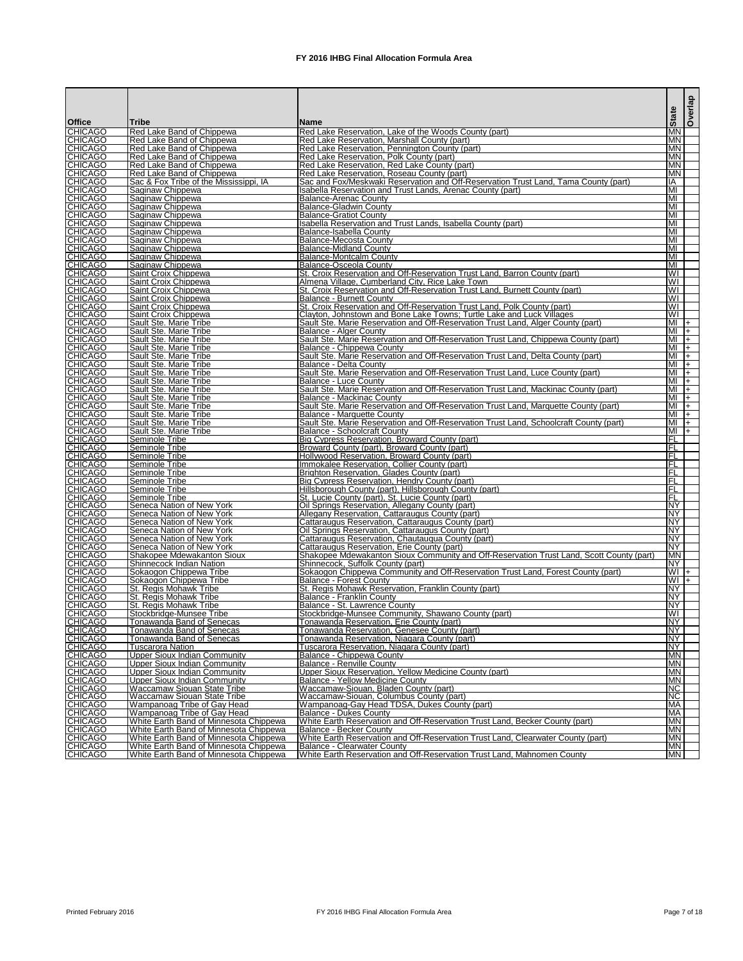|                                  |                                                                                  |                                                                                                                               | <b>State</b>             | Overlap                 |
|----------------------------------|----------------------------------------------------------------------------------|-------------------------------------------------------------------------------------------------------------------------------|--------------------------|-------------------------|
| <b>Office</b>                    | Tribe                                                                            | <b>Name</b>                                                                                                                   |                          |                         |
| <b>CHICAGO</b><br><b>CHICAGO</b> | Red Lake Band of Chippewa<br>Red Lake Band of Chippewa                           | Red Lake Reservation, Lake of the Woods County (part)<br>Red Lake Reservation, Marshall County (part)                         | <b>IMN</b><br><b>IMN</b> |                         |
| <b>CHICAGO</b>                   | Red Lake Band of Chippewa                                                        | Red Lake Reservation, Pennington County (part)                                                                                | <b>IMN</b>               |                         |
| <b>CHICAGO</b><br>CHICAGO        | Red Lake Band of Chippewa                                                        | Red Lake Reservation, Polk County (part)                                                                                      | <b>MN</b>                |                         |
| <b>CHICAGO</b>                   | Red Lake Band of Chippewa<br>Red Lake Band of Chippewa                           | Red Lake Reservation, Red Lake County (part)<br>Red Lake Reservation, Roseau County (part)                                    | <b>MN</b><br>IMN.        |                         |
| <b>CHICAGO</b>                   | Sac & Fox Tribe of the Mississippi, IA                                           | Sac and Fox/Meskwaki Reservation and Off-Reservation Trust Land, Tama County (part)                                           | IΙA                      |                         |
| <b>CHICAGO</b>                   | Saginaw Chippewa                                                                 | Isabella Reservation and Trust Lands, Arenac County (part)                                                                    | MI                       |                         |
| <b>CHICAGO</b><br><b>CHICAGO</b> | Saginaw Chippewa<br>Saginaw Chippewa                                             | Balance-Arenac County<br><b>Balance-Gladwin County</b>                                                                        | MI<br>MI                 |                         |
| <b>CHICAGO</b>                   | Saginaw Chippewa                                                                 | Balance-Gratiot County                                                                                                        | MI                       |                         |
| <b>CHICAGO</b>                   | Saginaw Chippewa                                                                 | Isabella Reservation and Trust Lands, Isabella County (part)                                                                  | MI                       |                         |
| <b>CHICAGO</b><br><b>CHICAGO</b> | Saginaw Chippewa<br>Saginaw Chippewa                                             | Balance-Isabella County<br><b>Balance-Mecosta County</b>                                                                      | MI<br>MI                 |                         |
| <b>CHICAGO</b>                   | Saginaw Chippewa                                                                 | Balance-Midland County                                                                                                        | MI                       |                         |
| <b>CHICAGO</b>                   | Saginaw Chippewa                                                                 | Balance-Montcalm County                                                                                                       | MI                       |                         |
| <b>CHICAGO</b><br>CHICAGO        | Saginaw Chippewa<br><b>Saint Croix Chippewa</b>                                  | Balance-Osceola County<br>St. Croix Reservation and Off-Reservation Trust Land, Barron County (part)                          | MI<br>WI                 |                         |
| <b>CHICAGO</b>                   | Saint Croix Chippewa                                                             | Almena Village, Cumberland City, Rice Lake Town                                                                               | WI                       |                         |
| <b>CHICAGO</b><br>CHICAGO        | Saint Croix Chippewa                                                             | St. Croix Reservation and Off-Reservation Trust Land, Burnett County (part)                                                   | WI                       |                         |
| <b>CHICAGO</b>                   | Saint Croix Chippewa<br>Saint Croix Chippewa                                     | Balance - Burnett County<br>St. Croix Reservation and Off-Reservation Trust Land, Polk County (part)                          | WI<br>WI                 |                         |
| <b>CHICAGO</b>                   | Saint Croix Chippewa                                                             | Clayton, Johnstown and Bone Lake Towns; Turtle Lake and Luck Villages                                                         | WI                       |                         |
| <b>CHICAGO</b>                   | Sault Ste. Marie Tribe                                                           | Sault Ste. Marie Reservation and Off-Reservation Trust Land, Alger County (part)                                              | $M +$                    |                         |
| <b>CHICAGO</b><br><b>CHICAGO</b> | Sault Ste. Marie Tribe<br>Sault Ste. Marie Tribe                                 | Balance - Alger County<br>Sault Ste. Marie Reservation and Off-Reservation Trust Land, Chippewa County (part)                 | MI<br>MI                 | $ +$<br>$ + $           |
| <b>CHICAGO</b>                   | Sault Ste. Marie Tribe                                                           | Balance - Chippewa County                                                                                                     | MI                       | $ + $                   |
| <b>CHICAGO</b><br><b>CHICAGO</b> | Sault Ste. Marie Tribe                                                           | Sault Ste. Marie Reservation and Off-Reservation Trust Land, Delta County (part)                                              | MI                       | $ +$                    |
| <b>CHICAGO</b>                   | Sault Ste. Marie Tribe<br>Sault Ste. Marie Tribe                                 | Balance - Delta County<br>Sault Ste. Marie Reservation and Off-Reservation Trust Land, Luce County (part)                     | MI<br>MI                 | $\overline{+}$<br>$ + $ |
| <b>CHICAGO</b>                   | Sault Ste. Marie Tribe                                                           | <b>Balance - Luce County</b>                                                                                                  | MI                       | $ + $                   |
| <b>CHICAGO</b><br><b>CHICAGO</b> | Sault Ste. Marie Tribe<br>Sault Ste. Marie Tribe                                 | Sault Ste. Marie Reservation and Off-Reservation Trust Land, Mackinac County (part)<br>Balance - Mackinac County              | ΙMΙ<br>MI                | $ +$<br>$ + $           |
| <b>CHICAGO</b>                   | Sault Ste. Marie Tribe                                                           | Sault Ste. Marie Reservation and Off-Reservation Trust Land, Marquette County (part)                                          | IMI                      | $ + $                   |
| <b>CHICAGO</b>                   | Sault Ste. Marie Tribe                                                           | Balance - Marquette County                                                                                                    | $M +$                    |                         |
| <b>CHICAGO</b><br><b>CHICAGO</b> | Sault Ste. Marie Tribe<br>Sault Ste. Marie Tribe                                 | Sault Ste. Marie Reservation and Off-Reservation Trust Land, Schoolcraft County (part)<br><b>Balance - Schoolcraft County</b> | $M +$<br>MI              | $ + $                   |
| <b>CHICAGO</b>                   | Seminole Tribe                                                                   | <b>Big Cypress Reservation, Broward County (part)</b>                                                                         | IFL                      |                         |
| <b>CHICAGO</b>                   | Seminole Tribe                                                                   | Broward County (part), Broward County (part)                                                                                  | IFL                      |                         |
| <b>CHICAGO</b><br><b>CHICAGO</b> | Seminole Tribe<br>Seminole Tribe                                                 | Hollywood Reservation, Broward County (part)<br>Immokalee Reservation, Collier County (part)                                  | IFL<br>IFL               |                         |
| <b>CHICAGO</b>                   | Seminole Tribe                                                                   | Brighton Reservation, Glades County (part)                                                                                    | IFL                      |                         |
| <b>CHICAGO</b>                   | Seminole Tribe                                                                   | Big Cypress Reservation, Hendry County (part)                                                                                 | IFL                      |                         |
| <b>CHICAGO</b><br><b>CHICAGO</b> | Seminole Tribe<br>Seminole Tribe                                                 | Hillsborough County (part), Hillsborough County (part)<br>St. Lucie County (part), St. Lucie County (part)                    | IFL<br>IFL               |                         |
| <b>CHICAGO</b>                   | Seneca Nation of New York                                                        | Oil Springs Reservation, Allegany County (part)                                                                               | <b>NY</b>                |                         |
| <b>CHICAGO</b>                   | Seneca Nation of New York                                                        | Allegany Reservation, Cattaraugus County (part)                                                                               | <b>NY</b>                |                         |
| <b>CHICAGO</b><br><b>CHICAGO</b> | Seneca Nation of New York<br>Seneca Nation of New York                           | Cattaraugus Reservation, Cattaraugus County (part)<br>Oil Springs Reservation, Cattaraugus County (part)                      | <b>NY</b><br><b>NY</b>   |                         |
| <b>CHICAGO</b>                   | Seneca Nation of New York                                                        | Cattaraugus Reservation, Chautaugua County (part)                                                                             | <b>NY</b>                |                         |
| <b>CHICAGO</b>                   | Seneca Nation of New York                                                        | Cattaraugus Reservation, Erie County (part)                                                                                   | <b>NY</b>                |                         |
| <b>CHICAGO</b><br><b>CHICAGO</b> | Shakopee Mdewakanton Sioux<br>Shinnecock Indian Nation                           | Shakopee Mdewakanton Sioux Community and Off-Reservation Trust Land, Scott County (part)<br>Shinnecock, Suffolk County (part) | <b>MN</b><br><b>INY</b>  |                         |
| <b>CHICAGO</b>                   | Sokaogon Chippewa Tribe                                                          | Sokaogon Chippewa Community and Off-Reservation Trust Land, Forest County (part)                                              | $WI +$                   |                         |
| <b>CHICAGO</b><br><b>CHICAGO</b> | Sokaogon Chippewa Tribe<br><b>St. Regis Mohawk Tribe</b>                         | <b>Balance - Forest County</b><br>St. Regis Mohawk Reservation, Franklin County (part)                                        | $WI +$<br><b>INY</b>     |                         |
| <b>CHICAGO</b>                   | St. Regis Mohawk Tribe                                                           | <b>Balance - Franklin County</b>                                                                                              | <b>NY</b>                |                         |
| <b>CHICAGO</b>                   | <b>St. Regis Mohawk Tribe</b>                                                    | Balance - St. Lawrence County                                                                                                 | <b>NY</b>                |                         |
| <b>CHICAGO</b><br><b>CHICAGO</b> | Stockbridge-Munsee Tribe                                                         | Stockbridge-Munsee Community, Shawano County (part)                                                                           | WI<br><b>NY</b>          |                         |
| <b>CHICAGO</b>                   | Tonawanda Band of Senecas<br>Tonawanda Band of Senecas                           | Tonawanda Reservation, Erie County (part)<br>Tonawanda Reservation, Genesee County (part)                                     | <b>NY</b>                |                         |
| <b>CHICAGO</b>                   | <b>Tonawanda Band of Senecas</b>                                                 | Tonawanda Reservation, Niagara County (part)                                                                                  | <b>NY</b>                |                         |
| <b>CHICAGO</b><br><b>CHICAGO</b> | <b>Tuscarora Nation</b><br><b>Upper Sioux Indian Community</b>                   | Tuscarora Reservation, Niagara County (part)<br>Balance - Chippewa County                                                     | <b>NY</b><br><b>MN</b>   |                         |
| <b>CHICAGO</b>                   | <b>Upper Sioux Indian Community</b>                                              | <b>Balance - Renville County</b>                                                                                              | <b>MN</b>                |                         |
| <b>CHICAGO</b>                   | <b>Upper Sioux Indian Community</b>                                              | Upper Sioux Reservation, Yellow Medicine County (part)                                                                        | <b>MN</b>                |                         |
| <b>CHICAGO</b><br><b>CHICAGO</b> | <b>Upper Sioux Indian Community</b><br>Waccamaw Siouan State Tribe               | Balance - Yellow Medicine County<br>Waccamaw-Siouan, Bladen County (part)                                                     | <b>MN</b><br><b>NC</b>   |                         |
| <b>CHICAGO</b>                   | Waccamaw Siouan State Tribe                                                      | Waccamaw-Siouan, Columbus County (part)                                                                                       | <b>NC</b>                |                         |
| <b>CHICAGO</b>                   | Wampanoag Tribe of Gay Head                                                      | Wampanoag-Gay Head TDSA, Dukes County (part)                                                                                  | МA                       |                         |
| <b>CHICAGO</b><br><b>CHICAGO</b> | Wampanoag Tribe of Gay Head<br>White Earth Band of Minnesota Chippewa            | <b>Balance - Dukes County</b><br>White Earth Reservation and Off-Reservation Trust Land, Becker County (part)                 | МA<br><b>MN</b>          |                         |
| <b>CHICAGO</b>                   | White Earth Band of Minnesota Chippewa                                           | <b>Balance - Becker County</b>                                                                                                | <b>MN</b>                |                         |
| <b>CHICAGO</b>                   | White Earth Band of Minnesota Chippewa                                           | White Earth Reservation and Off-Reservation Trust Land, Clearwater County (part)                                              | <b>MN</b>                |                         |
| <b>CHICAGO</b><br><b>CHICAGO</b> | White Earth Band of Minnesota Chippewa<br>White Earth Band of Minnesota Chippewa | Balance - Clearwater County<br>White Earth Reservation and Off-Reservation Trust Land, Mahnomen County                        | MN<br><b>MN</b>          |                         |
|                                  |                                                                                  |                                                                                                                               |                          |                         |

Printed February 2016 **FX** 2016 IHBG Final Allocation Formula Area **Page 7** of 18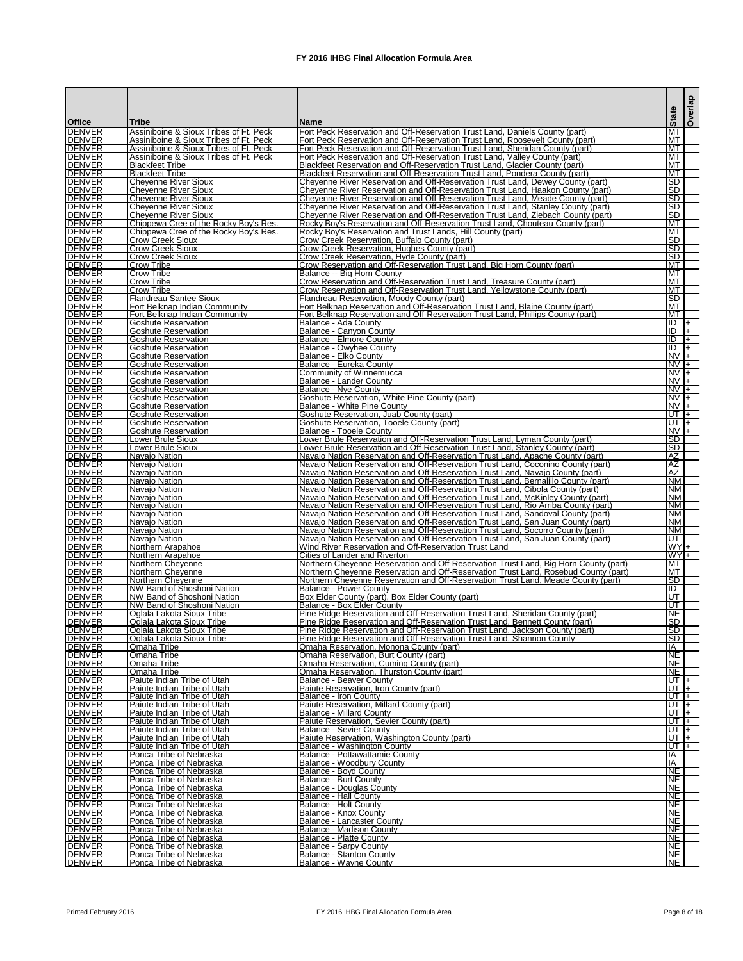|                                 |                                                                                  |                                                                                                                                                                             | <b>State</b>                  | Overlap                           |
|---------------------------------|----------------------------------------------------------------------------------|-----------------------------------------------------------------------------------------------------------------------------------------------------------------------------|-------------------------------|-----------------------------------|
| <b>Office</b><br><b>DENVER</b>  | Tribe<br>Assiniboine & Sioux Tribes of Ft. Peck                                  | lName<br>Fort Peck Reservation and Off-Reservation Trust Land, Daniels County (part)                                                                                        | MT                            |                                   |
| <b>IDENVER</b><br><b>DENVER</b> | Assiniboine & Sioux Tribes of Ft. Peck<br>Assiniboine & Sioux Tribes of Ft. Peck | Fort Peck Reservation and Off-Reservation Trust Land, Roosevelt County (part)<br>Fort Peck Reservation and Off-Reservation Trust Land, Sheridan County (part)               | MТ<br>MT                      |                                   |
| <b>DENVER</b>                   | Assiniboine & Sioux Tribes of Ft. Peck                                           | Fort Peck Reservation and Off-Reservation Trust Land, Valley County (part)                                                                                                  | <b>MT</b>                     |                                   |
| <b>DENVER</b><br><b>DENVER</b>  | <b>Blackfeet Tribe</b><br><b>I</b> Blackfeet Tribe                               | <b>Blackfeet Reservation and Off-Reservation Trust Land, Glacier County (part)</b><br><b>Blackfeet Reservation and Off-Reservation Trust Land, Pondera County (part)</b>    | MT<br><b>IMT</b>              |                                   |
| <b>DENVER</b>                   | Cheyenne River Sioux                                                             | Cheyenne River Reservation and Off-Reservation Trust Land, Dewey County (part)                                                                                              | ISD.                          |                                   |
| <b>DENVER</b><br><b>DENVER</b>  | <b>I</b> Chevenne River Sioux<br><b>Cheyenne River Sioux</b>                     | Cheyenne River Reservation and Off-Reservation Trust Land, Haakon County (part)<br>Cheyenne River Reservation and Off-Reservation Trust Land, Meade County (part)           | ISD<br><b>ISD</b>             |                                   |
| <b>DENVER</b><br><b>DENVER</b>  | Cheyenne River Sioux                                                             | Chevenne River Reservation and Off-Reservation Trust Land, Stanley County (part)                                                                                            | <b>ISD</b><br>ISD             |                                   |
| <b>DENVER</b>                   | Cheyenne River Sioux<br>Chippewa Cree of the Rocky Boy's Res.                    | Cheyenne River Reservation and Off-Reservation Trust Land, Ziebach County (part)<br>[Rocky Boy's Reservation and Off-Reservation Trust Land, Chouteau County (part)         | <b>IMT</b>                    |                                   |
| <b>DENVER</b><br><b>DENVER</b>  | Chippewa Cree of the Rocky Boy's Res.<br><b>I</b> Crow Creek Sioux               | Rocky Boy's Reservation and Trust Lands, Hill County (part)<br>Crow Creek Reservation, Buffalo County (part)                                                                | MT<br>ISD                     |                                   |
| <b>DENVER</b>                   | Crow Creek Sioux                                                                 | <b>Crow Creek Reservation, Hughes County (part)</b>                                                                                                                         | <b>ISD</b>                    |                                   |
| <b>DENVER</b><br><b>DENVER</b>  | Crow Creek Sioux<br><b>Crow Tribe</b>                                            | Crow Creek Reservation, Hyde County (part)<br>Crow Reservation and Off-Reservation Trust Land, Big Horn County (part)                                                       | ISD<br><b>MT</b>              |                                   |
| <b>DENVER</b>                   | <b>Crow Tribe</b>                                                                | IBalance -- Big Horn County                                                                                                                                                 | <b>MT</b>                     |                                   |
| <b>DENVER</b><br><b>DENVER</b>  | <b>Crow Tribe</b><br><b>I</b> Crow Tribe                                         | Crow Reservation and Off-Reservation Trust Land, Treasure County (part)<br>Crow Reservation and Off-Reservation Trust Land, Yellowstone County (part)                       | MT<br>MT                      |                                   |
| <b>DENVER</b>                   | Flandreau Santee Sioux                                                           | Flandreau Reservation, Moody County (part)<br>Fort Belknap Reservation and Off-Reservation Trust Land, Blaine County (part)                                                 | ISD                           |                                   |
| <b>DENVER</b><br><b>DENVER</b>  | IFort Belknap Indian Community<br>Fort Belknap Indian Community                  | Fort Belknap Reservation and Off-Reservation Trust Land, Phillips County (part)                                                                                             | IMT.<br><b>MT</b>             |                                   |
| <b>DENVER</b><br><b>DENVER</b>  | <b>IGoshute Reservation</b><br>Goshute Reservation                               | Balance - Ada County<br>Balance - Canyon County                                                                                                                             | IID.<br>lID.                  | $+$<br>$ + $                      |
| <b>DENVER</b>                   | Goshute Reservation                                                              | IBalance - Elmore County                                                                                                                                                    |                               | $\overline{ID}$ $\vdash$          |
| <b>DENVER</b><br><b>DENVER</b>  | <b>IGoshute Reservation</b><br>Goshute Reservation                               | <b>IBalance - Owyhee County</b><br>IBalance - Elko County                                                                                                                   | $\overline{N} \overline{V}$ + | IID I+                            |
| <b>DENVER</b>                   | Goshute Reservation                                                              | IBalance - Eureka County                                                                                                                                                    |                               | $\overline{N}V$ +                 |
| <b>DENVER</b><br><b>DENVER</b>  | Goshute Reservation<br>Goshute Reservation                                       | Community of Winnemucca<br><b>IBalance - Lander County</b>                                                                                                                  |                               | $\overline{NV}$ +<br>$NVI +$      |
| <b>IDENVER</b>                  | <b>Goshute Reservation</b>                                                       | Balance - Nye County                                                                                                                                                        |                               | $NV +$                            |
| <b>DENVER</b><br><b>DENVER</b>  | <b>Goshute Reservation</b><br>Goshute Reservation                                | Goshute Reservation, White Pine County (part)<br>Balance - White Pine County                                                                                                |                               | $NV +$<br>$NVI +$                 |
| <b>DENVER</b>                   | Goshute Reservation                                                              | Goshute Reservation, Juab County (part)                                                                                                                                     |                               | TUT 1+                            |
| <b>DENVER</b><br><b>DENVER</b>  | Goshute Reservation<br><b>Goshute Reservation</b>                                | Goshute Reservation, Tooele County (part)<br> Balance - Tooele County                                                                                                       |                               | IUT I+<br>$NV +$                  |
| <b>DENVER</b>                   | Lower Brule Sioux                                                                | Lower Brule Reservation and Off-Reservation Trust Land, Lyman County (part)                                                                                                 | ISD.                          |                                   |
| <b>DENVER</b><br><b>DENVER</b>  | Lower Brule Sioux<br>Navajo Nation                                               | Lower Brule Reservation and Off-Reservation Trust Land, Stanley County (part)<br>Navajo Nation Reservation and Off-Reservation Trust Land, Apache County (part)             | <b>SD</b><br> AZ              |                                   |
| <b>DENVER</b>                   | INavaio Nation                                                                   | INavaio Nation Reservation and Off-Reservation Trust Land, Coconino County (part)                                                                                           | AZ.                           |                                   |
| <b>DENVER</b><br><b>DENVER</b>  | Navajo Nation<br>Navajo Nation                                                   | Navajo Nation Reservation and Off-Reservation Trust Land, Navajo County (part)<br>Navajo Nation Reservation and Off-Reservation Trust Land, Bernalillo County (part)        | <b>IAZ</b><br><b>INM</b>      |                                   |
| <b>DENVER</b><br><b>DENVER</b>  | Navajo Nation                                                                    | Navajo Nation Reservation and Off-Reservation Trust Land, Cibola County (part)                                                                                              | <b>INM</b><br><b>NM</b>       |                                   |
| <b>DENVER</b>                   | Navajo Nation<br><b>Navajo Nation</b>                                            | Navajo Nation Reservation and Off-Reservation Trust Land, McKinley County (part)<br>Navajo Nation Reservation and Off-Reservation Trust Land, Rio Arriba County (part)      | <b>NM</b>                     |                                   |
| <b>DENVER</b><br><b>DENVER</b>  | Navajo Nation                                                                    | Navajo Nation Reservation and Off-Reservation Trust Land, Sandoval County (part)<br>Navajo Nation Reservation and Off-Reservation Trust Land, San Juan County (part)        | <b>NM</b><br><b>NM</b>        |                                   |
| <b>DENVER</b>                   | Navajo Nation<br>Navaio Nation                                                   | Navajo Nation Reservation and Off-Reservation Trust Land, Socorro County (part)                                                                                             | <b>NM</b>                     |                                   |
| <b>DENVER</b><br><b>DENVER</b>  | Navajo Nation<br>Northern Arapahoe                                               | Navajo Nation Reservation and Off-Reservation Trust Land, San Juan County (part)<br>Wind River Reservation and Off-Reservation Trust Land                                   | IUT -                         | WY <sub>+</sub>                   |
| <b>DENVER</b>                   | Northern Arapahoe                                                                | Cities of Lander and Riverton                                                                                                                                               |                               | $WY +$                            |
| <b>DENVER</b><br><b>DENVER</b>  | Northern Cheyenne<br>Northern Cheyenne                                           | Northern Cheyenne Reservation and Off-Reservation Trust Land, Big Horn County (part)<br>Northern Cheyenne Reservation and Off-Reservation Trust Land, Rosebud County (part) | <b>MT</b><br>MT               |                                   |
| <b>DENVER</b>                   | Northern Cheyenne                                                                | Northern Cheyenne Reservation and Off-Reservation Trust Land, Meade County (part)                                                                                           | <b>ISD</b>                    |                                   |
| <b>DENVER</b><br><b>DENVER</b>  | <b>NW Band of Shoshoni Nation</b><br>NW Band of Shoshoni Nation                  | Balance - Power County<br>Box Elder County (part), Box Elder County (part)                                                                                                  | lID.<br>IUT.                  |                                   |
| <b>DENVER</b>                   | NW Band of Shoshoni Nation                                                       | Balance - Box Elder County                                                                                                                                                  | <b>IUT</b>                    |                                   |
| <b>DENVER</b><br><b>DENVER</b>  | <b>Oglala Lakota Sioux Tribe</b><br>Oglala Lakota Sioux Tribe                    | Pine Ridge Reservation and Off-Reservation Trust Land, Sheridan County (part)<br>Pine Ridge Reservation and Off-Reservation Trust Land, Bennett County (part)               | <b>NE</b><br><b>ISD</b>       |                                   |
| <b>DENVER</b>                   | Oglala Lakota Sioux Tribe                                                        | Pine Ridge Reservation and Off-Reservation Trust Land, Jackson County (part)                                                                                                | <b>SD</b>                     |                                   |
| <b>DENVER</b><br><b>DENVER</b>  | Oglala Lakota Sioux Tribe<br>Omaha Tribe                                         | Pine Ridge Reservation and Off-Reservation Trust Land, Shannon County<br>Omaha Reservation, Monona County (part)                                                            | <b>ISD</b><br>ΙA              |                                   |
| <b>DENVER</b><br><b>DENVER</b>  | Omaha Tribe                                                                      | Omaha Reservation, Burt County (part)                                                                                                                                       | <b>NE</b><br>INE.             |                                   |
| <b>DENVER</b>                   | Omaha Tribe<br>lOmaha Tribe                                                      | Omaha Reservation, Cuming County (part)<br>Omaha Reservation, Thurston County (part)                                                                                        | <b>NE</b>                     |                                   |
| <b>DENVER</b><br><b>DENVER</b>  | Paiute Indian Tribe of Utah<br>Paiute Indian Tribe of Utah                       | Balance - Beaver County<br>Paiute Reservation, Iron County (part)                                                                                                           |                               | UT I+<br>UT  +                    |
| <b>DENVER</b>                   | Paiute Indian Tribe of Utah                                                      | Balance - Iron County                                                                                                                                                       |                               | $\overline{\text{UT}} \mid_{\pm}$ |
| <b>DENVER</b><br><b>DENVER</b>  | Paiute Indian Tribe of Utah<br>Paiute Indian Tribe of Utah                       | Paiute Reservation, Millard County (part)<br>IBalance - Millard Countv                                                                                                      |                               | UT I+<br>UT I+                    |
| <b>DENVER</b>                   | Paiute Indian Tribe of Utah                                                      | Paiute Reservation, Sevier County (part)                                                                                                                                    |                               | $UT +$                            |
| <b>DENVER</b><br><b>DENVER</b>  | Paiute Indian Tribe of Utah<br>Paiute Indian Tribe of Utah                       | Balance - Sevier County<br>Paiute Reservation, Washington County (part)                                                                                                     | $\overline{UT}$ +             | $UT +$                            |
| <b>DENVER</b>                   | Paiute Indian Tribe of Utah                                                      | Balance - Washington County                                                                                                                                                 |                               | UT I+                             |
| <b>DENVER</b><br><b>DENVER</b>  | Ponca Tribe of Nebraska<br>Ponca Tribe of Nebraska                               | Balance - Pottawattamie County<br>Balance - Woodbury County                                                                                                                 | IA<br>IA                      |                                   |
| <b>DENVER</b>                   | Ponca Tribe of Nebraska                                                          | Balance - Boyd County                                                                                                                                                       | <b>NE</b>                     |                                   |
| <b>DENVER</b><br><b>DENVER</b>  | Ponca Tribe of Nebraska<br>Ponca Tribe of Nebraska                               | Balance - Burt County<br>Balance - Douglas County                                                                                                                           | INE.<br><b>NE</b>             |                                   |
| <b>DENVER</b>                   | Ponca Tribe of Nebraska                                                          | Balance - Hall County                                                                                                                                                       | <b>NE</b>                     |                                   |
| <b>DENVER</b><br><b>DENVER</b>  | Ponca Tribe of Nebraska<br>Ponca Tribe of Nebraska                               | Balance - Holt County<br> Balance - Knox County                                                                                                                             | <b>NE</b><br><b>NE</b>        |                                   |
| <b>DENVER</b>                   | Ponca Tribe of Nebraska                                                          | IBalance - Lancaster County                                                                                                                                                 | <b>NE</b>                     |                                   |
| <b>DENVER</b><br><b>DENVER</b>  | Ponca Tribe of Nebraska<br>Ponca Tribe of Nebraska                               | Balance - Madison County<br>Balance - Platte County                                                                                                                         | <b>NE</b><br><b>NE</b>        |                                   |
| <b>IDENVER</b>                  | IPonca Tribe of Nebraska                                                         | Balance - Sarpy County                                                                                                                                                      | <b>INE</b>                    |                                   |
| <b>DENVER</b><br><b>DENVER</b>  | Ponca Tribe of Nebraska<br>Ponca Tribe of Nebraska                               | <b>Balance - Stanton County</b><br><b>Balance - Wayne County</b>                                                                                                            | NE<br><b>NE</b>               |                                   |

Printed February 2016 **FX** 2016 IHBG Final Allocation Formula Area **Page 8 of 18** Page 8 of 18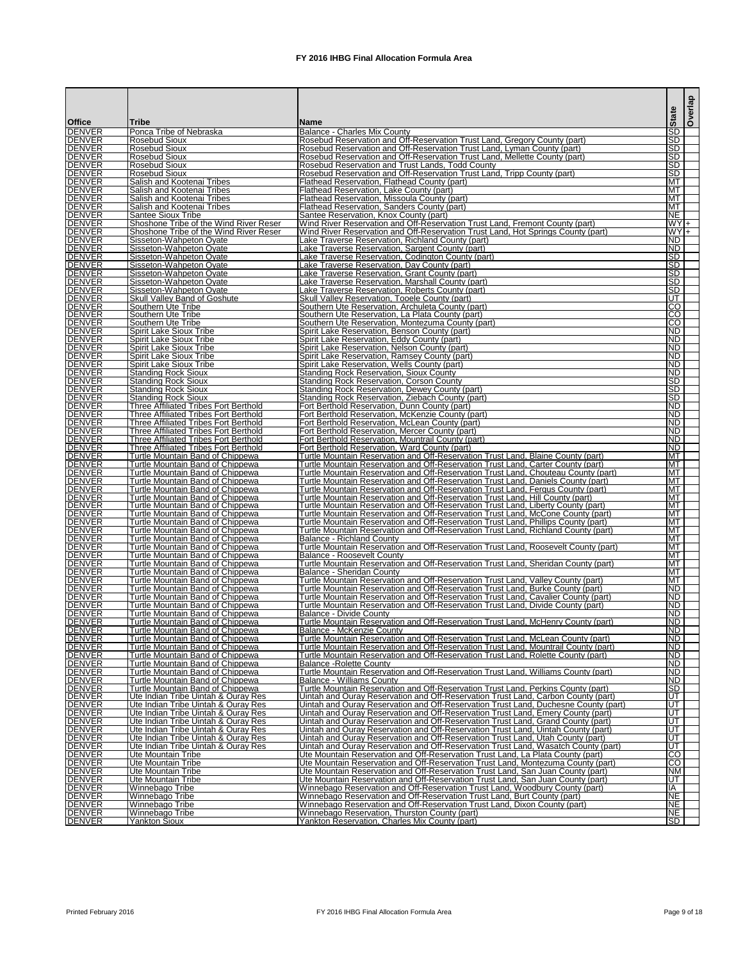|                                |                                                                                              |                                                                                                                                                                        | <b>State</b>             | Overlap |
|--------------------------------|----------------------------------------------------------------------------------------------|------------------------------------------------------------------------------------------------------------------------------------------------------------------------|--------------------------|---------|
| <b>Office</b><br><b>DENVER</b> | <b>Tribe</b><br>Ponca Tribe of Nebraska                                                      | <b>IName</b>                                                                                                                                                           | <b>SD</b>                |         |
| <b>DENVER</b>                  | <b>Rosebud Sioux</b>                                                                         | IBalance - Charles Mix County<br>Rosebud Reservation and Off-Reservation Trust Land, Gregory County (part)                                                             | <b>SD</b>                |         |
| <b>DENVER</b>                  | Rosebud Sioux                                                                                | Rosebud Reservation and Off-Reservation Trust Land, Lyman County (part)                                                                                                | <b>SD</b>                |         |
| <b>DENVER</b><br><b>DENVER</b> | <b>Rosebud Sioux</b><br>lRosebud Sioux                                                       | Rosebud Reservation and Off-Reservation Trust Land, Mellette County (part)<br><b>Rosebud Reservation and Trust Lands, Todd County</b>                                  | SD <br><b>ISD</b>        |         |
| <b>DENVER</b>                  | Rosebud Sioux                                                                                | Rosebud Reservation and Off-Reservation Trust Land, Tripp County (part)                                                                                                | <b>SD</b>                |         |
| <b>DENVER</b><br><b>DENVER</b> | Salish and Kootenai Tribes                                                                   | Flathead Reservation, Flathead County (part)                                                                                                                           | <b>MT</b><br><b>MT</b>   |         |
| <b>DENVER</b>                  | ISalish and Kootenai Tribes<br>lSalish and Kootenai Tribes                                   | <b>Flathead Reservation, Lake County (part)</b><br>Flathead Reservation, Missoula County (part)                                                                        | <b>IMT</b>               |         |
| <b>DENVER</b>                  | Salish and Kootenai Tribes                                                                   | Flathead Reservation, Sanders County (part)                                                                                                                            | <b>MT</b>                |         |
| <b>DENVER</b><br><b>DENVER</b> | <b>I</b> Santee Sioux Tribe<br>Shoshone Tribe of the Wind River Reser                        | Santee Reservation, Knox County (part)<br>Wind River Reservation and Off-Reservation Trust Land, Fremont County (part)                                                 | INE.<br>$WY$ +           |         |
| <b>DENVER</b>                  | Shoshone Tribe of the Wind River Reser                                                       | Wind River Reservation and Off-Reservation Trust Land, Hot Springs County (part)                                                                                       | WYI+                     |         |
| <b>DENVER</b><br><b>DENVER</b> | Sisseton-Wahpeton Oyate<br>Sisseton-Wahpeton Oyate                                           | Lake Traverse Reservation, Richland County (part)<br>Lake Traverse Reservation, Sargent County (part)                                                                  | IND.<br>IND.             |         |
| <b>DENVER</b>                  | Sisseton-Wahpeton Oyate                                                                      | Lake Traverse Reservation, Codington County (part)                                                                                                                     | ISD                      |         |
| <b>DENVER</b>                  | Sisseton-Wahpeton Ovate                                                                      | ake Traverse Reservation, Day County (part)                                                                                                                            | SD                       |         |
| <b>DENVER</b><br><b>DENVER</b> | Sisseton-Wahpeton Oyate<br>Sisseton-Wahpeton Oyate                                           | Lake Traverse Reservation, Grant County (part)<br>Lake Traverse Reservation, Marshall County (part)                                                                    | <b>ISD</b><br><b>ISD</b> |         |
| <b>DENVER</b>                  | Sisseton-Wahpeton Oyate                                                                      | Lake Traverse Reservation, Roberts County (part)                                                                                                                       | <b>ISD</b>               |         |
| <b>DENVER</b><br><b>DENVER</b> | <b>Skull Valley Band of Goshute</b><br><b>I</b> Southern Ute Tribe                           | Skull Valley Reservation, Tooele County (part)<br>Southern Ute Reservation, Archuleta County (part)                                                                    | IUT.<br>ICO              |         |
| <b>DENVER</b>                  | Southern Ute Tribe                                                                           | Southern Ute Reservation, La Plata County (part)                                                                                                                       | <b>CO</b>                |         |
| <b>DENVER</b>                  | Southern Ute Tribe                                                                           | Southern Ute Reservation, Montezuma County (part)                                                                                                                      | ICO.                     |         |
| <b>DENVER</b><br><b>DENVER</b> | Spirit Lake Sioux Tribe<br>Spirit Lake Sioux Tribe                                           | Spirit Lake Reservation, Benson County (part)<br>Spirit Lake Reservation, Eddy County (part)                                                                           | IND.<br>IND.             |         |
| <b>DENVER</b>                  | Spirit Lake Sioux Tribe                                                                      | Spirit Lake Reservation, Nelson County (part)                                                                                                                          | IND.                     |         |
| <b>DENVER</b><br><b>DENVER</b> | Spirit Lake Sioux Tribe<br>Spirit Lake Sioux Tribe                                           | Spirit Lake Reservation, Ramsey County (part)<br>Spirit Lake Reservation, Wells County (part)                                                                          | IND.<br><b>ND</b>        |         |
| <b>DENVER</b>                  | Standing Rock Sioux                                                                          | <b>Standing Rock Reservation, Sioux County</b>                                                                                                                         | <b>ND</b>                |         |
| <b>DENVER</b>                  | <b>Standing Rock Sioux</b>                                                                   | <b>Standing Rock Reservation, Corson County</b>                                                                                                                        | ISD                      |         |
| <b>DENVER</b><br><b>DENVER</b> | <b>Standing Rock Sioux</b><br><b>Standing Rock Sioux</b>                                     | <b>Standing Rock Reservation, Dewey County (part)</b><br>Standing Rock Reservation, Ziebach County (part)                                                              | <b>ISD</b><br><b>SD</b>  |         |
| <b>DENVER</b>                  | <b>Three Affiliated Tribes Fort Berthold</b>                                                 | Fort Berthold Reservation, Dunn County (part)                                                                                                                          | IND.                     |         |
| <b>DENVER</b><br><b>DENVER</b> | Three Affiliated Tribes Fort Berthold                                                        | Fort Berthold Reservation, McKenzie County (part)                                                                                                                      | IND.<br>IND.             |         |
| <b>DENVER</b>                  | <b>Three Affiliated Tribes Fort Berthold</b><br><b>Three Affiliated Tribes Fort Berthold</b> | Fort Berthold Reservation, McLean County (part)<br>Fort Berthold Reservation, Mercer County (part)                                                                     | IND.                     |         |
| <b>DENVER</b>                  | Three Affiliated Tribes Fort Berthold                                                        | Fort Berthold Reservation, Mountrail County (part)                                                                                                                     | <b>ND</b>                |         |
| <b>DENVER</b><br><b>DENVER</b> | <b>Three Affiliated Tribes Fort Berthold</b><br>Turtle Mountain Band of Chippewa             | Fort Berthold Reservation, Ward County (part)<br>Turtle Mountain Reservation and Off-Reservation Trust Land, Blaine County (part)                                      | IND.<br>MT               |         |
| <b>DENVER</b>                  | Turtle Mountain Band of Chippewa                                                             | Turtle Mountain Reservation and Off-Reservation Trust Land, Carter County (part)                                                                                       | <b>MT</b>                |         |
| <b>DENVER</b><br><b>DENVER</b> | Turtle Mountain Band of Chippewa<br><b>Turtle Mountain Band of Chippewa</b>                  | Turtle Mountain Reservation and Off-Reservation Trust Land, Chouteau County (part)                                                                                     | <b>MT</b><br>MT          |         |
| <b>DENVER</b>                  | Turtle Mountain Band of Chippewa                                                             | Turtle Mountain Reservation and Off-Reservation Trust Land, Daniels County (part)<br>Turtle Mountain Reservation and Off-Reservation Trust Land, Fergus County (part)  | MT                       |         |
| <b>DENVER</b>                  | Turtle Mountain Band of Chippewa                                                             | Turtle Mountain Reservation and Off-Reservation Trust Land, Hill County (part)                                                                                         | MT                       |         |
| <b>DENVER</b><br><b>DENVER</b> | Turtle Mountain Band of Chippewa<br>Turtle Mountain Band of Chippewa                         | Turtle Mountain Reservation and Off-Reservation Trust Land, Liberty County (part)<br>Turtle Mountain Reservation and Off-Reservation Trust Land, McCone County (part)  | <b>MT</b><br><b>MT</b>   |         |
| <b>DENVER</b>                  | Turtle Mountain Band of Chippewa                                                             | Turtle Mountain Reservation and Off-Reservation Trust Land, Phillips County (part)                                                                                     | MT                       |         |
| <b>DENVER</b><br><b>DENVER</b> | Turtle Mountain Band of Chippewa                                                             | Turtle Mountain Reservation and Off-Reservation Trust Land, Richland County (part)                                                                                     | <b>MT</b><br>MT          |         |
| <b>DENVER</b>                  | Turtle Mountain Band of Chippewa<br>Turtle Mountain Band of Chippewa                         | Balance - Richland County<br>Turtle Mountain Reservation and Off-Reservation Trust Land, Roosevelt County (part)                                                       | MT                       |         |
| <b>DENVER</b>                  | Turtle Mountain Band of Chippewa                                                             | IBalance - Roosevelt Countv                                                                                                                                            | MT                       |         |
| <b>DENVER</b><br><b>DENVER</b> | Turtle Mountain Band of Chippewa<br>Turtle Mountain Band of Chippewa                         | Turtle Mountain Reservation and Off-Reservation Trust Land, Sheridan County (part)<br>IBalance - Sheridan Countv                                                       | MT<br>MT                 |         |
| <b>DENVER</b>                  | Turtle Mountain Band of Chippewa                                                             | Turtle Mountain Reservation and Off-Reservation Trust Land, Valley County (part)                                                                                       | MT                       |         |
| <b>DENVER</b>                  | Turtle Mountain Band of Chippewa                                                             | Turtle Mountain Reservation and Off-Reservation Trust Land, Burke County (part)                                                                                        | <b>ND</b>                |         |
| <b>DENVER</b><br><b>DENVER</b> | Turtle Mountain Band of Chippewa<br>Turtle Mountain Band of Chippewa                         | Turtle Mountain Reservation and Off-Reservation Trust Land, Cavalier County (part)<br>Turtle Mountain Reservation and Off-Reservation Trust Land, Divide County (part) | IND.<br><b>ND</b>        |         |
| <b>DENVER</b>                  | Turtle Mountain Band of Chippewa                                                             | Balance - Divide County                                                                                                                                                | IND.                     |         |
| <b>DENVER</b><br><b>DENVER</b> | Turtle Mountain Band of Chippewa<br>Turtle Mountain Band of Chippewa                         | Turtle Mountain Reservation and Off-Reservation Trust Land, McHenry County (part)<br>IBalance - McKenzie County                                                        | <b>ND</b><br><b>ND</b>   |         |
| <b>DENVER</b>                  | Turtle Mountain Band of Chippewa                                                             | Turtle Mountain Reservation and Off-Reservation Trust Land, McLean County (part)                                                                                       | <b>ND</b>                |         |
| <b>DENVER</b>                  | <b>Turtle Mountain Band of Chippewa</b>                                                      | <u>Turtle Mountain Reservation and Off-Reservation Trust Land, Mountrail County (part)</u>                                                                             | IND.                     |         |
| <b>DENVER</b><br><b>DENVER</b> | Turtle Mountain Band of Chippewa<br>Turtle Mountain Band of Chippewa                         | Turtle Mountain Reservation and Off-Reservation Trust Land, Rolette County (part)<br><b>IBalance -Rolette Countv</b>                                                   | IND.<br>IND.             |         |
| <b>DENVER</b>                  | Turtle Mountain Band of Chippewa                                                             | Turtle Mountain Reservation and Off-Reservation Trust Land, Williams County (part)                                                                                     | ND.                      |         |
| <b>DENVER</b><br><b>DENVER</b> | Turtle Mountain Band of Chippewa<br>Turtle Mountain Band of Chippewa                         | <b>IBalance - Williams Countv</b><br>Turtle Mountain Reservation and Off-Reservation Trust Land, Perkins County (part)                                                 | <b>ND</b><br><b>SD</b>   |         |
| <b>DENVER</b>                  | Ute Indian Tribe Uintah & Ouray Res                                                          | Uintah and Ouray Reservation and Off-Reservation Trust Land, Carbon County (part)                                                                                      | IUТ                      |         |
| <b>DENVER</b>                  | Ute Indian Tribe Uintah & Ouray Res                                                          | Uintah and Ouray Reservation and Off-Reservation Trust Land, Duchesne County (part)                                                                                    | <b>IUT</b>               |         |
| <b>DENVER</b><br><b>DENVER</b> | Ute Indian Tribe Uintah & Ouray Res<br>Ute Indian Tribe Uintah & Ouray Res                   | Uintah and Ouray Reservation and Off-Reservation Trust Land, Emery County (part)<br>Uintah and Ouray Reservation and Off-Reservation Trust Land, Grand County (part)   | IUT.<br>IUT.             |         |
| <b>DENVER</b>                  | Ute Indian Tribe Uintah & Ouray Res                                                          | Uintah and Ouray Reservation and Off-Reservation Trust Land, Uintah County (part)                                                                                      | IUT.                     |         |
| <b>DENVER</b><br><b>DENVER</b> | Ute Indian Tribe Uintah & Ouray Res<br>Ute Indian Tribe Uintah & Ouray Res                   | Uintah and Ouray Reservation and Off-Reservation Trust Land, Utah County (part)<br>Uintah and Ouray Reservation and Off-Reservation Trust Land, Wasatch County (part)  | <b>IUT</b><br>IUT.       |         |
| <b>DENVER</b>                  | Ute Mountain Tribe                                                                           | Ute Mountain Reservation and Off-Reservation Trust Land, La Plata County (part)                                                                                        | S                        |         |
| <b>DENVER</b>                  | <b>Ute Mountain Tribe</b>                                                                    | Ute Mountain Reservation and Off-Reservation Trust Land, Montezuma County (part)                                                                                       | $\overline{C}$           |         |
| <b>DENVER</b><br><b>DENVER</b> | Ute Mountain Tribe<br>Ute Mountain Tribe                                                     | Ute Mountain Reservation and Off-Reservation Trust Land, San Juan County (part)<br>Ute Mountain Reservation and Off-Reservation Trust Land, San Juan County (part)     | <b>NM</b><br>IUT.        |         |
| <b>DENVER</b>                  | Winnebago Tribe                                                                              | Winnebago Reservation and Off-Reservation Trust Land, Woodbury County (part)                                                                                           | IA                       |         |
| <b>DENVER</b>                  | Winnebago Tribe                                                                              | Winnebago Reservation and Off-Reservation Trust Land, Burt County (part)                                                                                               | <b>NE</b>                |         |
| <b>DENVER</b><br><b>DENVER</b> | Winnebago Tribe<br>Winnebago Tribe                                                           | Winnebago Reservation and Off-Reservation Trust Land, Dixon County (part)<br>Winnebago Reservation, Thurston County (part)                                             | <b>NE</b><br><b>NE</b>   |         |
| <b>DENVER</b>                  | <b>Yankton Sioux</b>                                                                         | Yankton Reservation, Charles Mix County (part)                                                                                                                         | <b>ISD</b>               |         |

Printed February 2016 **FX** 2016 IHBG Final Allocation Formula Area **Page 9 of 18** Page 9 of 18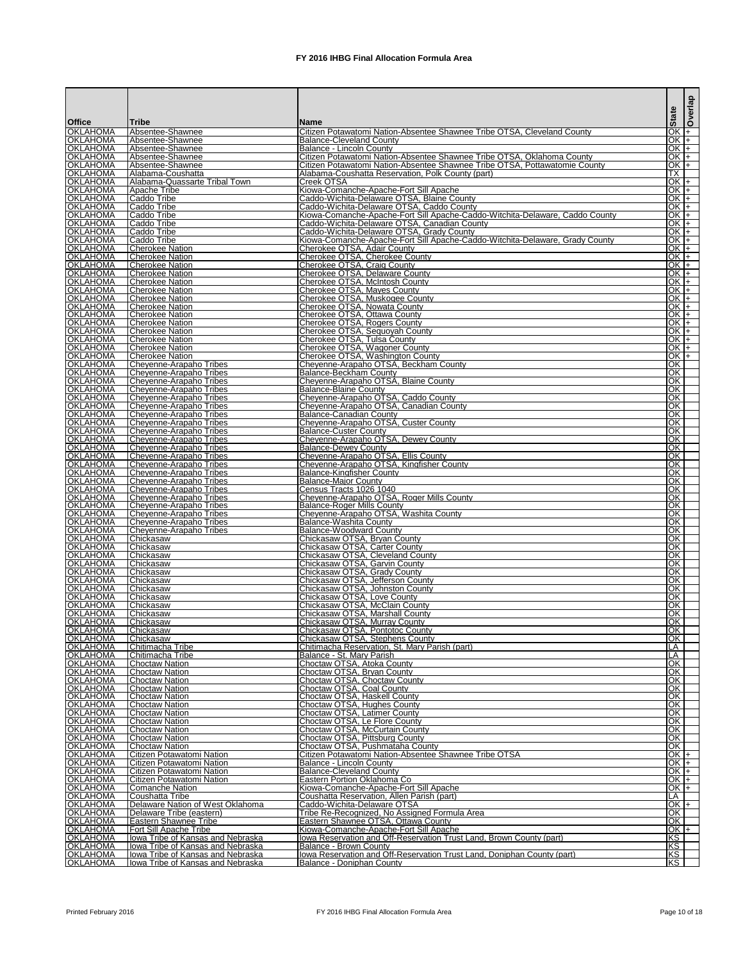|                                    |                                                                               |                                                                                                                           |                        | delaso |
|------------------------------------|-------------------------------------------------------------------------------|---------------------------------------------------------------------------------------------------------------------------|------------------------|--------|
| Office                             | <b>Tribe</b>                                                                  | Name                                                                                                                      | State                  |        |
| <b>OKLAHOMA</b>                    | Absentee-Shawnee                                                              | Citizen Potawatomi Nation-Absentee Shawnee Tribe OTSA, Cleveland County                                                   | OK $+$                 |        |
| <b>OKLAHOMA</b>                    | Absentee-Shawnee                                                              | <b>Balance-Cleveland County</b>                                                                                           | IOK I+                 |        |
| <b>OKLAHOMA</b><br><b>OKLAHOMA</b> | Absentee-Shawnee<br>Absentee-Shawnee                                          | Balance - Lincoln County<br>Citizen Potawatomi Nation-Absentee Shawnee Tribe OTSA, Oklahoma County                        | lOK I+<br>OK I+        |        |
| <b>OKLAHOMA</b>                    | Absentee-Shawnee                                                              | Citizen Potawatomi Nation-Absentee Shawnee Tribe OTSA, Pottawatomie County                                                | IOK I+                 |        |
| <b>OKLAHOMA</b><br><b>OKLAHOMA</b> | Alabama-Coushatta<br>Alabama-Quassarte Tribal Town                            | Alabama-Coushatta Reservation, Polk County (part)<br>Creek OTSA                                                           | <b>ITX</b><br>OK +     |        |
| <b>OKLAHOMA</b>                    | <b>Apache Tribe</b>                                                           | Kiowa-Comanche-Apache-Fort Sill Apache                                                                                    | OK +                   |        |
| <b>OKLAHOMA</b>                    | Caddo Tribe                                                                   | Caddo-Wichita-Delaware OTSA, Blaine County                                                                                | OK +                   |        |
| <b>OKLAHOMA</b><br><b>OKLAHOMA</b> | Caddo Tribe<br>Caddo Tribe                                                    | Caddo-Wichita-Delaware OTSA, Caddo County<br>Kiowa-Comanche-Apache-Fort Sill Apache-Caddo-Witchita-Delaware, Caddo County | IOK I+<br>$OK +$       |        |
| <b>OKLAHOMA</b>                    | Caddo Tribe                                                                   | Caddo-Wichita-Delaware OTSA, Canadian County                                                                              | $OK +$                 |        |
| <b>OKLAHOMA</b><br><b>OKLAHOMA</b> | Caddo Tribe<br>Caddo Tribe                                                    | Caddo-Wichita-Delaware OTSA, Grady County<br>Kiowa-Comanche-Apache-Fort Sill Apache-Caddo-Witchita-Delaware, Grady County | IOK I+<br>$OK +$       |        |
| <b>OKLAHOMA</b>                    | <b>Cherokee Nation</b>                                                        | Cherokee OTSA, Adair County                                                                                               | $OK +$                 |        |
| <b>OKLAHOMA</b>                    | <b>Cherokee Nation</b>                                                        | Cherokee OTSA, Cherokee County                                                                                            | $OK +$                 |        |
| <b>OKLAHOMA</b><br><b>OKLAHOMA</b> | <b>Cherokee Nation</b><br><b>Cherokee Nation</b>                              | Cherokee OTSA, Craig County<br>Cherokee OTSA, Delaware County                                                             | OK +<br>$OK +$         |        |
| <b>OKLAHOMA</b>                    | <b>Cherokee Nation</b>                                                        | Cherokee OTSA, McIntosh County                                                                                            | $OK +$                 |        |
| <b>OKLAHOMA</b><br><b>OKLAHOMA</b> | <b>Cherokee Nation</b>                                                        | <b>Cherokee OTSA, Mayes County</b>                                                                                        | OK I+<br>IOK I+        |        |
| <b>OKLAHOMA</b>                    | <b>Cherokee Nation</b><br><b>Cherokee Nation</b>                              | Cherokee OTSA, Muskogee County<br><b>Cherokee OTSA, Nowata County</b>                                                     | OKF                    |        |
| <b>OKLAHOMA</b>                    | <b>Cherokee Nation</b>                                                        | Cherokee OTSA, Ottawa County                                                                                              | OK +                   |        |
| <b>OKLAHOMA</b><br><b>OKLAHOMA</b> | Cherokee Nation<br><b>Cherokee Nation</b>                                     | Cherokee OTSA, Rogers County<br>Cherokee OTSA, Sequoyah County                                                            | $OK +$<br>$OK +$       |        |
| <b>OKLAHOMA</b>                    | <b>Cherokee Nation</b>                                                        | Cherokee OTSA, Tulsa County                                                                                               | OK +                   |        |
| <b>OKLAHOMA</b><br><b>OKLAHOMA</b> | <b>Cherokee Nation</b><br><b>Cherokee Nation</b>                              | Cherokee OTSA, Wagoner County<br>Cherokee OTSA, Washington County                                                         | $OK +$<br>IOK I+       |        |
| <b>OKLAHOMA</b>                    | Cheyenne-Arapaho Tribes                                                       | Cheyenne-Arapaho OTSA, Beckham County                                                                                     | lOK l                  |        |
| <b>OKLAHOMA</b>                    | Chevenne-Arapaho Tribes                                                       | <b>Balance-Beckham County</b>                                                                                             | OK                     |        |
| <b>OKLAHOMA</b><br><b>OKLAHOMA</b> | Cheyenne-Arapaho Tribes<br>Cheyenne-Arapaho Tribes                            | Cheyenne-Arapaho OTSA, Blaine County<br><b>Balance-Blaine County</b>                                                      | <b>IOK</b><br>lOK.     |        |
| <b>OKLAHOMA</b>                    | Cheyenne-Arapaho Tribes                                                       | Cheyenne-Arapaho OTSA, Caddo County                                                                                       | <b>OK</b>              |        |
| <b>OKLAHOMA</b><br><b>OKLAHOMA</b> | Chevenne-Arapaho Tribes                                                       | Cheyenne-Arapaho OTSA, Canadian County                                                                                    | <b>IOK</b><br>lOK.     |        |
| <b>OKLAHOMA</b>                    | Chevenne-Arapaho Tribes<br>Cheyenne-Arapaho Tribes                            | <b>Balance-Canadian County</b><br>Cheyenne-Arapaho OTSA, Custer County                                                    | <b>IOK</b>             |        |
| <b>OKLAHOMA</b>                    | Cheyenne-Arapaho Tribes                                                       | <b>Balance-Custer County</b>                                                                                              | <b>IOK</b>             |        |
| <b>OKLAHOMA</b><br><b>OKLAHOMA</b> | Chevenne-Arapaho Tribes<br>Cheyenne-Arapaho Tribes                            | Cheyenne-Arapaho OTSA, Dewey County<br><b>Balance-Dewey County</b>                                                        | <b>IOK</b><br>lOK.     |        |
| <b>OKLAHOMA</b>                    | Cheyenne-Arapaho Tribes                                                       | Cheyenne-Arapaho OTSA, Ellis County                                                                                       | lOK.                   |        |
| <b>OKLAHOMA</b><br><b>OKLAHOMA</b> | Cheyenne-Arapaho Tribes<br>Cheyenne-Arapaho Tribes                            | Cheyenne-Arapaho OTSA, Kingfisher County<br><b>Balance-Kingfisher County</b>                                              | <b>OK</b><br><b>OK</b> |        |
| <b>OKLAHOMA</b>                    | Chevenne-Arapaho Tribes                                                       | <b>Balance-Major County</b>                                                                                               | lOK.                   |        |
| <b>OKLAHOMA</b>                    | Cheyenne-Arapaho Tribes                                                       | Census Tracts 1026 1040                                                                                                   | OK                     |        |
| <b>OKLAHOMA</b><br><b>OKLAHOMA</b> | Cheyenne-Arapaho Tribes<br>Cheyenne-Arapaho Tribes                            | Cheyenne-Arapaho OTSA, Roger Mills County<br><b>Balance-Roger Mills County</b>                                            | <b>OK</b><br>OK        |        |
| <b>OKLAHOMA</b>                    | Cheyenne-Arapaho Tribes                                                       | Cheyenne-Arapaho OTSA, Washita County                                                                                     | ЮK                     |        |
| <b>OKLAHOMA</b><br><b>OKLAHOMA</b> | Cheyenne-Arapaho Tribes<br>Cheyenne-Arapaho Tribes                            | Balance-Washita County<br><b>Balance-Woodward County</b>                                                                  | ЮK<br>OK               |        |
| <b>OKLAHOMA</b>                    | Chickasaw                                                                     | Chickasaw OTSA, Bryan County                                                                                              | OK                     |        |
| <b>OKLAHOMA</b>                    | Chickasaw                                                                     | Chickasaw OTSA, Carter County                                                                                             | ЮK                     |        |
| <b>OKLAHOMA</b><br><b>OKLAHOMA</b> | Chickasaw<br>Chickasaw                                                        | Chickasaw OTSA, Cleveland County<br>Chickasaw OTSA, Garvin County                                                         | ЮK<br>OK               |        |
| <b>OKLAHOMA</b>                    | Chickasaw                                                                     | Chickasaw OTSA, Grady County                                                                                              | OK                     |        |
| <b>OKLAHOMA</b><br><b>OKLAHOMA</b> | Chickasaw<br><b>Chickasaw</b>                                                 | Chickasaw OTSA, Jefferson County<br>Chickasaw OTSA, Johnston County                                                       | OK<br><b>OK</b>        |        |
| <b>OKLAHOMA</b>                    | <b>Chickasaw</b>                                                              | Chickasaw OTSA, Love County                                                                                               | OK                     |        |
| <b>OKLAHOMA</b>                    | Chickasaw                                                                     | Chickasaw OTSA, McClain County                                                                                            | <b>OK</b>              |        |
| <b>OKLAHOMA</b><br><b>OKLAHOMA</b> | Chickasaw<br>Chickasaw                                                        | Chickasaw OTSA, Marshall County<br>Chickasaw OTSA, Murray County                                                          | OK<br>OK               |        |
| <b>OKLAHOMA</b>                    | Chickasaw                                                                     | Chickasaw OTSA, Pontotoc County                                                                                           | OK                     |        |
| <b>OKLAHOMA</b><br><b>OKLAHOMA</b> | Chickasaw<br>Chitimacha Tribe                                                 | Chickasaw OTSA, Stephens County<br>Chitimacha Reservation, St. Mary Parish (part)                                         | ЮK<br>LA               |        |
| <b>OKLAHOMA</b>                    | Chitimacha Tribe                                                              | Balance - St. Mary Parish                                                                                                 | LA                     |        |
| <b>OKLAHOMA</b>                    | <b>Choctaw Nation</b>                                                         | Choctaw OTSA, Atoka County                                                                                                | OK                     |        |
| <b>OKLAHOMA</b><br><b>OKLAHOMA</b> | <b>Choctaw Nation</b><br><b>Choctaw Nation</b>                                | Choctaw OTSA, Bryan County<br>Choctaw OTSA, Choctaw County                                                                | <b>OK</b><br>ЮK        |        |
| <b>OKLAHOMA</b>                    | <b>Choctaw Nation</b>                                                         | Choctaw OTSA, Coal County                                                                                                 | OK                     |        |
| <b>OKLAHOMA</b><br><b>OKLAHOMA</b> | <b>Choctaw Nation</b><br><b>Choctaw Nation</b>                                | Choctaw OTSA, Haskell County<br>Choctaw OTSA, Hughes County                                                               | <b>OK</b><br>OK        |        |
| <b>OKLAHOMA</b>                    | <b>Choctaw Nation</b>                                                         | <b>Choctaw OTSA, Latimer County</b>                                                                                       | OK                     |        |
| <b>OKLAHOMA</b>                    | <b>Choctaw Nation</b>                                                         | Choctaw OTSA, Le Flore County                                                                                             | OK                     |        |
| <b>OKLAHOMA</b><br><b>OKLAHOMA</b> | <b>Choctaw Nation</b><br><b>Choctaw Nation</b>                                | Choctaw OTSA, McCurtain County<br>Choctaw OTSA, Pittsburg County                                                          | OK<br>OK               |        |
| <b>OKLAHOMA</b>                    | <b>Choctaw Nation</b>                                                         | Choctaw OTSA, Pushmataha County                                                                                           | OK                     |        |
| <b>OKLAHOMA</b><br><b>OKLAHOMA</b> | Citizen Potawatomi Nation<br>Citizen Potawatomi Nation                        | Citizen Potawatomi Nation-Absentee Shawnee Tribe OTSA<br><b>Balance - Lincoln County</b>                                  | $OK +$<br>$OK +$       |        |
| <b>OKLAHOMA</b>                    | Citizen Potawatomi Nation                                                     | <b>Balance-Cleveland County</b>                                                                                           | $OK +$                 |        |
| <b>OKLAHOMA</b>                    | Citizen Potawatomi Nation                                                     | Eastern Portion Oklahoma Co                                                                                               | $OK +$                 |        |
| <b>OKLAHOMA</b><br><b>OKLAHOMA</b> | <b>Comanche Nation</b><br>Coushatta Tribe                                     | Kiowa-Comanche-Apache-Fort Sill Apache<br>Coushatta Reservation, Allen Parish (part)                                      | $OK +$<br>LA           |        |
| <b>OKLAHOMA</b>                    | Delaware Nation of West Oklahoma                                              | Caddo-Wichita-Delaware OTSA                                                                                               |                        | $OK +$ |
| <b>OKLAHOMA</b><br><b>OKLAHOMA</b> | Delaware Tribe (eastern)<br><b>Eastern Shawnee Tribe</b>                      | Tribe Re-Recognized, No Assigned Formula Area<br>Eastern Shawnee OTSA, Ottawa County                                      | lOK.<br>OK             |        |
| <b>OKLAHOMA</b>                    | Fort Sill Apache Tribe                                                        | Kiowa-Comanche-Apache-Fort Sill Apache                                                                                    | $OK +$                 |        |
| <b>OKLAHOMA</b>                    | lowa Tribe of Kansas and Nebraska                                             | lowa Reservation and Off-Reservation Trust Land, Brown County (part)                                                      | <b>IKS</b>             |        |
| <b>OKLAHOMA</b><br><b>OKLAHOMA</b> | lowa Tribe of Kansas and Nebraska<br><b>Towa Tribe of Kansas and Nebraska</b> | Balance - Brown County<br>Iowa Reservation and Off-Reservation Trust Land, Doniphan County (part)                         | <b>IKS</b>             |        |
| <b>OKLAHOMA</b>                    | Iowa Tribe of Kansas and Nebraska                                             | Balance - Doniphan County                                                                                                 | KŠ<br>KS               |        |

Printed February 2016 **FX** 2016 IHBG Final Allocation Formula Area Page 10 of 18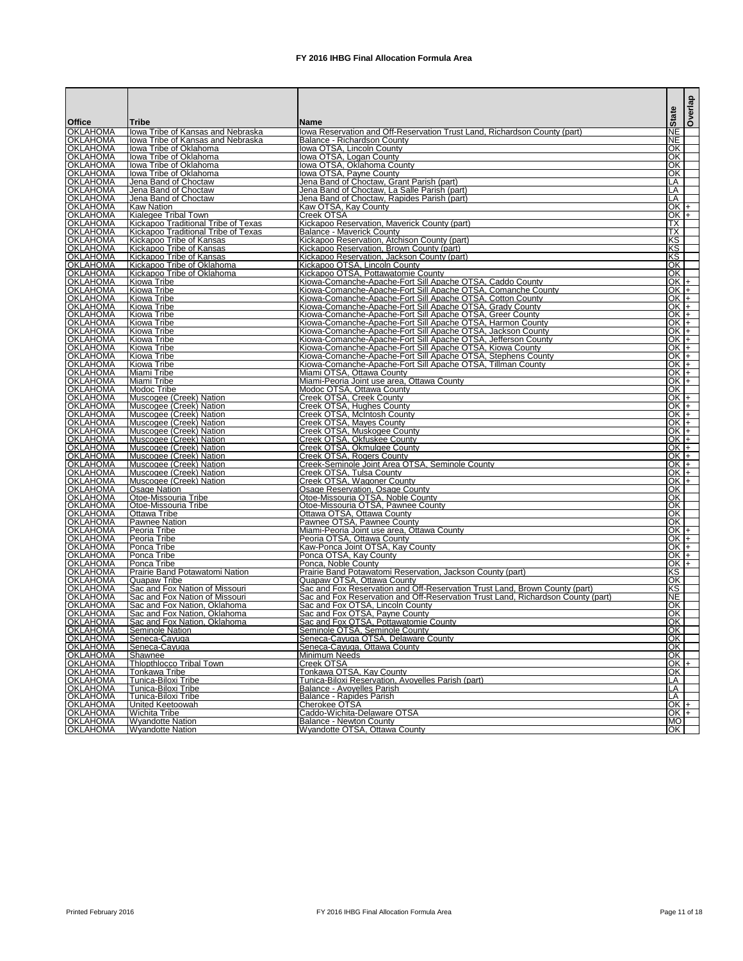|                                    |                                                                    |                                                                                                                           | <b>State</b>         | Overlap |
|------------------------------------|--------------------------------------------------------------------|---------------------------------------------------------------------------------------------------------------------------|----------------------|---------|
| <b>Office</b>                      | <b>Tribe</b>                                                       | <b>Name</b>                                                                                                               |                      |         |
| <b>OKLAHOMA</b>                    | lowa Tribe of Kansas and Nebraska                                  | lowa Reservation and Off-Reservation Trust Land, Richardson County (part)<br>Balance - Richardson County                  | <b>INE</b>           |         |
| <b>OKLAHOMA</b><br><b>OKLAHOMA</b> | lowa Tribe of Kansas and Nebraska<br><b>lowa Tribe of Oklahoma</b> | Iowa OTSA, Lincoln County                                                                                                 | INE<br>OK            |         |
| <b>OKLAHOMA</b>                    | Iowa Tribe of Oklahoma                                             | Iowa OTSA, Logan County                                                                                                   | OK                   |         |
| <b>OKLAHOMA</b>                    | lowa Tribe of Oklahoma                                             | Iowa OTSA, Oklahoma County                                                                                                | OK                   |         |
| <b>OKLAHOMA</b>                    | lowa Tribe of Oklahoma                                             | Iowa OTSA, Payne County                                                                                                   | OK                   |         |
| <b>OKLAHOMA</b><br><b>OKLAHOMA</b> | Jena Band of Choctaw<br>Jena Band of Choctaw                       | Jena Band of Choctaw, Grant Parish (part)<br>Jena Band of Choctaw, La Salle Parish (part)                                 | LA<br>LA             |         |
| <b>OKLAHOMA</b>                    | Jena Band of Choctaw                                               | Jena Band of Choctaw, Rapides Parish (part)                                                                               | LA                   |         |
| <b>OKLAHOMA</b>                    | <b>Kaw Nation</b>                                                  | Kaw OTSA, Kay County                                                                                                      | $OK +$               |         |
| <b>OKLAHOMA</b>                    | Kialegee Tribal Town                                               | Creek OTSA                                                                                                                | $OK +$               |         |
| <b>OKLAHOMA</b><br><b>OKLAHOMA</b> | Kickapoo Traditional Tribe of Texas                                | Kickapoo Reservation, Maverick County (part)                                                                              | TX                   |         |
| <b>OKLAHOMA</b>                    | Kickapoo Traditional Tribe of Texas<br>Kickapoo Tribe of Kansas    | <b>Balance - Maverick County</b><br>Kickapoo Reservation, Atchison County (part)                                          | TX<br>KS             |         |
| <b>OKLAHOMA</b>                    | Kickapoo Tribe of Kansas                                           | Kickapoo Reservation, Brown County (part)                                                                                 | KS                   |         |
| <b>OKLAHOMA</b>                    | Kickapoo Tribe of Kansas                                           | Kickapoo Reservation, Jackson County (part)                                                                               | <b>IKS</b>           |         |
| OKLAHOMA<br>OKLAHOMA               | Kickapoo Tribe of Oklahoma                                         | Kickapoo OTSA, Lincoln County                                                                                             | OK                   |         |
| <b>OKLAHOMA</b>                    | Kickapoo Tribe of Oklahoma<br>Kiowa Tribe                          | Kickapoo OTSA, Pottawatomie County<br>Kiowa-Comanche-Apache-Fort Sill Apache OTSA, Caddo County                           | <b>IOK</b><br>$OK +$ |         |
| <b>OKLAHOMA</b>                    | Kiowa Tribe                                                        | Kiowa-Comanche-Apache-Fort Sill Apache OTSA, Comanche County                                                              | $OK +$               |         |
| <b>OKLAHOMA</b>                    | Kiowa Tribe                                                        | Kiowa-Comanche-Apache-Fort Sill Apache OTSA, Cotton County                                                                | $OK +$               |         |
| <b>OKLAHOMA</b>                    | Kiowa Tribe                                                        | Kiowa-Comanche-Apache-Fort Sill Apache OTSA, Grady County                                                                 | $OK +$               |         |
| <b>OKLAHOMA</b>                    | Kiowa Tribe                                                        | Kiowa-Comanche-Apache-Fort Sill Apache OTSA, Greer County                                                                 | $OK +$               |         |
| <b>OKLAHOMA</b><br><b>OKLAHOMA</b> | Kiowa Tribe<br>Kiowa Tribe                                         | Kiowa-Comanche-Apache-Fort Sill Apache OTSA, Harmon County<br>Kiowa-Comanche-Apache-Fort Sill Apache OTSA, Jackson County | $OKI+$<br>$OKI+$     |         |
| <b>OKLAHOMA</b>                    | Kiowa Tribe                                                        | Kiowa-Comanche-Apache-Fort Sill Apache OTSA, Jefferson County                                                             | $OK +$               |         |
| <b>OKLAHOMA</b>                    | Kiowa Tribe                                                        | Kiowa-Comanche-Apache-Fort Sill Apache OTSA, Kiowa County                                                                 | $OK +$               |         |
| <b>OKLAHOMA</b>                    | Kiowa Tribe                                                        | Kiowa-Comanche-Apache-Fort Sill Apache OTSA, Stephens County                                                              | $OK +$               |         |
| <b>OKLAHOMA</b>                    | Kiowa Tribe                                                        | Kiowa-Comanche-Apache-Fort Sill Apache OTSA, Tillman County                                                               | $OK +$               |         |
| <b>OKLAHOMA</b><br><b>OKLAHOMA</b> | Miami Tribe<br>Miami Tribe                                         | Miami OTSA, Ottawa County<br>Miami-Peoria Joint use area, Ottawa County                                                   | $OK +$<br>$OK +$     |         |
| <b>OKLAHOMA</b>                    | <b>Modoc Tribe</b>                                                 | Modoc OTSA, Ottawa County                                                                                                 | lOK.                 |         |
| <b>OKLAHOMA</b>                    | Muscogee (Creek) Nation                                            | Creek OTSA, Creek County                                                                                                  | $OK +$               |         |
| <b>OKLAHOMA</b>                    | Muscogee (Creek) Nation                                            | Creek OTSA, Hughes County                                                                                                 | $OK +$               |         |
| <b>OKLAHOMA</b>                    | Muscogee (Creek) Nation                                            | Creek OTSA, McIntosh County                                                                                               | $OKI+$               |         |
| <b>OKLAHOMA</b><br><b>OKLAHOMA</b> | Muscogee (Creek) Nation<br>Muscogee (Creek) Nation                 | Creek OTSA, Mayes County<br>Creek OTSA, Muskogee County                                                                   | $OK +$<br>IOK I+     |         |
| <b>OKLAHOMA</b>                    | Muscogee (Creek) Nation                                            | Creek OTSA, Okfuskee County                                                                                               | OK +                 |         |
| <b>OKLAHOMA</b>                    | Muscogee (Creek) Nation                                            | Creek OTSA, Okmulgee County                                                                                               | $OK +$               |         |
| <b>OKLAHOMA</b>                    | Muscogee (Creek) Nation                                            | Creek OTSA, Rogers County                                                                                                 | $OK$ $+$             |         |
| <b>OKLAHOMA</b>                    | Muscogee (Creek) Nation                                            | Creek-Seminole Joint Area OTSA, Seminole County                                                                           | $OK +$               |         |
| <b>OKLAHOMA</b><br><b>OKLAHOMA</b> | Muscogee (Creek) Nation<br>Muscogee (Creek) Nation                 | Creek OTSA, Tulsa County<br>Creek OTSA, Wagoner County                                                                    | $OK +$<br>IOK I+     |         |
| <b>OKLAHOMA</b>                    | <b>Osage Nation</b>                                                | Osage Reservation, Osage County                                                                                           | Q<br>X               |         |
| <b>OKLAHOMA</b>                    | <b>Otoe-Missouria Tribe</b>                                        | Otoe-Missouria OTSA, Noble County                                                                                         | <b>IOK</b>           |         |
| <b>OKLAHOMA</b>                    | Otoe-Missouria Tribe                                               | Otoe-Missouria OTSA, Pawnee County                                                                                        | OK                   |         |
| <b>OKLAHOMA</b><br><b>OKLAHOMA</b> | <b>Ottawa Tribe</b><br><b>Pawnee Nation</b>                        | Ottawa OTSA, Ottawa County<br>Pawnee OTSA, Pawnee County                                                                  | OK<br>lOK.           |         |
| <b>OKLAHOMA</b>                    | <b>Peoria Tribe</b>                                                | Miami-Peoria Joint use area, Ottawa County                                                                                | $OK +$               |         |
| <b>OKLAHOMA</b>                    | Peoria Tribe                                                       | Peoria OTSA, Ottawa County                                                                                                | $OK +$               |         |
| <b>OKLAHOMA</b>                    | Ponca Tribe                                                        | Kaw-Ponca Joint OTSA, Kay County                                                                                          | $OK +$               |         |
| <b>OKLAHOMA</b>                    | Ponca Tribe                                                        | Ponca OTSA, Kay County                                                                                                    | OK +                 |         |
| <b>OKLAHOMA</b><br><b>OKLAHOMA</b> | Ponca Tribe<br>Prairie Band Potawatomi Nation                      | Ponca, Noble County<br>Prairie Band Potawatomi Reservation, Jackson County (part)                                         | $OK +$<br>KS         |         |
| <b>OKLAHOMA</b>                    | <b>Quapaw Tribe</b>                                                | Quapaw OTSA, Ottawa County                                                                                                | OK                   |         |
| <b>OKLAHOMA</b>                    | Sac and Fox Nation of Missouri                                     | Sac and Fox Reservation and Off-Reservation Trust Land, Brown County (part)                                               | KS                   |         |
| <b>OKLAHOMA</b>                    | Sac and Fox Nation of Missouri                                     | Sac and Fox Reservation and Off-Reservation Trust Land, Richardson County (part)                                          | NE                   |         |
| <b>OKLAHOMA</b><br><b>OKLAHOMA</b> | Sac and Fox Nation, Oklahoma<br>Sac and Fox Nation, Oklahoma       | Sac and Fox OTSA, Lincoln County<br>Sac and Fox OTSA, Payne County                                                        | OK<br><b>IOK</b>     |         |
| <b>OKLAHOMA</b>                    | Sac and Fox Nation, Oklahoma                                       | Sac and Fox OTSA, Pottawatomie County                                                                                     | OK                   |         |
| <b>OKLAHOMA</b>                    | <b>Seminole Nation</b>                                             | Seminole OTSA, Seminole County                                                                                            | OK                   |         |
| <b>OKLAHOMA</b>                    | Seneca-Cayuga                                                      | Seneca-Cayuga OTSA, Delaware County                                                                                       | OK                   |         |
| <b>OKLAHOMA</b>                    | Seneca-Cayuga                                                      | Seneca-Cayuga, Ottawa County                                                                                              | OK                   |         |
| <b>OKLAHOMA</b><br><b>OKLAHOMA</b> | Shawnee<br><b>Thiopthiocco Tribal Town</b>                         | <b>Minimum Needs</b><br>Creek OTSA                                                                                        | <b>IOK</b><br>$OK +$ |         |
| <b>OKLAHOMA</b>                    | Tonkawa Tribe                                                      | Tonkawa OTSA, Kay County                                                                                                  | OK                   |         |
| <b>OKLAHOMA</b>                    | Tunica-Biloxi Tribe                                                | Tunica-Biloxi Reservation, Avoyelles Parish (part)                                                                        | LA                   |         |
| <b>OKLAHOMA</b>                    | Tunica-Biloxi Tribe                                                | Balance - Avoyelles Parish                                                                                                | LA                   |         |
| <b>OKLAHOMA</b><br><b>OKLAHOMA</b> | Tunica-Biloxi Tribe<br><b>United Keetoowah</b>                     | <b>Balance - Rapides Parish</b><br><b>Cherokee OTSA</b>                                                                   | LA<br>$OK +$         |         |
| <b>OKLAHOMA</b>                    | <b>Wichita Tribe</b>                                               | Caddo-Wichita-Delaware OTSA                                                                                               | $OK +$               |         |
| <b>OKLAHOMA</b>                    | <b>Wyandotte Nation</b>                                            | <b>Balance - Newton County</b>                                                                                            | <b>MO</b>            |         |
| <b>OKLAHOMA</b>                    | <b>Wyandotte Nation</b>                                            | Wyandotte OTSA, Ottawa County                                                                                             | OK                   |         |

Printed February 2016 **FX** 2016 IHBG Final Allocation Formula Area Page 11 of 18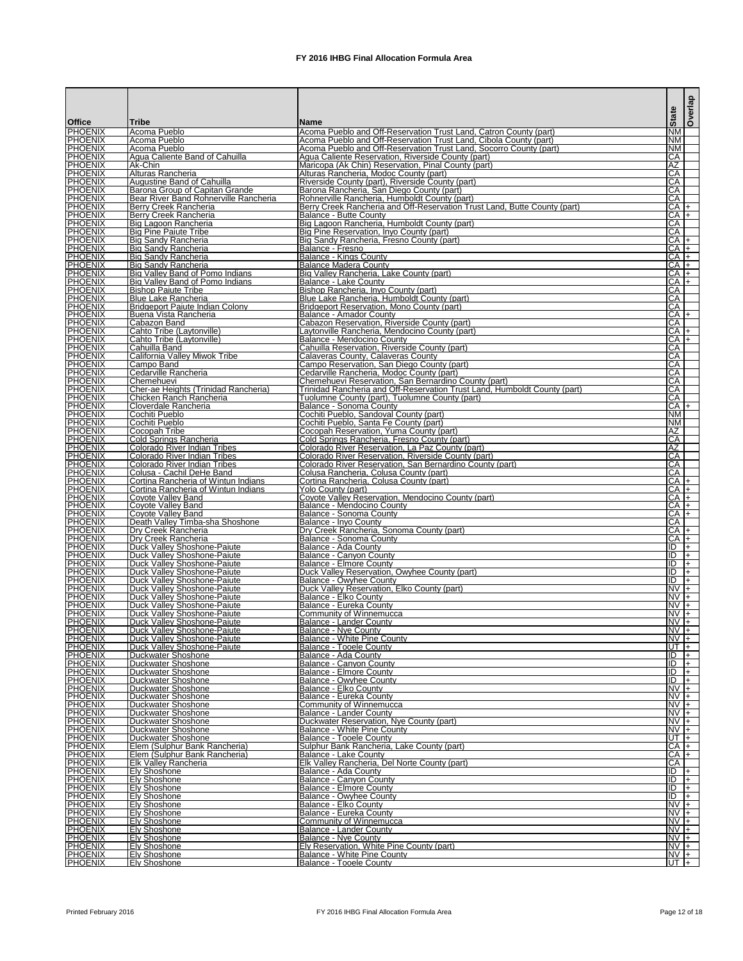| <b>Office</b><br><b>PHOENIX</b>  | <b>Tribe</b><br>Acoma Pueblo                                              | lName∶<br>Acoma Pueblo and Off-Reservation Trust Land, Catron County (part)                               | <b>State</b><br><b>NM</b>    |                            | Overlap |
|----------------------------------|---------------------------------------------------------------------------|-----------------------------------------------------------------------------------------------------------|------------------------------|----------------------------|---------|
| <b>PHOENIX</b>                   | Acoma Pueblo                                                              | Acoma Pueblo and Off-Reservation Trust Land, Cibola County (part)                                         | ΝM                           |                            |         |
| <b>PHOENIX</b>                   | Acoma Pueblo                                                              | Acoma Pueblo and Off-Reservation Trust Land, Socorro County (part)                                        | <b>NM</b><br>CA              |                            |         |
| <b>PHOENIX</b><br><b>PHOENIX</b> | Agua Caliente Band of Cahuilla<br>IAk-Chin                                | Agua Caliente Reservation, Riverside County (part)<br>Maricopa (Ak Chin) Reservation, Pinal County (part) | AΖ                           |                            |         |
| <b>PHOENIX</b>                   | Alturas Rancheria                                                         | Alturas Rancheria, Modoc County (part)                                                                    | CA                           |                            |         |
| <b>PHOENIX</b><br><b>PHOENIX</b> | <b>Augustine Band of Cahuilla</b><br>Barona Group of Capitan Grande       | Riverside County (part), Riverside County (part)<br>Barona Rancheria, San Diego County (part)             | CA<br>СA                     |                            |         |
| <b>PHOENIX</b>                   | Bear River Band Rohnerville Rancheria                                     | Rohnerville Rancheria, Humboldt County (part)                                                             | CA                           |                            |         |
| <b>PHOENIX</b>                   | Berry Creek Rancheria                                                     | Berry Creek Rancheria and Off-Reservation Trust Land, Butte County (part)                                 |                              | $CA +$                     |         |
| <b>PHOENIX</b><br><b>PHOENIX</b> | Berry Creek Rancheria<br>Big Lagoon Rancheria                             | IBalance - Butte Countv<br>Big Lagoon Rancheria, Humboldt County (part)                                   | СA                           | CA  +                      |         |
| <b>PHOENIX</b>                   | Big Pine Paiute Tribe                                                     | IBig Pine Reservation, Inyo County (part)                                                                 | СA                           |                            |         |
| <b>PHOENIX</b><br><b>PHOENIX</b> | Big Sandy Rancheria<br>Big Sandy Rancheria                                | Big Sandy Rancheria, Fresno County (part)                                                                 |                              | CA  +<br>CA +              |         |
| <b>PHOENIX</b>                   | Big Sandy Rancheria                                                       | Balance - Fresno<br>Balance - Kings County                                                                |                              | CA  +                      |         |
| <b>PHOENIX</b>                   | <b>Big Sandy Rancheria</b>                                                | <b>Balance Madera County</b>                                                                              | $CA +$                       |                            |         |
| <b>PHOENIX</b><br><b>PHOENIX</b> | Big Valley Band of Pomo Indians<br><b>Big Valley Band of Pomo Indians</b> | Big Valley Rancheria, Lake County (part)<br>Balance - Lake County                                         |                              | $CA$ $+$<br>CA +           |         |
| <b>PHOENIX</b>                   | <b>Bishop Paiute Tribe</b>                                                | Bishop Rancheria, Inyo County (part)                                                                      | СA                           |                            |         |
| <b>PHOENIX</b>                   | <b>Blue Lake Rancheria</b>                                                | Blue Lake Rancheria, Humboldt County (part)                                                               | СA                           |                            |         |
| <b>PHOENIX</b><br><b>PHOENIX</b> | Bridgeport Paiute Indian Colony<br>Buena Vista Rancheria                  | <b>Bridgeport Reservation, Mono County (part)</b><br><b>Balance - Amador County</b>                       | СA                           | $CA$ $+$                   |         |
| <b>PHOENIX</b>                   | Cabazon Band                                                              | Cabazon Reservation, Riverside County (part)                                                              | СA                           |                            |         |
| <b>PHOENIX</b>                   | Cahto Tribe (Laytonville)                                                 | Laytonville Rancheria, Mendocino County (part)                                                            |                              | $CA$ $+$                   |         |
| <b>PHOENIX</b><br><b>PHOENIX</b> | Cahto Tribe (Laytonville)<br>Cahuilla Band                                | Balance - Mendocino County<br>Cahuilla Reservation, Riverside County (part)                               | СA                           | $CA$ $+$                   |         |
| <b>PHOENIX</b>                   | California Valley Miwok Tribe                                             | <b>Calaveras County, Calaveras County</b>                                                                 | СA                           |                            |         |
| <b>PHOENIX</b><br><b>PHOENIX</b> | ICampo Band<br>Cedarville Rancheria                                       | Campo Reservation, San Diego County (part)<br>Cedarville Rancheria, Modoc County (part)                   | СA<br>CA                     |                            |         |
| <b>PHOENIX</b>                   | <b>I</b> Chemehuevi                                                       | Chemehuevi Reservation, San Bernardino County (part)                                                      | CA                           |                            |         |
| <b>PHOENIX</b>                   | Cher-ae Heights (Trinidad Rancheria)                                      | Trinidad Rancheria and Off-Reservation Trust Land, Humboldt County (part)                                 | $\overline{CA}$              |                            |         |
| PHOENIX<br><b>PHOENIX</b>        | Chicken Ranch Rancheria<br>Cloverdale Rancheria                           | Tuolumne County (part), Tuolumne County (part)<br>Balance - Sonoma County                                 | $\overline{CA}$              | CA +                       |         |
| <b>PHOENIX</b>                   | Cochiti Pueblo                                                            | Cochiti Pueblo, Sandoval County (part)                                                                    | NM.                          |                            |         |
| <b>PHOENIX</b>                   | Cochiti Pueblo                                                            | Cochiti Pueblo, Santa Fe County (part)                                                                    | <b>NM</b>                    |                            |         |
| <b>PHOENIX</b><br><b>PHOENIX</b> | Cocopah Tribe<br>Cold Springs Rancheria                                   | Cocopah Reservation, Yuma County (part)<br>Cold Springs Rancheria, Fresno County (part)                   | AZ<br>СA                     |                            |         |
| <b>PHOENIX</b>                   | Colorado River Indian Tribes                                              | Colorado River Reservation, La Paz County (part)                                                          | AZ                           |                            |         |
| <b>PHOENIX</b>                   | IColorado River Indian Tribes                                             | Colorado River Reservation, Riverside County (part)                                                       | СA                           |                            |         |
| <b>PHOENIX</b><br><b>PHOENIX</b> | Colorado River Indian Tribes<br>Colusa - Cachil DeHe Band                 | Colorado River Reservation, San Bernardino County (part)<br>Colusa Rancheria, Colusa County (part)        | CA<br>CA                     |                            |         |
| <b>PHOENIX</b>                   | Cortina Rancheria of Wintun Indians                                       | Cortina Rancheria, Colusa County (part)                                                                   |                              | CA  +                      |         |
| <b>PHOENIX</b><br><b>PHOENIX</b> | Cortina Rancheria of Wintun Indians<br>Coyote Valley Band                 | Yolo County (part)<br>Coyote Valley Reservation, Mendocino County (part)                                  |                              | $CA$ $+$<br>$CA +$         |         |
| <b>PHOENIX</b>                   | Covote Vallev Band                                                        | Balance - Mendocino County                                                                                |                              | $CA +$                     |         |
| <b>PHOENIX</b>                   | <b>Coyote Valley Band</b>                                                 | Balance - Sonoma County                                                                                   |                              | CA  +                      |         |
| <b>PHOENIX</b><br><b>PHOENIX</b> | Death Valley Timba-sha Shoshone<br>Dry Creek Rancheria                    | <b>Balance - Inyo County</b><br>Dry Creek Rancheria, Sonoma County (part)                                 | CA                           | CA +                       |         |
| <b>PHOENIX</b>                   | Dry Creek Rancheria                                                       | <b>Balance - Sonoma County</b>                                                                            | $CA +$                       |                            |         |
| <b>PHOENIX</b><br><b>PHOENIX</b> | Duck Valley Shoshone-Paiute                                               | Balance - Ada County<br><b>Balance - Canyon County</b>                                                    | ID<br>E                      | $ +$<br>$\left  + \right $ |         |
| <b>PHOENIX</b>                   | Duck Valley Shoshone-Paiute<br>Duck Valley Shoshone-Paiute                | <b>Balance - Elmore County</b>                                                                            | IID                          | $ + $                      |         |
| <b>PHOENIX</b>                   | Duck Valley Shoshone-Paiute                                               | Duck Valley Reservation, Owyhee County (part)                                                             | IID                          | $ + $                      |         |
| <b>PHOENIX</b><br><b>PHOENIX</b> | Duck Valley Shoshone-Paiute<br>Duck Valley Shoshone-Paiute                | Balance - Owyhee County<br>Duck Valley Reservation, Elko County (part)                                    | ID<br>$NVI +$                | $\left  + \right $         |         |
| <b>PHOENIX</b>                   | Duck Valley Shoshone-Paiute                                               | Balance - Elko County                                                                                     | $\overline{NV}$ +            |                            |         |
| <b>PHOENIX</b>                   | Duck Valley Shoshone-Paiute                                               | Balance - Eureka County                                                                                   | $\overline{N}V$ +            |                            |         |
| <b>PHOENIX</b><br><b>PHOENIX</b> | Duck Valley Shoshone-Paiute<br>Duck Valley Shoshone-Paiute                | Community of Winnemucca<br><b>Balance - Lander County</b>                                                 | $NVI +$<br>$\overline{NV}$ + |                            |         |
| <b>PHOENIX</b>                   | Duck Valley Shoshone-Paiute                                               | <b>Balance - Nye County</b>                                                                               |                              | $NVI +$                    |         |
| <b>PHOENIX</b><br><b>PHOENIX</b> | Duck Valley Shoshone-Paiute<br><b>Duck Valley Shoshone-Paiute</b>         | <b>Balance - White Pine County</b><br><b>Balance - Tooele County</b>                                      | $NVI +$                      | UT $ +$                    |         |
| <b>PHOENIX</b>                   | Duckwater Shoshone                                                        | Balance - Ada County                                                                                      | IID                          |                            | I+.     |
| <b>PHOENIX</b>                   | Duckwater Shoshone                                                        | Balance - Canvon Countv                                                                                   | ID                           | $ + $                      |         |
| <b>PHOENIX</b><br><b>PHOENIX</b> | <b>Duckwater Shoshone</b><br>Duckwater Shoshone                           | Balance - Elmore County<br>Balance - Owyhee County                                                        | Đ<br>ID                      | $ + $<br>$ + $             |         |
| <b>PHOENIX</b>                   | Duckwater Shoshone                                                        | Balance - Elko County                                                                                     | $NVI+$                       |                            |         |
| <b>PHOENIX</b><br><b>PHOENIX</b> | Duckwater Shoshone                                                        | Balance - Eureka County                                                                                   | $NVI +$<br>$NVI +$           |                            |         |
| <b>PHOENIX</b>                   | Duckwater Shoshone<br>Duckwater Shoshone                                  | Community of Winnemucca<br><b>Balance - Lander County</b>                                                 |                              | $NVI +$                    |         |
| <b>PHOENIX</b>                   | Duckwater Shoshone                                                        | Duckwater Reservation, Nye County (part)                                                                  | $NVI +$                      |                            |         |
| <b>PHOENIX</b><br><b>PHOENIX</b> | Duckwater Shoshone<br>Duckwater Shoshone                                  | <b>Balance - White Pine County</b><br><b>Balance - Tooele County</b>                                      | $\overline{NV}$ +            | UT I+                      |         |
| <b>PHOENIX</b>                   | Elem (Sulphur Bank Rancheria)                                             | Sulphur Bank Rancheria, Lake County (part)                                                                |                              | CA  +                      |         |
| <b>PHOENIX</b>                   | Elem (Sulphur Bank Rancheria)                                             | Balance - Lake County                                                                                     |                              | $CA$ $+$                   |         |
| <b>PHOENIX</b><br><b>PHOENIX</b> | <b>Elk Valley Rancheria</b><br><b>Ely Shoshone</b>                        | Elk Valley Rancheria, Del Norte County (part)<br>Balance - Ada County                                     | $\overline{CA}$<br>ID        | $ + $                      |         |
| <b>PHOENIX</b>                   | <b>Ely Shoshone</b>                                                       | Balance - Canyon County                                                                                   | Ш                            | $\left  + \right $         |         |
| <b>PHOENIX</b><br><b>PHOENIX</b> | <b>Ely Shoshone</b><br><b>Ely Shoshone</b>                                | Balance - Elmore County<br>Balance - Owyhee County                                                        | ID<br>Ш                      | $\frac{1}{2}$<br>$ + $     |         |
| <b>PHOENIX</b>                   | <b>Ely Shoshone</b>                                                       | Balance - Elko County                                                                                     | $NVI +$                      |                            |         |
| <b>PHOENIX</b>                   | <b>Ely Shoshone</b>                                                       | Balance - Eureka County                                                                                   |                              | $NVI +$                    |         |
| <b>PHOENIX</b><br><b>PHOENIX</b> | <b>Ely Shoshone</b><br><b>Ely Shoshone</b>                                | Community of Winnemucca<br><b>Balance - Lander County</b>                                                 | $\overline{NV}$ +<br>$NVI +$ |                            |         |
| <b>PHOENIX</b>                   | <b>Ely Shoshone</b>                                                       | Balance - Nye County                                                                                      | $NVI +$                      |                            |         |
| <b>PHOENIX</b><br><b>PHOENIX</b> | <b>Ely Shoshone</b>                                                       | Ely Reservation, White Pine County (part)                                                                 | $NVI+$                       |                            |         |
| <b>PHOENIX</b>                   | <b>Ely Shoshone</b><br><b>Ely Shoshone</b>                                | Balance - White Pine County<br><b>Balance - Tooele County</b>                                             | $\frac{NV+}{UT+}$            |                            |         |

Printed February 2016 **FX** 2016 IHBG Final Allocation Formula Area Page 12 of 18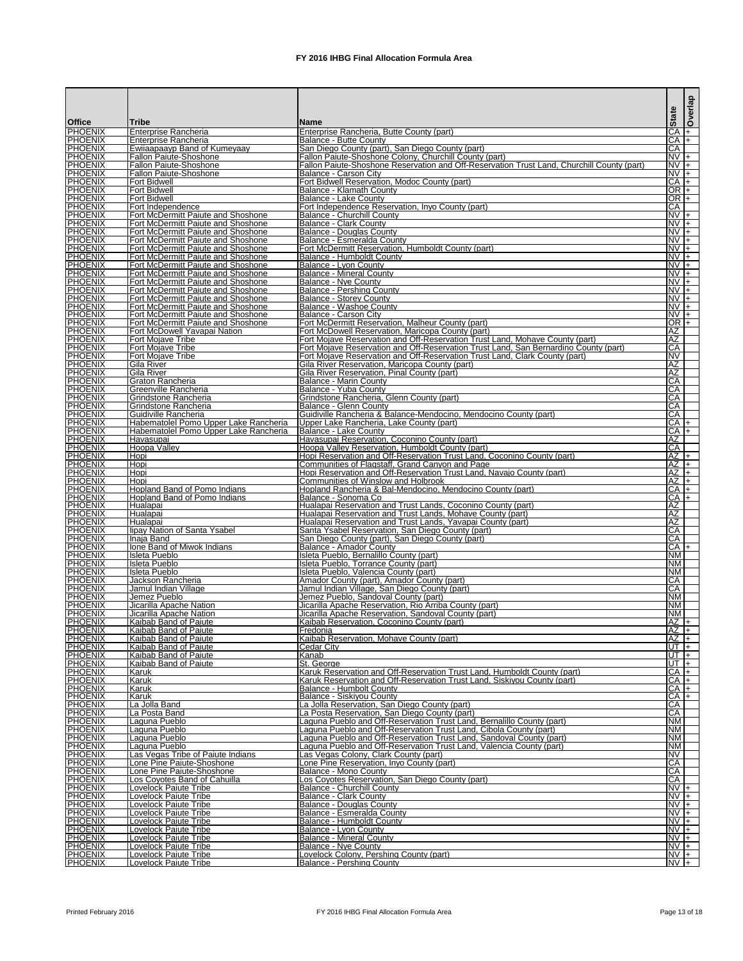|                                  |                                                                                        |                                                                                                                                                      | <b>State</b>                           | Overlap             |
|----------------------------------|----------------------------------------------------------------------------------------|------------------------------------------------------------------------------------------------------------------------------------------------------|----------------------------------------|---------------------|
| <b>Office</b><br><b>PHOENIX</b>  | Tribe<br><b>Enterprise Rancheria</b>                                                   | <b>IName</b><br>Enterprise Rancheria, Butte County (part)                                                                                            | CA                                     | I+                  |
| <b>PHOENIX</b>                   | Enterprise Rancheria                                                                   | <b>Balance - Butte County</b>                                                                                                                        | $CA$ $+$                               |                     |
| <b>PHOENIX</b>                   | Ewijaapaayp Band of Kumeyaay                                                           | San Diego County (part), San Diego County (part)                                                                                                     | $\overline{CA}$                        |                     |
| <b>PHOENIX</b><br><b>PHOENIX</b> | <b>Fallon Paiute-Shoshone</b><br><b>Fallon Paiute-Shoshone</b>                         | Fallon Paiute-Shoshone Colony, Churchill County (part)<br>Fallon Paiute-Shoshone Reservation and Off-Reservation Trust Land, Churchill County (part) | $N\overline{V}$ +<br>$NVI +$           |                     |
| <b>PHOENIX</b>                   | <b>Fallon Paiute-Shoshone</b>                                                          | Balance - Carson City                                                                                                                                | $NVI +$                                |                     |
| <b>PHOENIX</b><br><b>PHOENIX</b> | <b>Fort Bidwell</b><br><b>Fort Bidwell</b>                                             | Fort Bidwell Reservation, Modoc County (part)<br>Balance - Klamath County                                                                            | $CA +$<br>OR I+                        |                     |
| <b>PHOENIX</b>                   | <b>Fort Bidwell</b>                                                                    | Balance - Lake County                                                                                                                                | $OR$ $+$                               |                     |
| <b>PHOENIX</b>                   | Fort Independence                                                                      | Fort Independence Reservation, Inyo County (part)                                                                                                    | CA                                     |                     |
| <b>PHOENIX</b><br><b>PHOENIX</b> | Fort McDermitt Paiute and Shoshone<br>Fort McDermitt Paiute and Shoshone               | <b>Balance - Churchill County</b><br><b>Balance - Clark County</b>                                                                                   | $N\overline{V}$ +<br>$NVI +$           |                     |
| <b>PHOENIX</b>                   | Fort McDermitt Paiute and Shoshone                                                     | Balance - Douglas County                                                                                                                             | $NVI +$                                |                     |
| <b>PHOENIX</b><br><b>PHOENIX</b> | Fort McDermitt Paiute and Shoshone                                                     | Balance - Esmeralda County<br>Fort McDermitt Reservation, Humboldt County (part)                                                                     | $\overline{N}V$ +<br>$\overline{N}V$ + |                     |
| <b>PHOENIX</b>                   | Fort McDermitt Paiute and Shoshone<br>Fort McDermitt Paiute and Shoshone               | Balance - Humboldt County                                                                                                                            | $NVI +$                                |                     |
| <b>PHOENIX</b>                   | <b>Fort McDermitt Paiute and Shoshone</b>                                              | Balance - Lvon County                                                                                                                                | $NVI +$                                |                     |
| <b>PHOENIX</b><br><b>PHOENIX</b> | <b>Fort McDermitt Paiute and Shoshone</b><br><b>Fort McDermitt Paiute and Shoshone</b> | <b>Balance - Mineral County</b><br>Balance - Nye County                                                                                              | $NVI +$<br>$N\overline{V}$ +           |                     |
| <b>PHOENIX</b>                   | Fort McDermitt Paiute and Shoshone                                                     | <b>Balance - Pershing County</b>                                                                                                                     | $NV +$                                 |                     |
| <b>PHOENIX</b>                   | <b>Fort McDermitt Paiute and Shoshone</b>                                              | Balance - Storey County                                                                                                                              | $NVI +$                                |                     |
| <b>PHOENIX</b><br><b>PHOENIX</b> | <b>Fort McDermitt Paiute and Shoshone</b><br>Fort McDermitt Paiute and Shoshone        | Balance - Washoe County<br>Balance - Carson City                                                                                                     | $N\overline{V}$ +<br>$N\sqrt{+}$       |                     |
| <b>PHOENIX</b>                   | Fort McDermitt Paiute and Shoshone                                                     | Fort McDermitt Reservation, Malheur County (part)                                                                                                    | OR I+                                  |                     |
| <b>PHOENIX</b><br><b>PHOENIX</b> | Fort McDowell Yavapai Nation                                                           | Fort McDowell Reservation, Maricopa County (part)<br>Fort Mojave Reservation and Off-Reservation Trust Land, Mohave County (part)                    | AΖ<br>AZ                               |                     |
| <b>PHOENIX</b>                   | <b>Fort Mojave Tribe</b><br>Fort Mojave Tribe                                          | Fort Mojave Reservation and Off-Reservation Trust Land, San Bernardino County (part)                                                                 | CA                                     |                     |
| <b>PHOENIX</b>                   | <b>Fort Mojave Tribe</b>                                                               | Fort Mojave Reservation and Off-Reservation Trust Land, Clark County (part)                                                                          | <b>NV</b>                              |                     |
| <b>PHOENIX</b><br><b>PHOENIX</b> | <b>Gila River</b><br>Gila River                                                        | Gila River Reservation, Maricopa County (part)<br>Gila River Reservation, Pinal County (part)                                                        | ΑZ<br>AZ                               |                     |
| <b>PHOENIX</b>                   | Graton Rancheria                                                                       | Balance - Marin County                                                                                                                               | CA                                     |                     |
| <b>PHOENIX</b>                   | Greenville Rancheria                                                                   | Balance - Yuba County                                                                                                                                | CA                                     |                     |
| <b>PHOENIX</b><br><b>PHOENIX</b> | Grindstone Rancheria<br>Grindstone Rancheria                                           | Grindstone Rancheria, Glenn County (part)<br>Balance - Glenn County                                                                                  | $\overline{CA}$<br>CA                  |                     |
| <b>PHOENIX</b>                   | Guidiville Rancheria                                                                   | Guidiville Rancheria & Balance-Mendocino, Mendocino County (part)                                                                                    | CA                                     |                     |
| <b>PHOENIX</b><br><b>PHOENIX</b> | Habematolel Pomo Upper Lake Rancheria<br>Habematolel Pomo Upper Lake Rancheria         | Upper Lake Rancheria, Lake County (part)<br>Balance - Lake County                                                                                    | CA I+<br>$CA +$                        |                     |
| <b>PHOENIX</b>                   | Havasupai                                                                              | Havasupai Reservation, Coconino County (part)                                                                                                        | AΖ                                     |                     |
| <b>PHOENIX</b>                   | Hoopa Valley                                                                           | Hoopa Valley Reservation, Humboldt County (part)                                                                                                     | CA                                     |                     |
| <b>PHOENIX</b><br><b>PHOENIX</b> | Hopi<br><b>I</b> Hopi                                                                  | Hopi Reservation and Off-Reservation Trust Land, Coconino County (part)<br>Communities of Flagstaff, Grand Canyon and Page                           | $AZ$ $+$<br>$AZ +$                     |                     |
| <b>PHOENIX</b>                   | <b>Hopi</b>                                                                            | Hopi Reservation and Off-Reservation Trust Land, Navajo County (part)                                                                                | $AZ$  +                                |                     |
| <b>PHOENIX</b>                   | Hopi                                                                                   | Communities of Winslow and Holbrook                                                                                                                  | $AZ +$                                 |                     |
| <b>PHOENIX</b><br><b>PHOENIX</b> | Hopland Band of Pomo Indians<br><b>Hopland Band of Pomo Indians</b>                    | Hopland Rancheria & Bal-Mendocino, Mendocino County (part)<br>Balance - Sonoma Co                                                                    | $CA +$<br>$CA +$                       |                     |
| <b>PHOENIX</b>                   | Hualapai                                                                               | Hualapai Reservation and Trust Lands, Coconino County (part)                                                                                         | $\overline{AZ}$                        |                     |
| <b>PHOENIX</b><br><b>PHOENIX</b> | Hualapai<br>Hualapai                                                                   | Hualapai Reservation and Trust Lands, Mohave County (part)<br>Hualapai Reservation and Trust Lands, Yavapai County (part)                            | AZ<br><b>AZ</b>                        |                     |
| <b>PHOENIX</b>                   | lipay Nation of Santa Ysabel                                                           | Santa Ysabel Reservation, San Diego County (part)                                                                                                    | CA                                     |                     |
| <b>PHOENIX</b>                   | Inaja Band                                                                             | San Diego County (part), San Diego County (part)                                                                                                     | CA                                     |                     |
| <b>PHOENIX</b><br><b>PHOENIX</b> | Ione Band of Miwok Indians<br><b>Isleta Pueblo</b>                                     | Balance - Amador County<br>Isleta Pueblo, Bernalillo County (part)                                                                                   | $CA +$<br><b>NM</b>                    |                     |
| <b>PHOENIX</b>                   | <b>Isleta Pueblo</b>                                                                   | Isleta Pueblo, Torrance County (part)                                                                                                                | NΜ                                     |                     |
| <b>PHOENIX</b><br><b>PHOENIX</b> | <b>Isleta Pueblo</b>                                                                   | Isleta Pueblo, Valencia County (part)                                                                                                                | <b>NM</b><br>CA                        |                     |
| <b>PHOENIX</b>                   | Jackson Rancheria<br>Jamul Indian Village                                              | Amador County (part), Amador County (part)<br>Jamul Indian Village, San Diego County (part)                                                          | CA                                     |                     |
| <b>PHOENIX</b>                   | Jemez Pueblo                                                                           | Jemez Pueblo, Sandoval County (part)                                                                                                                 | <b>NM</b>                              |                     |
| <b>PHOENIX</b><br><b>PHOENIX</b> | Jicarilla Apache Nation<br>Jicarilla Apache Nation                                     | Jicarilla Apache Reservation, Rio Arriba County (part)<br>Jicarilla Apache Reservation, Sandoval County (part)                                       | <b>NM</b><br><b>NM</b>                 |                     |
| <b>PHOENIX</b>                   | Kaibab Band of Paiute                                                                  | Kaibab Reservation, Coconino County (part)                                                                                                           | $AZ +$                                 |                     |
| <b>PHOENIX</b>                   | Kaibab Band of Paiute                                                                  | Fredonia                                                                                                                                             | $AZ$ +                                 |                     |
| <b>PHOENIX</b><br><b>PHOENIX</b> | Kaibab Band of Paiute<br>Kaibab Band of Paiute                                         | Kaibab Reservation, Mohave County (part)<br><b>Cedar City</b>                                                                                        | $AZ$ +<br>$UT$ $+$                     |                     |
| <b>PHOENIX</b>                   | Kaibab Band of Paiute                                                                  | Kanab                                                                                                                                                | UT I+                                  |                     |
| <b>PHOENIX</b>                   | Kaibab Band of Paiute                                                                  | St. George                                                                                                                                           | UT I+<br>$CA +$                        |                     |
| <b>PHOENIX</b><br><b>PHOENIX</b> | <b>Karuk</b><br>Karuk                                                                  | Karuk Reservation and Off-Reservation Trust Land, Humboldt County (part)<br>Karuk Reservation and Off-Reservation Trust Land, Siskiyou County (part) | CA  +                                  |                     |
| <b>PHOENIX</b>                   | Karuk                                                                                  | Balance - Humbolt County                                                                                                                             | $CA +$                                 |                     |
| <b>PHOENIX</b><br><b>PHOENIX</b> | <b>Karuk</b><br>La Jolla Band                                                          | Balance - Siskiyou County<br>La Jolla Reservation, San Diego County (part)                                                                           | $CA +$<br>CA                           |                     |
| <b>PHOENIX</b>                   | La Posta Band                                                                          | La Posta Reservation, San Diego County (part)                                                                                                        | CA                                     |                     |
| <b>PHOENIX</b>                   | Laguna Pueblo                                                                          | Laguna Pueblo and Off-Reservation Trust Land, Bernalillo County (part)                                                                               | <b>NM</b>                              |                     |
| <b>PHOENIX</b><br><b>PHOENIX</b> | Laguna Pueblo<br>Laguna Pueblo                                                         | Laguna Pueblo and Off-Reservation Trust Land, Cibola County (part)<br>Laguna Pueblo and Off-Reservation Trust Land, Sandoval County (part)           | <b>NM</b><br><b>NM</b>                 |                     |
| <b>PHOENIX</b>                   | Laguna Pueblo                                                                          | Laguna Pueblo and Off-Reservation Trust Land, Valencia County (part)                                                                                 | <b>NM</b>                              |                     |
| <b>PHOENIX</b><br><b>PHOENIX</b> | Las Vegas Tribe of Paiute Indians<br>Lone Pine Paiute-Shoshone                         | Las Vegas Colony, Clark County (part)<br>Lone Pine Reservation, Inyo County (part)                                                                   | NV<br>CA                               |                     |
| <b>PHOENIX</b>                   | Lone Pine Paiute-Shoshone                                                              | Balance - Mono County                                                                                                                                | CA                                     |                     |
| <b>PHOENIX</b>                   | <b>Los Coyotes Band of Cahuilla</b>                                                    | Los Coyotes Reservation, San Diego County (part)                                                                                                     | CA                                     |                     |
| <b>PHOENIX</b><br><b>PHOENIX</b> | <b>Lovelock Paiute Tribe</b><br>Lovelock Paiute Tribe                                  | <b>Balance - Churchill County</b><br><b>Balance - Clark County</b>                                                                                   | $NVI +$<br>$NV +$                      |                     |
| <b>PHOENIX</b>                   | <b>Lovelock Paiute Tribe</b>                                                           | <b>Balance - Douglas County</b>                                                                                                                      | $NV +$                                 |                     |
| <b>PHOENIX</b><br><b>PHOENIX</b> | Lovelock Paiute Tribe                                                                  | Balance - Esmeralda County                                                                                                                           | $NV +$<br>$NVI+$                       |                     |
| <b>PHOENIX</b>                   | <b>Lovelock Paiute Tribe</b><br>Lovelock Paiute Tribe                                  | Balance - Humboldt County<br>Balance - Lyon County                                                                                                   | $NVI +$                                |                     |
| <b>PHOENIX</b>                   | <b>Lovelock Paiute Tribe</b>                                                           | <b>Balance - Mineral County</b>                                                                                                                      | $NVI +$                                |                     |
| <b>PHOENIX</b><br><b>PHOENIX</b> | Lovelock Paiute Tribe<br>Lovelock Paiute Tribe                                         | <b>Balance - Nye County</b><br>Lovelock Colony, Pershing County (part)                                                                               | $NV +$                                 |                     |
| <b>PHOENIX</b>                   | <b>Lovelock Paiute Tribe</b>                                                           | <b>Balance - Pershing County</b>                                                                                                                     |                                        | $\frac{NV +}{NV +}$ |

Printed February 2016 **FX** 2016 IHBG Final Allocation Formula Area Page 13 of 18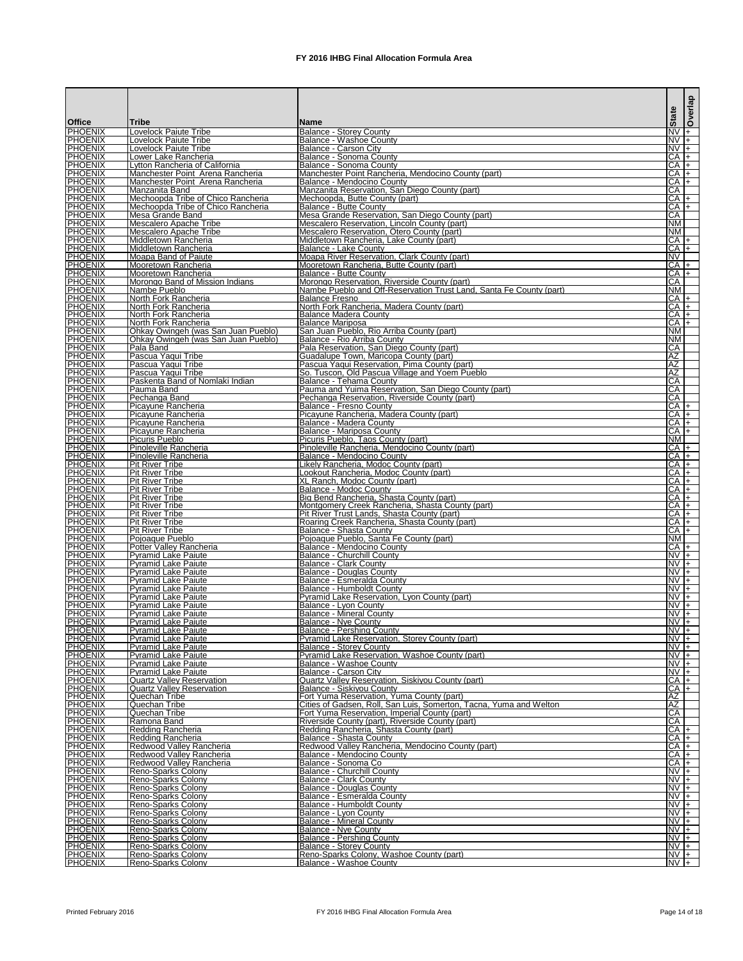| <b>Office</b>                    | Tribe                                                              | <b>IName</b>                                                                                                    | <b>State</b>                 | Overlap  |
|----------------------------------|--------------------------------------------------------------------|-----------------------------------------------------------------------------------------------------------------|------------------------------|----------|
| <b>PHOENIX</b>                   | Lovelock Paiute Tribe                                              | <b>Balance - Storey County</b>                                                                                  | $N\sqrt{+}$                  |          |
| <b>PHOENIX</b><br><b>PHOENIX</b> | Lovelock Paiute Tribe<br>Lovelock Paiute Tribe                     | <b>Balance - Washoe County</b><br>Balance - Carson City                                                         | $NVI +$<br>$NVI+$            |          |
| <b>PHOENIX</b>                   | Lower Lake Rancheria                                               | Balance - Sonoma County                                                                                         | $CA +$                       |          |
| <b>PHOENIX</b><br><b>PHOENIX</b> | Lytton Rancheria of California<br>Manchester Point Arena Rancheria | Balance - Sonoma County<br>Manchester Point Rancheria, Mendocino County (part)                                  | $CA$ $+$<br>ICA I+           |          |
| <b>PHOENIX</b>                   | Manchester Point Arena Rancheria                                   | Balance - Mendocino County                                                                                      | $CA$ $+$                     |          |
| <b>PHOENIX</b><br><b>PHOENIX</b> | IManzanita Band<br>Mechoopda Tribe of Chico Rancheria              | Manzanita Reservation, San Diego County (part)                                                                  | СA<br>$CA +$                 |          |
| <b>PHOENIX</b>                   | Mechoopda Tribe of Chico Rancheria                                 | Mechoopda, Butte County (part)<br>Balance - Butte County                                                        | CA <sub>+</sub>              |          |
| <b>PHOENIX</b><br><b>PHOENIX</b> | Mesa Grande Band<br>Mescalero Apache Tribe                         | Mesa Grande Reservation, San Diego County (part)                                                                | СA<br>NM                     |          |
| <b>PHOENIX</b>                   | Mescalero Apache Tribe                                             | Mescalero Reservation, Lincoln County (part)<br>Mescalero Reservation, Otero County (part)                      | <b>NM</b>                    |          |
| <b>PHOENIX</b>                   | IMiddletown Rancheria                                              | Middletown Rancheria, Lake County (part)                                                                        | $CA$ $+$                     |          |
| <b>PHOENIX</b><br><b>PHOENIX</b> | Middletown Rancheria<br>Moapa Band of Paiute                       | <b>Balance - Lake County</b><br>Moapa River Reservation, Clark County (part)                                    | CA +<br><b>NV</b>            |          |
| <b>PHOENIX</b>                   | Mooretown Rancheria                                                | Mooretown Rancheria, Butte County (part)                                                                        | ICA I+                       |          |
| <b>PHOENIX</b><br><b>PHOENIX</b> | Mooretown Rancheria<br>Morongo Band of Mission Indians             | IBalance - Butte Countv<br>Morongo Reservation, Riverside County (part)                                         | $CA +$<br>CA                 |          |
| <b>PHOENIX</b>                   | Nambe Pueblo                                                       | Nambe Pueblo and Off-Reservation Trust Land, Santa Fe County (part)                                             | <b>NM</b>                    |          |
| <b>PHOENIX</b><br><b>PHOENIX</b> | North Fork Rancheria<br>North Fork Rancheria                       | Balance Fresno<br>North Fork Rancheria, Madera County (part)                                                    | $CA$ $+$<br>$CA$ $+$         |          |
| <b>PHOENIX</b>                   | North Fork Rancheria                                               | <b>Balance Madera County</b>                                                                                    | CA +                         |          |
| <b>PHOENIX</b><br><b>PHOENIX</b> | North Fork Rancheria<br>Ohkay Owingeh (was San Juan Pueblo)        | Balance Mariposa<br>San Juan Pueblo, Rio Arriba County (part)                                                   | CA +<br><b>NM</b>            |          |
| <b>PHOENIX</b>                   | Ohkay Owingeh (was San Juan Pueblo)                                | Balance - Rio Arriba County                                                                                     | <b>NM</b>                    |          |
| <b>PHOENIX</b><br><b>PHOENIX</b> | Pala Band<br>Pascua Yaqui Tribe                                    | Pala Reservation, San Diego County (part)                                                                       | CA<br>AZ                     |          |
| <b>PHOENIX</b>                   | Pascua Yaqui Tribe                                                 | Guadalupe Town, Maricopa County (part)<br>Pascua Yaqui Reservation, Pima County (part)                          | AZ                           |          |
| <b>PHOENIX</b>                   | Pascua Yaqui Tribe                                                 | So. Tuscon, Old Pascua Village and Yoem Pueblo                                                                  | ΑZ                           |          |
| <b>PHOENIX</b><br><b>PHOENIX</b> | Paskenta Band of Nomlaki Indian<br>Pauma Band                      | Balance - Tehama County<br>Pauma and Yuima Reservation, San Diego County (part)                                 | CA<br>CA                     |          |
| <b>PHOENIX</b>                   | Pechanga Band                                                      | Pechanga Reservation, Riverside County (part)                                                                   | CA                           |          |
| <b>PHOENIX</b><br><b>PHOENIX</b> | Picayune Rancheria<br>Picayune Rancheria                           | <b>Balance - Fresno County</b><br>Picayune Rancheria, Madera County (part)                                      | $CA$ $+$<br>$CA$ $+$         |          |
| <b>PHOENIX</b>                   | lPicavune Rancheria                                                | Balance - Madera County                                                                                         | $CA$ +                       |          |
| <b>PHOENIX</b><br><b>PHOENIX</b> | Picayune Rancheria<br>Picuris Pueblo                               | Balance - Mariposa County<br>Picuris Pueblo, Taos County (part)                                                 | $CA$ $+$<br><b>NM</b>        |          |
| <b>PHOENIX</b>                   | Pinoleville Rancheria                                              | Pinoleville Rancheria, Mendocino County (part)                                                                  |                              | $CA$ $+$ |
| <b>PHOENIX</b>                   | Pinoleville Rancheria                                              | Balance - Mendocino County<br>Likely Rancheria, Modoc County (part)                                             | $CA$ $+$<br>$CA +$           |          |
| <b>PHOENIX</b><br><b>PHOENIX</b> | <b>Pit River Tribe</b><br><b>Pit River Tribe</b>                   | Lookout Rancheria, Modoc County (part)                                                                          | $CA +$                       |          |
| <b>PHOENIX</b>                   | <b>Pit River Tribe</b>                                             | XL Ranch, Modoc County (part)                                                                                   | $CA +$                       |          |
| <b>PHOENIX</b><br><b>PHOENIX</b> | <b>Pit River Tribe</b><br><b>Pit River Tribe</b>                   | Balance - Modoc County<br>Big Bend Rancheria, Shasta County (part)                                              | CA  +<br>CA +                |          |
| <b>PHOENIX</b>                   | <b>Pit River Tribe</b>                                             | Montgomery Creek Rancheria, Shasta County (part)                                                                | $CA +$                       |          |
| <b>PHOENIX</b><br><b>PHOENIX</b> | <b>Pit River Tribe</b><br><b>Pit River Tribe</b>                   | Pit River Trust Lands, Shasta County (part)<br>Roaring Creek Rancheria, Shasta County (part)                    | $CA +$<br>$CA +$             |          |
| <b>PHOENIX</b>                   | <b>Pit River Tribe</b>                                             | <b>Balance - Shasta County</b>                                                                                  | CA +                         |          |
| <b>PHOENIX</b><br><b>PHOENIX</b> | Pojoaque Pueblo<br>Potter Valley Rancheria                         | Pojoaque Pueblo, Santa Fe County (part)<br>Balance - Mendocino County                                           | NM<br>CA +                   |          |
| <b>PHOENIX</b>                   | Pyramid Lake Paiute                                                | <b>Balance - Churchill County</b>                                                                               | $NV +$                       |          |
| <b>PHOENIX</b><br><b>PHOENIX</b> | <b>Pyramid Lake Paiute</b><br><b>Pyramid Lake Paiute</b>           | <b>Balance - Clark County</b><br>Balance - Douglas County                                                       | $NVI +$<br>$NVI +$           |          |
| <b>PHOENIX</b>                   | <b>Pyramid Lake Paiute</b>                                         | Balance - Esmeralda County                                                                                      | $N\overline{V}$ +            |          |
| <b>PHOENIX</b><br><b>PHOENIX</b> | Pyramid Lake Paiute<br><b>Pyramid Lake Paiute</b>                  | Balance - Humboldt County<br>Pyramid Lake Reservation, Lyon County (part)                                       | $NVI +$<br>$NV +$            |          |
| <b>PHOENIX</b>                   | <b>Pyramid Lake Paiute</b>                                         | <b>Balance - Lyon County</b>                                                                                    | $NV +$                       |          |
| <b>PHOENIX</b><br><b>PHOENIX</b> | Pyramid Lake Paiute                                                | Balance - Mineral County                                                                                        | $NVI +$<br>$NVI +$           |          |
| <b>PHOENIX</b>                   | Pyramid Lake Paiute<br>Pyramid Lake Paiute                         | <b>Balance - Nye County</b><br><b>Balance - Pershing County</b>                                                 | $NV +$                       |          |
| <b>PHOENIX</b>                   | Pyramid Lake Paiute                                                | Pyramid Lake Reservation, Storey County (part)                                                                  | $N\overline{V}$ +            |          |
| <b>PHOENIX</b><br><b>PHOENIX</b> | <b>Pyramid Lake Paiute</b><br><b>Pyramid Lake Paiute</b>           | <b>Balance - Storey County</b><br>Pyramid Lake Reservation, Washoe County (part)                                | $NV +$<br>$NVI +$            |          |
| <b>PHOENIX</b>                   | <b>Pyramid Lake Paiute</b>                                         | <b>Balance - Washoe County</b>                                                                                  | $N\overline{V}$ +            |          |
| <b>PHOENIX</b><br><b>PHOENIX</b> | <b>Pyramid Lake Paiute</b><br><b>Quartz Valley Reservation</b>     | <b>Balance - Carson City</b><br>Quartz Valley Reservation, Siskiyou County (part)                               | $N\sqrt{+}$<br>$CA$ $+$      |          |
| <b>PHOENIX</b>                   | <b>Quartz Valley Reservation</b>                                   | Balance - Siskiyou County                                                                                       | $CA$ $+$                     |          |
| <b>PHOENIX</b><br><b>PHOENIX</b> | Quechan Tribe<br>Quechan Tribe                                     | Fort Yuma Reservation, Yuma County (part)<br>Cities of Gadsen, Roll, San Luis, Somerton, Tacna, Yuma and Welton | AZ<br>ΑZ                     |          |
| <b>PHOENIX</b>                   | Quechan Tribe                                                      | Fort Yuma Reservation, Imperial County (part)                                                                   | CA                           |          |
| <b>PHOENIX</b><br><b>PHOENIX</b> | Ramona Band<br>Redding Rancheria                                   | Riverside County (part), Riverside County (part)<br>Redding Rancheria, Shasta County (part)                     | CA<br>$CA +$                 |          |
| <b>PHOENIX</b>                   | Redding Rancheria                                                  | Balance - Shasta County                                                                                         | $CA +$                       |          |
| <b>PHOENIX</b><br><b>PHOENIX</b> | Redwood Valley Rancheria<br>Redwood Valley Rancheria               | Redwood Valley Rancheria, Mendocino County (part)<br>Balance - Mendocino County                                 | $CA +$<br>$CA +$             |          |
| <b>PHOENIX</b>                   | Redwood Valley Rancheria                                           | Balance - Sonoma Co                                                                                             | $CA +$                       |          |
| <b>PHOENIX</b>                   | <b>Reno-Sparks Colony</b>                                          | <b>Balance - Churchill County</b>                                                                               | $NVI +$<br>$NV +$            |          |
| <b>PHOENIX</b><br><b>PHOENIX</b> | <b>Reno-Sparks Colony</b><br><b>Reno-Sparks Colony</b>             | Balance - Clark County<br><b>Balance - Douglas County</b>                                                       | $NV +$                       |          |
| <b>PHOENIX</b>                   | Reno-Sparks Colony                                                 | Balance - Esmeralda County                                                                                      | $NVI +$                      |          |
| <b>PHOENIX</b><br><b>PHOENIX</b> | <b>Reno-Sparks Colony</b><br><b>Reno-Sparks Colony</b>             | Balance - Humboldt County<br>Balance - Lyon County                                                              | $NVI +$<br>$NV +$            |          |
| <b>PHOENIX</b>                   | <b>Reno-Sparks Colony</b>                                          | <b>Balance - Mineral County</b>                                                                                 | $NV +$                       |          |
| <b>PHOENIX</b><br><b>PHOENIX</b> | <b>Reno-Sparks Colony</b><br>Reno-Sparks Colony                    | <b>Balance - Nye County</b><br>Balance - Pershing County                                                        | $NVI +$<br>$\overline{NV}$ + |          |
| <b>PHOENIX</b>                   | <b>Reno-Sparks Colony</b>                                          | <b>Balance - Storey County</b>                                                                                  | $NV +$                       |          |
| <b>PHOENIX</b><br><b>PHOENIX</b> | Reno-Sparks Colony<br><b>Reno-Sparks Colony</b>                    | Reno-Sparks Colony, Washoe County (part)<br><b>Balance - Washoe County</b>                                      | $NV +$<br>$\overline{NV}$ +  |          |

Printed February 2016 **FX** 2016 IHBG Final Allocation Formula Area Page 14 of 18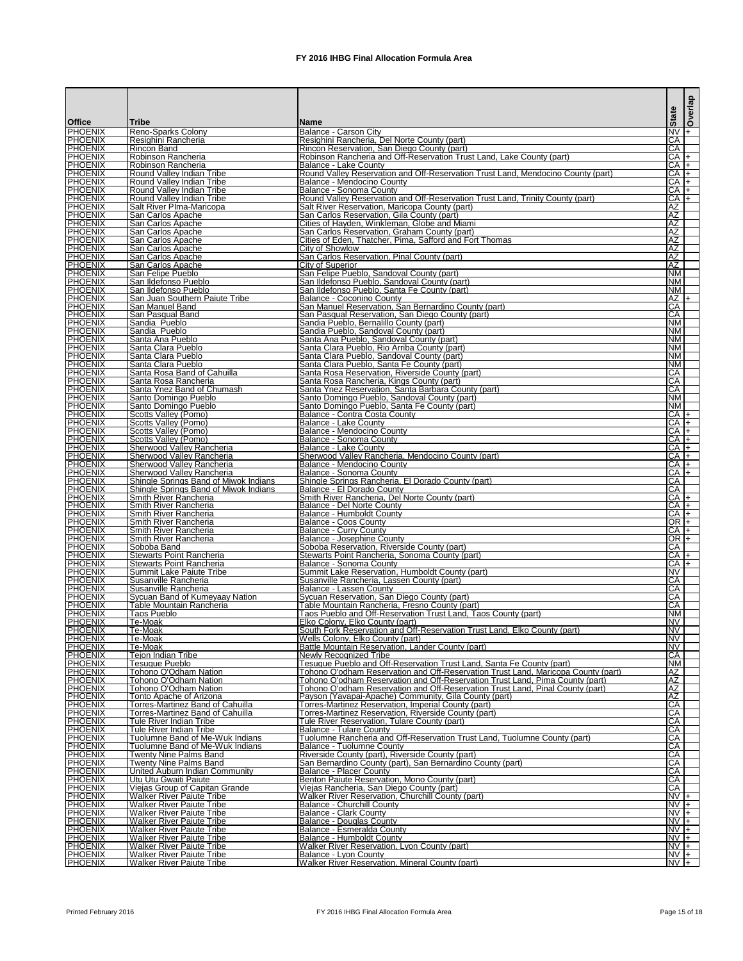| <b>Office</b>                    | <b>Tribe</b>                                                         | <b>Name</b>                                                                                                                                                | <b>State</b>           | Overlap                     |
|----------------------------------|----------------------------------------------------------------------|------------------------------------------------------------------------------------------------------------------------------------------------------------|------------------------|-----------------------------|
| <b>PHOENIX</b><br><b>PHOENIX</b> | Reno-Sparks Colony                                                   | Balance - Carson City                                                                                                                                      |                        | $NV +$                      |
| PHOENIX                          | Resighini Rancheria<br>IRincon Band                                  | Resighini Rancheria, Del Norte County (part)<br>Rincon Reservation, San Diego County (part)                                                                | ICA.<br>ICA            |                             |
| <b>PHOENIX</b><br><b>PHOENIX</b> | Robinson Rancheria<br>Robinson Rancheria                             | Robinson Rancheria and Off-Reservation Trust Land, Lake County (part)<br>IBalance - Lake County                                                            | $CA$ $+$               | $CA +$                      |
| <b>PHOENIX</b>                   | Round Valley Indian Tribe                                            | Round Valley Reservation and Off-Reservation Trust Land, Mendocino County (part)                                                                           |                        | $CA$ $+$                    |
| <b>PHOENIX</b><br><b>PHOENIX</b> | Round Valley Indian Tribe<br>Round Valley Indian Tribe               | Balance - Mendocino County<br>Balance - Sonoma County                                                                                                      |                        | $CA +$<br>$CA +$            |
| <b>PHOENIX</b>                   | Round Valley Indian Tribe                                            | Round Valley Reservation and Off-Reservation Trust Land, Trinity County (part)                                                                             | $CAI+$                 |                             |
| <b>PHOENIX</b><br><b>PHOENIX</b> | Salt River Plma-Maricopa<br>San Carlos Apache                        | Salt River Reservation, Maricopa County (part)<br>San Carlos Reservation, Gila County (part)                                                               | IAZ<br>ΑZ              |                             |
| <b>PHOENIX</b>                   | San Carlos Apache                                                    | Cities of Hayden, Winkleman, Globe and Miami                                                                                                               | ΑZ                     |                             |
| <b>PHOENIX</b><br><b>PHOENIX</b> | San Carlos Apache<br>San Carlos Apache                               | San Carlos Reservation, Graham County (part)<br>Cities of Eden, Thatcher, Pima, Safford and Fort Thomas                                                    | <b>IAZ</b><br>AZ       |                             |
| <b>PHOENIX</b><br><b>PHOENIX</b> | San Carlos Apache<br>San Carlos Apache                               | City of Showlow<br>San Carlos Reservation, Pinal County (part)                                                                                             | ΑZ<br><b>IAZ</b>       |                             |
| <b>PHOENIX</b>                   | San Carlos Apache                                                    | <b>City of Superior</b>                                                                                                                                    | <b>AZ</b>              |                             |
| <b>PHOENIX</b><br><b>PHOENIX</b> | San Felipe Pueblo<br>San Ildefonso Pueblo                            | San Felipe Pueblo, Sandoval County (part)<br>San Ildefonso Pueblo, Sandoval County (part)                                                                  | <b>NM</b><br><b>NM</b> |                             |
| <b>PHOENIX</b>                   | San Ildefonso Pueblo                                                 | San Ildefonso Pueblo, Santa Fe County (part)                                                                                                               | <b>NM</b>              |                             |
| <b>PHOENIX</b><br><b>PHOENIX</b> | San Juan Southern Paiute Tribe<br>San Manuel Band                    | <b>Balance - Coconino County</b><br>San Manuel Reservation, San Bernardino County (part)                                                                   | ICA.                   | $AZ +$                      |
| <b>PHOENIX</b>                   | San Pasqual Band                                                     | San Pasqual Reservation, San Diego County (part)                                                                                                           | CA                     |                             |
| <b>PHOENIX</b><br><b>PHOENIX</b> | Sandia Pueblo<br>Sandia Pueblo                                       | Sandia Pueblo, Bernalillo County (part)<br>Sandia Pueblo, Sandoval County (part)                                                                           | <b>NM</b><br><b>NM</b> |                             |
| <b>PHOENIX</b>                   | Santa Ana Pueblo                                                     | Santa Ana Pueblo, Sandoval County (part)                                                                                                                   | <b>NM</b>              |                             |
| <b>PHOENIX</b><br><b>PHOENIX</b> | Santa Clara Pueblo<br>Santa Clara Pueblo                             | Santa Clara Pueblo, Rio Arriba County (part)<br>Santa Clara Pueblo, Sandoval County (part)                                                                 | INM.<br><b>NM</b>      |                             |
| <b>PHOENIX</b>                   | Santa Clara Pueblo                                                   | Santa Clara Pueblo, Santa Fe County (part)                                                                                                                 | <b>NM</b>              |                             |
| <b>PHOENIX</b><br><b>PHOENIX</b> | Santa Rosa Band of Cahuilla<br>Santa Rosa Rancheria                  | Santa Rosa Reservation, Riverside County (part)<br>Santa Rosa Rancheria, Kings County (part)                                                               | ICA<br>CA              |                             |
| <b>PHOENIX</b>                   | Santa Ynez Band of Chumash                                           | Santa Ynez Reservation, Santa Barbara County (part)                                                                                                        | CA                     |                             |
| <b>PHOENIX</b><br><b>PHOENIX</b> | Santo Domingo Pueblo<br>Santo Domingo Pueblo                         | Santo Domingo Pueblo, Sandoval County (part)<br>Santo Domingo Pueblo, Santa Fe County (part)                                                               | INM.<br><b>NM</b>      |                             |
| <b>PHOENIX</b>                   | Scotts Valley (Pomo)                                                 | Balance - Contra Costa County                                                                                                                              |                        | $CA$ $+$                    |
| <b>PHOENIX</b><br><b>PHOENIX</b> | Scotts Valley (Pomo)<br>Scotts Valley (Pomo)                         | Balance - Lake County<br>Balance - Mendocino County                                                                                                        | $CAI+$                 | $CA +$                      |
| <b>PHOENIX</b>                   | Scotts Valley (Pomo)                                                 | Balance - Sonoma County                                                                                                                                    |                        | $CA +$                      |
| <b>PHOENIX</b><br><b>PHOENIX</b> | Sherwood Valley Rancheria<br>Sherwood Valley Rancheria               | Balance - Lake County<br>Sherwood Valley Rancheria, Mendocino County (part)                                                                                | $CA +$                 | CA  +                       |
| PHOENIX                          | Sherwood Valley Rancheria                                            | Balance - Mendocino County                                                                                                                                 | $CA$ +                 |                             |
| <b>PHOENIX</b><br><b>PHOENIX</b> | Sherwood Valley Rancheria<br>Shingle Springs Band of Miwok Indians   | Balance - Sonoma County<br>Shingle Springs Rancheria, El Dorado County (part)                                                                              | ICA.                   | CA +                        |
| <b>PHOENIX</b>                   | <b>Shingle Springs Band of Miwok Indians</b>                         | Balance - El Dorado County                                                                                                                                 | <b>CA</b>              |                             |
| <b>PHOENIX</b><br><b>PHOENIX</b> | Smith River Rancheria<br><b>Smith River Rancheria</b>                | Smith River Rancheria, Del Norte County (part)<br>IBalance - Del Norte Countv                                                                              |                        | $CA +$<br>$CA +$            |
| <b>PHOENIX</b>                   | <b>Smith River Rancheria</b>                                         | Balance - Humboldt County                                                                                                                                  |                        | $CA +$                      |
| <b>PHOENIX</b><br><b>PHOENIX</b> | <b>Smith River Rancheria</b><br><b>Smith River Rancheria</b>         | Balance - Coos County<br><b>Balance - Curry County</b>                                                                                                     |                        | OR +<br>$CA +$              |
| <b>PHOENIX</b>                   | <b>Smith River Rancheria</b>                                         | Balance - Josephine County                                                                                                                                 |                        | OR I+                       |
| <b>PHOENIX</b><br><b>PHOENIX</b> | Soboba Band<br><b>Stewarts Point Rancheria</b>                       | Soboba Reservation, Riverside County (part)<br>Stewarts Point Rancheria, Sonoma County (part)                                                              | ICA.                   | ICA I+                      |
| <b>PHOENIX</b><br><b>PHOENIX</b> | Stewarts Point Rancheria                                             | Balance - Sonoma County<br>Summit Lake Reservation, Humboldt County (part)                                                                                 | <b>INV</b>             | $CA +$                      |
| <b>PHOENIX</b>                   | Summit Lake Paiute Tribe<br>Susanville Rancheria                     | Susanville Rancheria, Lassen County (part)                                                                                                                 | CA                     |                             |
| <b>PHOENIX</b><br><b>PHOENIX</b> | Susanville Rancheria<br>Sycuan Band of Kumeyaay Nation               | Balance - Lassen County<br>Sycuan Reservation, San Diego County (part)                                                                                     | CA<br>ICA.             |                             |
| <b>PHOENIX</b>                   | Table Mountain Rancheria                                             | Table Mountain Rancheria, Fresno County (part)                                                                                                             | CA                     |                             |
| <b>PHOENIX</b><br><b>PHOENIX</b> | Taos Pueblo<br>Te-Moak                                               | Taos Pueblo and Off-Reservation Trust Land, Taos County (part)<br>Elko Colony, Elko County (part)                                                          | <b>NM</b><br><b>NV</b> |                             |
| <b>PHOENIX</b>                   | Te-Moak                                                              | South Fork Reservation and Off-Reservation Trust Land, Elko County (part)                                                                                  | <b>NV</b>              |                             |
| <b>PHOENIX</b><br><b>PHOENIX</b> | Te-Moak<br>lTe-Moak                                                  | Wells Colony, Elko County (part)<br>Battle Mountain Reservation, Lander County (part)                                                                      | <b>NV</b><br><b>NV</b> |                             |
| <b>PHOENIX</b>                   | <b>Tejon Indian Tribe</b>                                            | lNewlv Recoanized Tribe                                                                                                                                    | CA                     |                             |
| <b>PHOENIX</b><br><b>PHOENIX</b> | Tesuque Pueblo<br>Tohono O'Odham Nation                              | Tesuque Pueblo and Off-Reservation Trust Land, Santa Fe County (part)<br>Tohono O'odham Reservation and Off-Reservation Trust Land, Maricopa County (part) | <b>INM</b><br>ΆZ       |                             |
| <b>PHOENIX</b>                   | Tohono O'Odham Nation                                                | Tohono O'odham Reservation and Off-Reservation Trust Land, Pima County (part)                                                                              | ΙAΖ                    |                             |
| <b>PHOENIX</b><br><b>PHOENIX</b> | Tohono O'Odham Nation<br>Tonto Apache of Arizona                     | Tohono O'odham Reservation and Off-Reservation Trust Land, Pinal County (part)<br>Payson (Yavapai-Apache) Community, Gila County (part)                    | ΑZ<br>ΑZ               |                             |
| <b>PHOENIX</b>                   | Torres-Martinez Band of Cahuilla                                     | Torres-Martinez Reservation, Imperial County (part)                                                                                                        | <b>CA</b>              |                             |
| <b>PHOENIX</b><br><b>PHOENIX</b> | Torres-Martinez Band of Cahuilla<br>Tule River Indian Tribe          | Torres-Martinez Reservation, Riverside County (part)<br>Tule River Reservation, Tulare County (part)                                                       | CA<br>CA               |                             |
| <b>PHOENIX</b>                   | Tule River Indian Tribe                                              | IBalance - Tulare County                                                                                                                                   | CA                     |                             |
| <b>PHOENIX</b><br><b>PHOENIX</b> | Tuolumne Band of Me-Wuk Indians<br>Tuolumne Band of Me-Wuk Indians   | Tuolumne Rancheria and Off-Reservation Trust Land, Tuolumne County (part)<br>Balance - Tuolumne County                                                     | <b>CA</b><br><b>CA</b> |                             |
| <b>PHOENIX</b>                   | <b>Twenty Nine Palms Band</b>                                        | Riverside County (part), Riverside County (part)                                                                                                           | CA                     |                             |
| <b>PHOENIX</b><br><b>PHOENIX</b> | <b>Twenty Nine Palms Band</b><br>United Auburn Indian Community      | San Bernardino County (part), San Bernardino County (part)<br>Balance - Placer County                                                                      | CA<br>CA               |                             |
| <b>PHOENIX</b>                   | Utu Utu Gwaiti Paiute                                                | Benton Paiute Reservation, Mono County (part)                                                                                                              | ICA.                   |                             |
| <b>PHOENIX</b><br><b>PHOENIX</b> | Viejas Group of Capitan Grande<br><b>Walker River Paiute Tribe</b>   | Viejas Rancheria, San Diego County (part)<br>Walker River Reservation, Churchill County (part)                                                             | ICA.                   | $\overline{NV}$ +           |
| <b>PHOENIX</b>                   | <b>Walker River Paiute Tribe</b>                                     | Balance - Churchill County                                                                                                                                 |                        | $NVI +$                     |
| <b>PHOENIX</b><br><b>PHOENIX</b> | <b>Walker River Paiute Tribe</b><br><b>Walker River Paiute Tribe</b> | Balance - Clark County<br>Balance - Douglas County                                                                                                         |                        | $NV +$<br>$\overline{NV}$ + |
| <b>PHOENIX</b>                   | <b>Walker River Paiute Tribe</b>                                     | Balance - Esmeralda County                                                                                                                                 |                        | $N\overline{V}$ +           |
| <b>PHOENIX</b><br><b>PHOENIX</b> | Walker River Paiute Tribe<br><b>Walker River Paiute Tribe</b>        | Balance - Humboldt County<br>Walker River Reservation, Lyon County (part)                                                                                  | $NVI +$                | $NVI +$                     |
| <b>PHOENIX</b>                   | <b>Walker River Paiute Tribe</b>                                     | Balance - Lyon County                                                                                                                                      | $NV +$<br>$NV +$       |                             |
| <b>PHOENIX</b>                   | <b>Walker River Paiute Tribe</b>                                     | Walker River Reservation, Mineral County (part)                                                                                                            |                        |                             |

Printed February 2016 **FX** 2016 IHBG Final Allocation Formula Area Page 15 of 18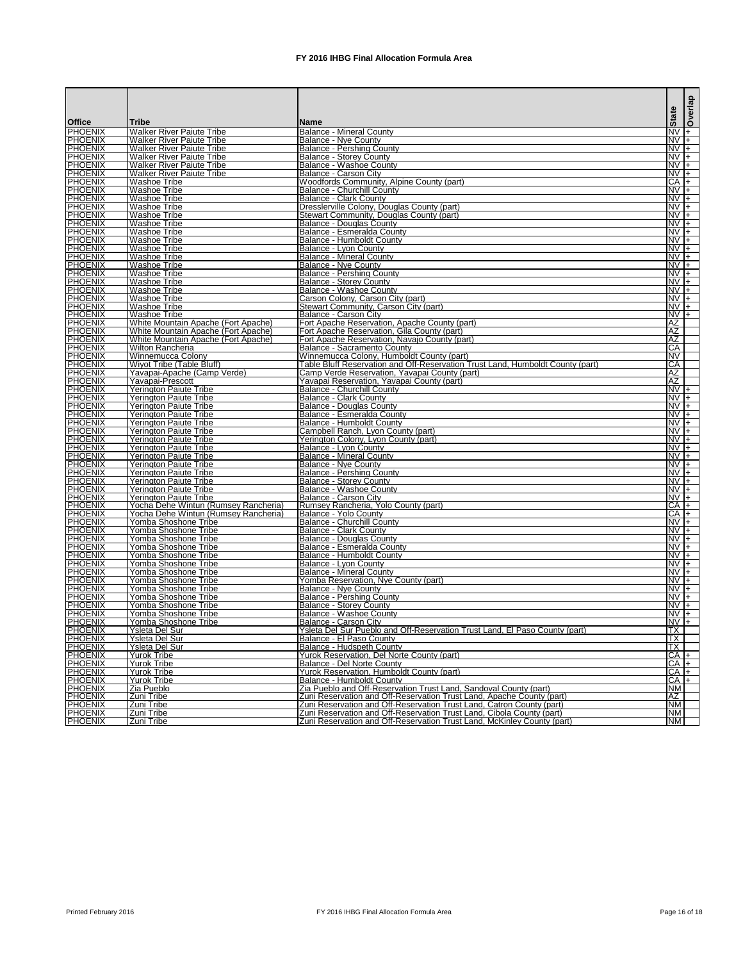|                                  |                                                               |                                                                                                |                              | Overlap |
|----------------------------------|---------------------------------------------------------------|------------------------------------------------------------------------------------------------|------------------------------|---------|
| <b>Office</b>                    | lTribe                                                        | <b>IName</b>                                                                                   | <b>State</b>                 |         |
| PHOENIX                          | <b>Walker River Paiute Tribe</b>                              | <b>Balance - Mineral County</b>                                                                | $NVI+$                       |         |
| <b>PHOENIX</b>                   | Walker River Paiute Tribe<br><b>Walker River Paiute Tribe</b> | <b>Balance - Nye County</b><br><b>Balance - Pershing County</b>                                | $\overline{NV}$ +<br>$NVI +$ |         |
| <b>PHOENIX</b><br><b>PHOENIX</b> | <b>Walker River Paiute Tribe</b>                              | <b>Balance - Storey County</b>                                                                 | $NV +$                       |         |
| <b>PHOENIX</b>                   | <b>Walker River Paiute Tribe</b>                              | <b>Balance - Washoe County</b>                                                                 | $NV +$                       |         |
| <b>PHOENIX</b>                   | <b>Walker River Paiute Tribe</b>                              | Balance - Carson City                                                                          | $NVI +$                      |         |
| <b>PHOENIX</b><br><b>PHOENIX</b> | <b>Washoe Tribe</b><br><b>Washoe Tribe</b>                    | Woodfords Community, Alpine County (part)<br>Balance - Churchill County                        | $CA +$<br>$NV +$             |         |
| <b>PHOENIX</b>                   | <b>Washoe Tribe</b>                                           | Balance - Clark County                                                                         | $NV +$                       |         |
| <b>PHOENIX</b>                   | Washoe Tribe                                                  | Dresslerville Colony, Douglas County (part)                                                    | $NVI+$                       |         |
| <b>PHOENIX</b><br><b>PHOENIX</b> | <b>Washoe Tribe</b>                                           | Stewart Community, Douglas County (part)<br><b>Balance - Douglas County</b>                    | $NVI +$<br>$NV +$            |         |
| <b>PHOENIX</b>                   | Washoe Tribe<br><b>Washoe Tribe</b>                           | Balance - Esmeralda County                                                                     | $NV +$                       |         |
| <b>PHOENIX</b>                   | Washoe Tribe                                                  | <b>Balance - Humboldt County</b>                                                               | $NVI +$                      |         |
| <b>PHOENIX</b>                   | Washoe Tribe                                                  | Balance - Lvon County                                                                          | $NV +$                       |         |
| <b>PHOENIX</b><br><b>PHOENIX</b> | Washoe Tribe<br><b>Washoe Tribe</b>                           | <b>Balance - Mineral County</b><br><b>Balance - Nye County</b>                                 | $NVI+$<br>$NV +$             |         |
| <b>PHOENIX</b>                   | <b>Washoe Tribe</b>                                           | Balance - Pershing County                                                                      | $NV +$                       |         |
| <b>PHOENIX</b>                   | <b>Washoe Tribe</b>                                           | <b>Balance - Storey County</b>                                                                 | $NVI +$                      |         |
| <b>PHOENIX</b>                   | <b>Washoe Tribe</b>                                           | <b>Balance - Washoe County</b>                                                                 | $NVI +$                      |         |
| <b>PHOENIX</b>                   | <b>Washoe Tribe</b><br><b>Washoe Tribe</b>                    | Carson Colony, Carson City (part)<br>Stewart Community, Carson City (part)                     | $NVI+$<br>$NVI +$            |         |
| <b>PHOENIX</b><br><b>PHOENIX</b> | <b>Washoe Tribe</b>                                           | Balance - Carson City                                                                          | $NV +$                       |         |
| <b>PHOENIX</b>                   | White Mountain Apache (Fort Apache)                           | Fort Apache Reservation, Apache County (part)                                                  | IAZ                          |         |
| <b>PHOENIX</b>                   | White Mountain Apache (Fort Apache)                           | Fort Apache Reservation, Gila County (part)                                                    | AZ                           |         |
| <b>PHOENIX</b>                   | White Mountain Apache (Fort Apache)                           | Fort Apache Reservation, Navajo County (part)                                                  | <b>IAZ</b>                   |         |
| <b>PHOENIX</b><br><b>PHOENIX</b> | Wilton Rancheria<br>Winnemucca Colony                         | Balance - Sacramento County<br>Winnemucca Colony, Humboldt County (part)                       | CA<br><b>NV</b>              |         |
| <b>PHOENIX</b>                   | IWivot Tribe (Table Bluff)                                    | Table Bluff Reservation and Off-Reservation Trust Land, Humboldt County (part)                 | <b>CA</b>                    |         |
| <b>PHOENIX</b>                   | Yavapai-Apache (Camp Verde)                                   | Camp Verde Reservation, Yavapai County (part)                                                  | ΙAΖ                          |         |
| <b>PHOENIX</b>                   | Yavapai-Prescott                                              | Yavapai Reservation, Yavapai County (part)                                                     | AZ                           |         |
| <b>PHOENIX</b><br><b>PHOENIX</b> | Yerington Paiute Tribe<br>Yerington Paiute Tribe              | <b>Balance - Churchill County</b><br><b>Balance - Clark County</b>                             | $NV +$<br>$NV +$             |         |
| <b>PHOENIX</b>                   | <b>Yerington Paiute Tribe</b>                                 | <b>Balance - Douglas County</b>                                                                | $NV +$                       |         |
| <b>PHOENIX</b>                   | Yerington Paiute Tribe                                        | Balance - Esmeralda County                                                                     | $NV +$                       |         |
| <b>PHOENIX</b>                   | <b>Yerington Paiute Tribe</b>                                 | Balance - Humboldt County                                                                      | $NV +$                       |         |
| <b>PHOENIX</b><br><b>PHOENIX</b> | <b>Yerington Paiute Tribe</b><br>Yerington Paiute Tribe       | Campbell Ranch, Lyon County (part)<br>Yerington Colony, Lyon County (part)                     | $\overline{N}V$ +<br>$NVI +$ |         |
| <b>PHOENIX</b>                   | Yerington Paiute Tribe                                        | Balance - Lvon County                                                                          | INV I+                       |         |
| <b>PHOENIX</b>                   | <b>Yerington Paiute Tribe</b>                                 | <b>Balance - Mineral County</b>                                                                | $NVI +$                      |         |
| <b>PHOENIX</b>                   | Yerington Paiute Tribe                                        | <b>Balance - Nye County</b>                                                                    | $NVI +$                      |         |
| <b>PHOENIX</b><br><b>PHOENIX</b> | <b>Yerington Paiute Tribe</b><br>Yerington Paiute Tribe       | <b>Balance - Pershing County</b><br><b>Balance - Storey County</b>                             | $\overline{NV}$ +<br>$NV +$  |         |
| <b>PHOENIX</b>                   | Yerington Paiute Tribe                                        | Balance - Washoe County                                                                        |                              | $NVI +$ |
| <b>PHOENIX</b>                   | <b>Yerington Paiute Tribe</b>                                 | Balance - Carson City                                                                          | INV I+                       |         |
| <b>PHOENIX</b>                   | Yocha Dehe Wintun (Rumsey Rancheria)                          | Rumsey Rancheria, Yolo County (part)                                                           | $CA +$                       |         |
| <b>PHOENIX</b><br><b>PHOENIX</b> | Yocha Dehe Wintun (Rumsey Rancheria)<br>Yomba Shoshone Tribe  | <b>Balance - Yolo County</b><br>Balance - Churchill County                                     | $CA$ +<br>$NVI +$            |         |
| <b>PHOENIX</b>                   | Yomba Shoshone Tribe                                          | <b>Balance - Clark County</b>                                                                  | $NV +$                       |         |
| <b>PHOENIX</b>                   | Yomba Shoshone Tribe                                          | <b>Balance - Douglas County</b>                                                                | $NV +$                       |         |
| <b>PHOENIX</b>                   | Yomba Shoshone Tribe                                          | Balance - Esmeralda County                                                                     | $NVI +$                      |         |
| <b>PHOENIX</b><br><b>PHOENIX</b> | Yomba Shoshone Tribe<br>Yomba Shoshone Tribe                  | <b>Balance - Humboldt County</b><br>Balance - Lyon County                                      | $NV +$<br>$NV +$             |         |
| <b>PHOENIX</b>                   | Yomba Shoshone Tribe                                          | <b>Balance - Mineral County</b>                                                                | $NVI+$                       |         |
| <b>PHOENIX</b>                   | Yomba Shoshone Tribe                                          | Yomba Reservation, Nye County (part)                                                           | $NV +$                       |         |
| <b>PHOENIX</b>                   | <b>Yomba Shoshone Tribe</b>                                   | Balance - Nye County                                                                           | $NV +$                       |         |
| <b>PHOENIX</b><br><b>PHOENIX</b> | Yomba Shoshone Tribe<br>Yomba Shoshone Tribe                  | <b>Balance - Pershing County</b><br><b>Balance - Storey County</b>                             | $NV +$<br>$NV +$             |         |
| <b>PHOENIX</b>                   | Yomba Shoshone Tribe                                          | <b>Balance - Washoe County</b>                                                                 | $NV +$                       |         |
| <b>PHOENIX</b>                   | Yomba Shoshone Tribe                                          | Balance - Carson City                                                                          |                              | $NV +$  |
| <b>PHOENIX</b>                   | <b>Ysleta Del Sur</b>                                         | Ysleta Del Sur Pueblo and Off-Reservation Trust Land, El Paso County (part)                    | <b>ITX</b>                   |         |
| <b>PHOENIX</b><br><b>PHOENIX</b> | Ysleta Del Sur<br><b>Ysleta Del Sur</b>                       | Balance - El Paso County<br>Balance - Hudspeth County                                          | $\overline{TX}$<br>TX        |         |
| <b>PHOENIX</b>                   | <b>Yurok Tribe</b>                                            | Yurok Reservation, Del Norte County (part)                                                     | $CA +$                       |         |
| <b>PHOENIX</b>                   | <b>Yurok Tribe</b>                                            | <b>Balance - Del Norte County</b>                                                              | $CA$ $+$                     |         |
| <b>PHOENIX</b>                   | <b>Yurok Tribe</b>                                            | Yurok Reservation, Humboldt County (part)                                                      | $CA +$                       |         |
| <b>PHOENIX</b><br><b>PHOENIX</b> | <b>Yurok Tribe</b><br>Zia Pueblo                              | Balance - Humboldt County<br>Zia Pueblo and Off-Reservation Trust Land, Sandoval County (part) | $CA +$<br><b>NM</b>          |         |
| <b>PHOENIX</b>                   | Zuni Tribe                                                    | Zuni Reservation and Off-Reservation Trust Land, Apache County (part)                          | ΙAΖ                          |         |
| <b>PHOENIX</b>                   | Zuni Tribe                                                    | Zuni Reservation and Off-Reservation Trust Land, Catron County (part)                          | <b>NM</b>                    |         |
| <b>PHOENIX</b>                   | Zuni Tribe                                                    | Zuni Reservation and Off-Reservation Trust Land, Cibola County (part)                          | <b>NM</b>                    |         |
| <b>PHOENIX</b>                   | Zuni Tribe                                                    | Zuni Reservation and Off-Reservation Trust Land, McKinley County (part)                        | <b>NM</b>                    |         |

Printed February 2016 **FX** 2016 IHBG Final Allocation Formula Area **Page 16** of 18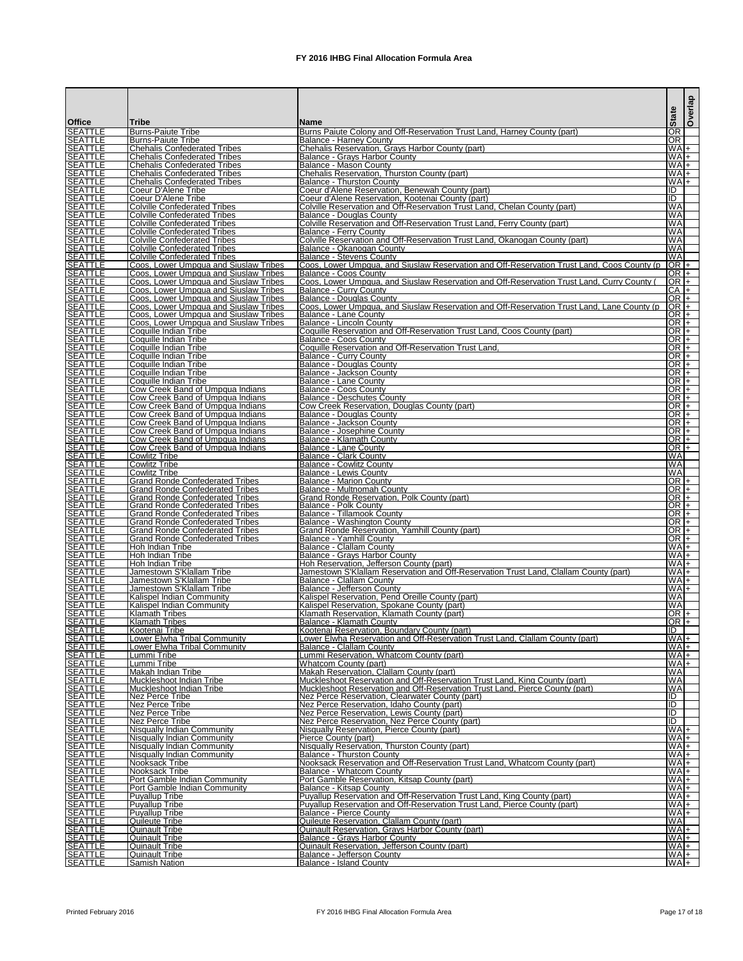|                                  |                                                                                  |                                                                                                                                                            | <b>State</b>              | Overlap          |
|----------------------------------|----------------------------------------------------------------------------------|------------------------------------------------------------------------------------------------------------------------------------------------------------|---------------------------|------------------|
| <b>Office</b>                    | Tribe                                                                            | <b>Name</b>                                                                                                                                                |                           |                  |
| <b>SEATTLE</b><br><b>SEATTLE</b> | Burns-Paiute Tribe<br>Burns-Paiute Tribe                                         | Burns Paiute Colony and Off-Reservation Trust Land, Harney County (part)<br>Balance - Harney County                                                        | OR<br><b>OR</b>           |                  |
| <b>SEATTLE</b>                   | Chehalis Confederated Tribes                                                     | Chehalis Reservation, Grays Harbor County (part)                                                                                                           | $WA$ +                    |                  |
| <b>SEATTLE</b><br><b>SEATTLE</b> | <b>Chehalis Confederated Tribes</b><br><b>Chehalis Confederated Tribes</b>       | <b>Balance - Grays Harbor County</b><br>Balance - Mason County                                                                                             | $W_A +$<br>$WA$ +         |                  |
| <b>SEATTLE</b>                   | <b>Chehalis Confederated Tribes</b>                                              | Chehalis Reservation, Thurston County (part)                                                                                                               | WAI+                      |                  |
| <b>SEATTLE</b><br><b>SEATTLE</b> | Chehalis Confederated Tribes<br>Coeur D'Alene Tribe                              | <b>Balance - Thurston County</b><br>Coeur d'Alene Reservation, Benewah County (part)                                                                       | WAI+<br>IID               |                  |
| <b>SEATTLE</b>                   | Coeur D'Alene Tribe                                                              | Coeur d'Alene Reservation, Kootenai County (part)                                                                                                          | IID                       |                  |
| <b>SEATTLE</b><br><b>SEATTLE</b> | Colville Confederated Tribes<br>Colville Confederated Tribes                     | Colville Reservation and Off-Reservation Trust Land, Chelan County (part)<br>Balance - Douglas County                                                      | WA<br><b>WA</b>           |                  |
| <b>SEATTLE</b>                   | <b>Colville Confederated Tribes</b>                                              | Colville Reservation and Off-Reservation Trust Land, Ferry County (part)                                                                                   | WA                        |                  |
| <b>SEATTLE</b><br><b>SEATTLE</b> | Colville Confederated Tribes<br><b>Colville Confederated Tribes</b>              | Balance - Ferry County<br>Colville Reservation and Off-Reservation Trust Land, Okanogan County (part)                                                      | WA<br><b>WA</b>           |                  |
| <b>SEATTLE</b>                   | Colville Confederated Tribes                                                     | IBalance - Okanogan County                                                                                                                                 | <b>WA</b>                 |                  |
| <b>SEATTLE</b><br><b>SEATTLE</b> | Colville Confederated Tribes<br>Coos, Lower Umpqua and Siuslaw Tribes            | Balance - Stevens County<br>Coos, Lower Umpgua, and Siuslaw Reservation and Off-Reservation Trust Land, Coos County (p                                     | WA<br>$OR +$              |                  |
| <b>SEATTLE</b>                   | Coos, Lower Umpqua and Siuslaw Tribes                                            | <b>IBalance - Coos Countv</b>                                                                                                                              | $OR +$                    |                  |
| <b>SEATTLE</b>                   | Coos, Lower Umpqua and Siuslaw Tribes                                            | Coos, Lower Umpgua, and Siuslaw Reservation and Off-Reservation Trust Land, Curry County                                                                   | $OR +$                    |                  |
| <b>SEATTLE</b><br><b>SEATTLE</b> | Coos, Lower Umpqua and Siuslaw Tribes<br>Coos, Lower Umpqua and Siuslaw Tribes   | <b>Balance - Curry County</b><br>Balance - Douglas County                                                                                                  | CA +<br>$OR +$            |                  |
| <b>SEATTLE</b>                   | Coos, Lower Umpqua and Siuslaw Tribes                                            | Coos, Lower Umpqua, and Siuslaw Reservation and Off-Reservation Trust Land, Lane County (p                                                                 | $OR +$                    |                  |
| <b>SEATTLE</b><br><b>SEATTLE</b> | Coos, Lower Umpqua and Siuslaw Tribes<br>Coos, Lower Umpqua and Siuslaw Tribes   | <b>Balance - Lane County</b><br>Balance - Lincoln County                                                                                                   | $OR$ +<br>$OR$ $+$        |                  |
| <b>SEATTLE</b>                   | Coquille Indian Tribe                                                            | Coquille Reservation and Off-Reservation Trust Land, Coos County (part)                                                                                    | $OR$ $+$                  |                  |
| <b>SEATTLE</b><br><b>SEATTLE</b> | Coquille Indian Tribe<br><b>ICoquille Indian Tribe</b>                           | Balance - Coos County<br>Coquille Reservation and Off-Reservation Trust Land                                                                               | $OR +$<br>$OR +$          |                  |
| <b>SEATTLE</b>                   | Coquille Indian Tribe                                                            | <b>Balance - Curry County</b>                                                                                                                              | $OR +$                    |                  |
| <b>SEATTLE</b><br><b>SEATTLE</b> | Coquille Indian Tribe<br>Coquille Indian Tribe                                   | Balance - Douglas County<br>Balance - Jackson County                                                                                                       | OR $ +$<br>$OR +$         |                  |
| <b>SEATTLE</b>                   | Coquille Indian Tribe                                                            | <b>Balance - Lane County</b>                                                                                                                               |                           | $OR +$           |
| <b>SEATTLE</b><br><b>SEATTLE</b> | Cow Creek Band of Umpqua Indians<br>Cow Creek Band of Umpqua Indians             | IBalance - Coos Countv<br>Balance - Deschutes County                                                                                                       | $OR +$<br>$OR +$          |                  |
| <b>SEATTLE</b>                   | Cow Creek Band of Umpqua Indians                                                 | Cow Creek Reservation, Douglas County (part)                                                                                                               | OR +                      |                  |
| <b>SEATTLE</b>                   | Cow Creek Band of Umpqua Indians                                                 | <b>Balance - Douglas County</b>                                                                                                                            | $OR$ $+$                  |                  |
| <b>SEATTLE</b><br><b>SEATTLE</b> | Cow Creek Band of Umpqua Indians<br>Cow Creek Band of Umpqua Indians             | Balance - Jackson County<br><b>IBalance - Josephine County</b>                                                                                             | $OR$ $+$<br>$OR +$        |                  |
| <b>SEATTLE</b>                   | Cow Creek Band of Umpqua Indians                                                 | IBalance - Klamath Countv                                                                                                                                  | $OR +$                    |                  |
| <b>SEATTLE</b><br><b>SEATTLE</b> | Cow Creek Band of Umpqua Indians<br><b>Cowlitz Tribe</b>                         | <b>Balance - Lane County</b><br>Balance - Clark County                                                                                                     | <b>WA</b>                 | $OR$ $+$         |
| <b>SEATTLE</b>                   | <b>Cowlitz Tribe</b>                                                             | <b>Balance - Cowlitz County</b>                                                                                                                            | <b>WA</b>                 |                  |
| <b>SEATTLE</b><br><b>SEATTLE</b> | Cowlitz Tribe<br>Grand Ronde Confederated Tribes                                 | Balance - Lewis County<br>IBalance - Marion Countv                                                                                                         | <b>WA</b>                 | $OR +$           |
| <b>SEATTLE</b>                   | <b>Grand Ronde Confederated Tribes</b>                                           | Balance - Multnomah County                                                                                                                                 | $OR$ $+$                  |                  |
| <b>SEATTLE</b><br><b>SEATTLE</b> | <b>Grand Ronde Confederated Tribes</b><br><b>Grand Ronde Confederated Tribes</b> | <b>Grand Ronde Reservation, Polk County (part)</b><br><b>Balance - Polk County</b>                                                                         |                           | $OR +$<br>$OR +$ |
| <b>SEATTLE</b>                   | <b>Grand Ronde Confederated Tribes</b>                                           | <b>Balance - Tillamook County</b>                                                                                                                          |                           | $OR$ $+$         |
| <b>SEATTLE</b><br><b>SEATTLE</b> | <b>Grand Ronde Confederated Tribes</b><br><b>Grand Ronde Confederated Tribes</b> | <b>Balance - Washington County</b><br>Grand Ronde Reservation, Yamhill County (part)                                                                       | $OR$ $+$<br>$OR$ $+$      |                  |
| <b>SEATTLE</b>                   | <b>Grand Ronde Confederated Tribes</b>                                           | Balance - Yamhill Countv                                                                                                                                   |                           | $OR +$           |
| <b>SEATTLE</b><br><b>SEATTLE</b> | IHoh Indian Tribe<br><b>I</b> Hoh Indian Tribe                                   | Balance - Clallam County<br><b>Balance - Grays Harbor County</b>                                                                                           | WAI+<br>$WA +$            |                  |
| <b>SEATTLE</b>                   | IHoh Indian Tribe                                                                | Hoh Reservation, Jefferson County (part)                                                                                                                   | WA+                       |                  |
| <b>SEATTLE</b>                   | Jamestown S'Klallam Tribe                                                        | Jamestown S'Klallam Reservation and Off-Reservation Trust Land, Clallam County (part)                                                                      | WA <sub>+</sub>           |                  |
| <b>SEATTLE</b><br><b>SEATTLE</b> | Jamestown S'Klallam Tribe<br>Jamestown S'Klallam Tribe                           | <b>Balance - Clallam County</b><br>Balance - Jefferson County                                                                                              | WA <sub>+</sub><br>$WA +$ |                  |
| <b>SEATTLE</b>                   | Kalispel Indian Community                                                        | Kalispel Reservation, Pend Oreille County (part)                                                                                                           | <b>WA</b>                 |                  |
| <b>SEATTLE</b><br><b>SEATTLE</b> | Kalispel Indian Community<br>Klamath Tribes                                      | Kalispel Reservation, Spokane County (part)<br>Klamath Reservation, Klamath County (part)                                                                  | <b>WA</b>                 | $OR +$           |
| <b>SEATTLE</b>                   | Klamath Tribes                                                                   | Balance - Klamath County                                                                                                                                   | OR $ +$                   |                  |
| <b>SEATTLE</b><br><b>SEATTLE</b> | Kootenai Tribe<br><b>Lower Elwha Tribal Community</b>                            | Kootenai Reservation, Boundary County (part)<br>Lower Elwha Reservation and Off-Reservation Trust Land, Clallam County (part)                              | ID<br>$W_A +$             |                  |
| <b>SEATTLE</b>                   | <b>Lower Elwha Tribal Community</b>                                              | <b>Balance - Clallam County</b>                                                                                                                            | WA +                      |                  |
| <b>SEATTLE</b><br><b>SEATTLE</b> | Lummi Tribe<br>Lummi Tribe                                                       | Lummi Reservation, Whatcom County (part)<br>Whatcom County (part)                                                                                          | WA <sub>+</sub><br>$WA +$ |                  |
| <b>SEATTLE</b>                   | IMakah Indian Tribe                                                              | Makah Reservation, Clallam County (part)                                                                                                                   | WA                        |                  |
| <b>SEATTLE</b><br><b>SEATTLE</b> | Muckleshoot Indian Tribe<br>Muckleshoot Indian Tribe                             | Muckleshoot Reservation and Off-Reservation Trust Land, King County (part)<br>Muckleshoot Reservation and Off-Reservation Trust Land, Pierce County (part) | <b>WA</b><br><b>WA</b>    |                  |
| <b>SEATTLE</b>                   | Nez Perce Tribe                                                                  | Nez Perce Reservation, Clearwater County (part)                                                                                                            | ID                        |                  |
| <b>SEATTLE</b><br><b>SEATTLE</b> | Nez Perce Tribe<br>Nez Perce Tribe                                               | Nez Perce Reservation, Idaho County (part)<br>Nez Perce Reservation, Lewis County (part)                                                                   | ID<br>IID                 |                  |
| <b>SEATTLE</b>                   | Nez Perce Tribe                                                                  | Nez Perce Reservation, Nez Perce County (part)                                                                                                             | E                         |                  |
| <b>SEATTLE</b><br><b>SEATTLE</b> | Nisqually Indian Community<br><b>Nisqually Indian Community</b>                  | Nisqually Reservation, Pierce County (part)<br>Pierce County (part)                                                                                        | WA <sub>+</sub>           | $WA +$           |
| <b>SEATTLE</b>                   | Nisqually Indian Community                                                       | Nisqually Reservation, Thurston County (part)                                                                                                              | $WA +$                    |                  |
| <b>SEATTLE</b><br><b>SEATTLE</b> | <b>Nisqually Indian Community</b>                                                | Balance - Thurston County<br>Nooksack Reservation and Off-Reservation Trust Land, Whatcom County (part)                                                    | $W_{A +}$                 | $WA +$           |
| <b>SEATTLE</b>                   | Nooksack Tribe<br>Nooksack Tribe                                                 | Balance - Whatcom County                                                                                                                                   |                           | WAI+             |
| <b>SEATTLE</b>                   | Port Gamble Indian Community                                                     | Port Gamble Reservation, Kitsap County (part)                                                                                                              | WA+                       |                  |
| <b>SEATTLE</b><br><b>SEATTLE</b> | <b>Port Gamble Indian Community</b><br><b>Puvallup Tribe</b>                     | <b>Balance - Kitsap County</b><br>Puyallup Reservation and Off-Reservation Trust Land, King County (part)                                                  | WA+<br>$WA +$             |                  |
| <b>SEATTLE</b>                   | <b>Puvallup Tribe</b>                                                            | Puyallup Reservation and Off-Reservation Trust Land, Pierce County (part)                                                                                  | WA <sub>+</sub>           |                  |
| <b>SEATTLE</b><br><b>SEATTLE</b> | <b>Puyallup Tribe</b><br>Quileute Tribe                                          | <b>IBalance - Pierce Countv</b><br>Quileute Reservation, Clallam County (part)                                                                             | $WA +$<br><b>WA</b>       |                  |
| <b>SEATTLE</b>                   | Quinault Tribe                                                                   | Quinault Reservation, Grays Harbor County (part)                                                                                                           |                           | WA+              |
| <b>SEATTLE</b><br><b>SEATTLE</b> | IQuinault Tribe<br><b>Quinault Tribe</b>                                         | Balance - Grays Harbor County<br>Quinault Reservation, Jefferson County (part)                                                                             | WA <sub>+</sub><br>$WA$ + |                  |
| <b>SEATTLE</b>                   | <b>Quinault Tribe</b>                                                            | Balance - Jefferson County                                                                                                                                 | WA+                       |                  |
| <b>SEATTLE</b>                   | <b>Samish Nation</b>                                                             | <b>Balance - Island County</b>                                                                                                                             | $WA +$                    |                  |

Printed February 2016 **FX** 2016 IHBG Final Allocation Formula Area Page 17 of 18